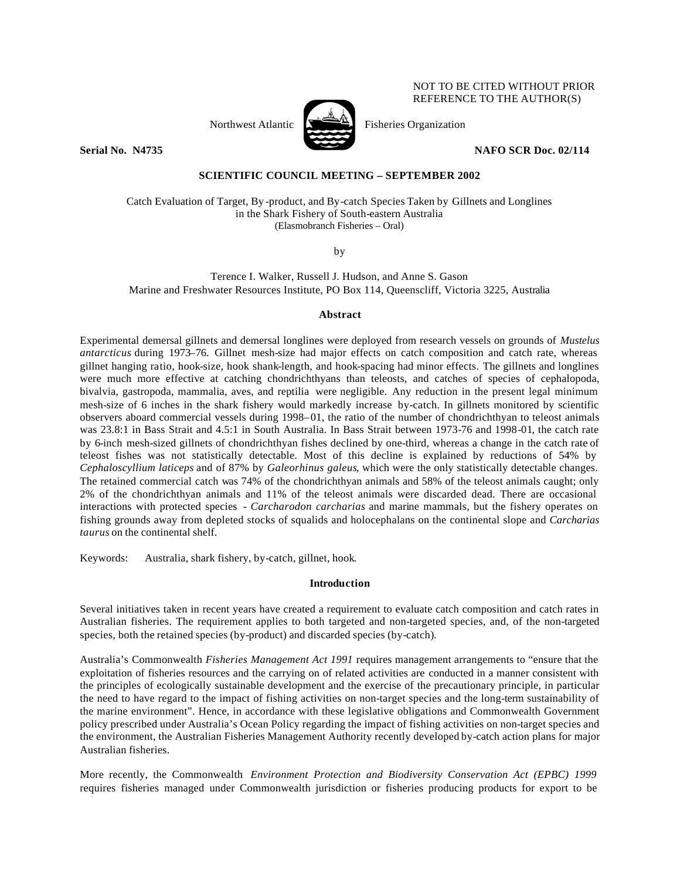

Northwest Atlantic  $\sum_{n=1}^{\infty}$  Fisheries Organization

**Serial No. N4735** NAFO SCR Doc. 02/114

NOT TO BE CITED WITHOUT PRIOR REFERENCE TO THE AUTHOR(S)

## **SCIENTIFIC COUNCIL MEETING – SEPTEMBER 2002**

Catch Evaluation of Target, By -product, and By-catch Species Taken by Gillnets and Longlines in the Shark Fishery of South-eastern Australia (Elasmobranch Fisheries – Oral)

by

Terence I. Walker, Russell J. Hudson, and Anne S. Gason Marine and Freshwater Resources Institute, PO Box 114, Queenscliff, Victoria 3225, Australia

## **Abstract**

Experimental demersal gillnets and demersal longlines were deployed from research vessels on grounds of *Mustelus antarcticus* during 1973–76. Gillnet mesh-size had major effects on catch composition and catch rate, whereas gillnet hanging ratio, hook-size, hook shank-length, and hook-spacing had minor effects. The gillnets and longlines were much more effective at catching chondrichthyans than teleosts, and catches of species of cephalopoda, bivalvia, gastropoda, mammalia, aves, and reptilia were negligible. Any reduction in the present legal minimum mesh-size of 6 inches in the shark fishery would markedly increase by-catch. In gillnets monitored by scientific observers aboard commercial vessels during 1998–01, the ratio of the number of chondrichthyan to teleost animals was 23.8:1 in Bass Strait and 4.5:1 in South Australia. In Bass Strait between 1973-76 and 1998-01, the catch rate by 6-inch mesh-sized gillnets of chondrichthyan fishes declined by one-third, whereas a change in the catch rate of teleost fishes was not statistically detectable. Most of this decline is explained by reductions of 54% by *Cephaloscyllium laticeps* and of 87% by *Galeorhinus galeus*, which were the only statistically detectable changes. The retained commercial catch was 74% of the chondrichthyan animals and 58% of the teleost animals caught; only 2% of the chondrichthyan animals and 11% of the teleost animals were discarded dead. There are occasional interactions with protected species - *Carcharodon carcharias* and marine mammals, but the fishery operates on fishing grounds away from depleted stocks of squalids and holocephalans on the continental slope and *Carcharias taurus* on the continental shelf.

Keywords: Australia, shark fishery, by-catch, gillnet, hook.

## **Introduction**

Several initiatives taken in recent years have created a requirement to evaluate catch composition and catch rates in Australian fisheries. The requirement applies to both targeted and non-targeted species, and, of the non-targeted species, both the retained species (by-product) and discarded species (by-catch).

Australia's Commonwealth *Fisheries Management Act 1991* requires management arrangements to "ensure that the exploitation of fisheries resources and the carrying on of related activities are conducted in a manner consistent with the principles of ecologically sustainable development and the exercise of the precautionary principle, in particular the need to have regard to the impact of fishing activities on non-target species and the long-term sustainability of the marine environment". Hence, in accordance with these legislative obligations and Commonwealth Government policy prescribed under Australia's Ocean Policy regarding the impact of fishing activities on non-target species and the environment, the Australian Fisheries Management Authority recently developed by-catch action plans for major Australian fisheries.

More recently, the Commonwealth *Environment Protection and Biodiversity Conservation Act (EPBC) 1999*  requires fisheries managed under Commonwealth jurisdiction or fisheries producing products for export to be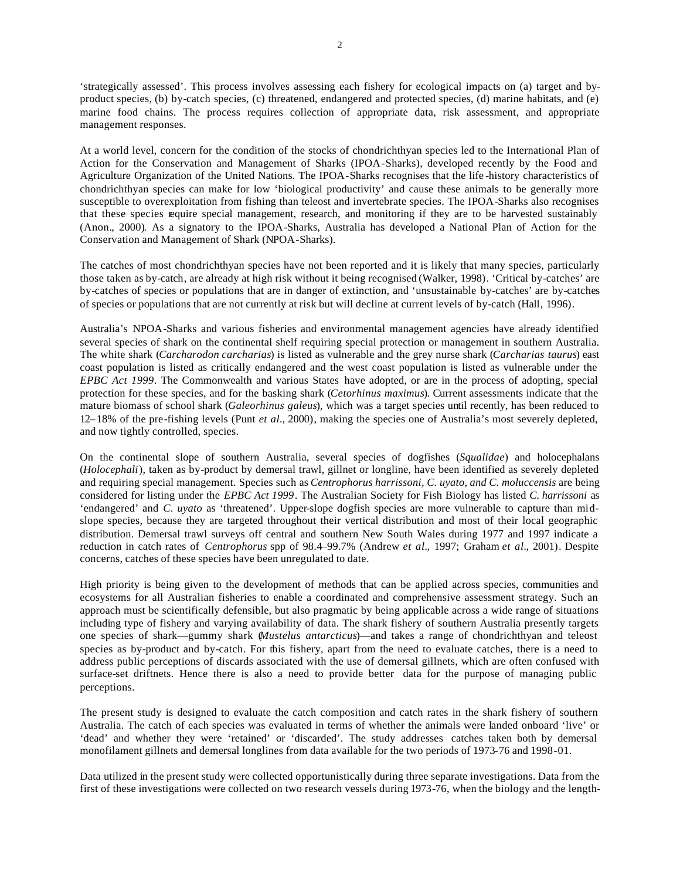'strategically assessed'. This process involves assessing each fishery for ecological impacts on (a) target and byproduct species, (b) by-catch species, (c) threatened, endangered and protected species, (d) marine habitats, and (e) marine food chains. The process requires collection of appropriate data, risk assessment, and appropriate management responses.

At a world level, concern for the condition of the stocks of chondrichthyan species led to the International Plan of Action for the Conservation and Management of Sharks (IPOA-Sharks), developed recently by the Food and Agriculture Organization of the United Nations. The IPOA-Sharks recognises that the life -history characteristics of chondrichthyan species can make for low 'biological productivity' and cause these animals to be generally more susceptible to overexploitation from fishing than teleost and invertebrate species. The IPOA-Sharks also recognises that these species require special management, research, and monitoring if they are to be harvested sustainably (Anon., 2000). As a signatory to the IPOA-Sharks, Australia has developed a National Plan of Action for the Conservation and Management of Shark (NPOA-Sharks).

The catches of most chondrichthyan species have not been reported and it is likely that many species, particularly those taken as by-catch, are already at high risk without it being recognised (Walker, 1998). 'Critical by-catches' are by-catches of species or populations that are in danger of extinction, and 'unsustainable by-catches' are by-catches of species or populations that are not currently at risk but will decline at current levels of by-catch (Hall, 1996).

Australia's NPOA-Sharks and various fisheries and environmental management agencies have already identified several species of shark on the continental shelf requiring special protection or management in southern Australia. The white shark (*Carcharodon carcharias*) is listed as vulnerable and the grey nurse shark (*Carcharias taurus*) east coast population is listed as critically endangered and the west coast population is listed as vulnerable under the *EPBC Act 1999*. The Commonwealth and various States have adopted, or are in the process of adopting, special protection for these species, and for the basking shark (*Cetorhinus maximus*). Current assessments indicate that the mature biomass of school shark (*Galeorhinus galeus*), which was a target species until recently, has been reduced to 12–18% of the pre-fishing levels (Punt *et al.*, 2000), making the species one of Australia's most severely depleted, and now tightly controlled, species.

On the continental slope of southern Australia, several species of dogfishes (*Squalidae*) and holocephalans (*Holocephali*), taken as by-product by demersal trawl, gillnet or longline, have been identified as severely depleted and requiring special management. Species such as *Centrophorus harrissoni*, *C. uyato, and C. moluccensis* are being considered for listing under the *EPBC Act 1999*. The Australian Society for Fish Biology has listed *C. harrissoni* as 'endangered' and *C. uyato* as 'threatened'. Upper-slope dogfish species are more vulnerable to capture than midslope species, because they are targeted throughout their vertical distribution and most of their local geographic distribution. Demersal trawl surveys off central and southern New South Wales during 1977 and 1997 indicate a reduction in catch rates of *Centrophorus* spp of 98.4–99.7% (Andrew *et al.,* 1997; Graham *et al.,* 2001). Despite concerns, catches of these species have been unregulated to date.

High priority is being given to the development of methods that can be applied across species, communities and ecosystems for all Australian fisheries to enable a coordinated and comprehensive assessment strategy. Such an approach must be scientifically defensible, but also pragmatic by being applicable across a wide range of situations including type of fishery and varying availability of data. The shark fishery of southern Australia presently targets one species of shark—gummy shark (*Mustelus antarcticus*)—and takes a range of chondrichthyan and teleost species as by-product and by-catch. For this fishery, apart from the need to evaluate catches, there is a need to address public perceptions of discards associated with the use of demersal gillnets, which are often confused with surface-set driftnets. Hence there is also a need to provide better data for the purpose of managing public perceptions.

The present study is designed to evaluate the catch composition and catch rates in the shark fishery of southern Australia. The catch of each species was evaluated in terms of whether the animals were landed onboard 'live' or 'dead' and whether they were 'retained' or 'discarded'. The study addresses catches taken both by demersal monofilament gillnets and demersal longlines from data available for the two periods of 1973-76 and 1998-01.

Data utilized in the present study were collected opportunistically during three separate investigations. Data from the first of these investigations were collected on two research vessels during 1973-76, when the biology and the length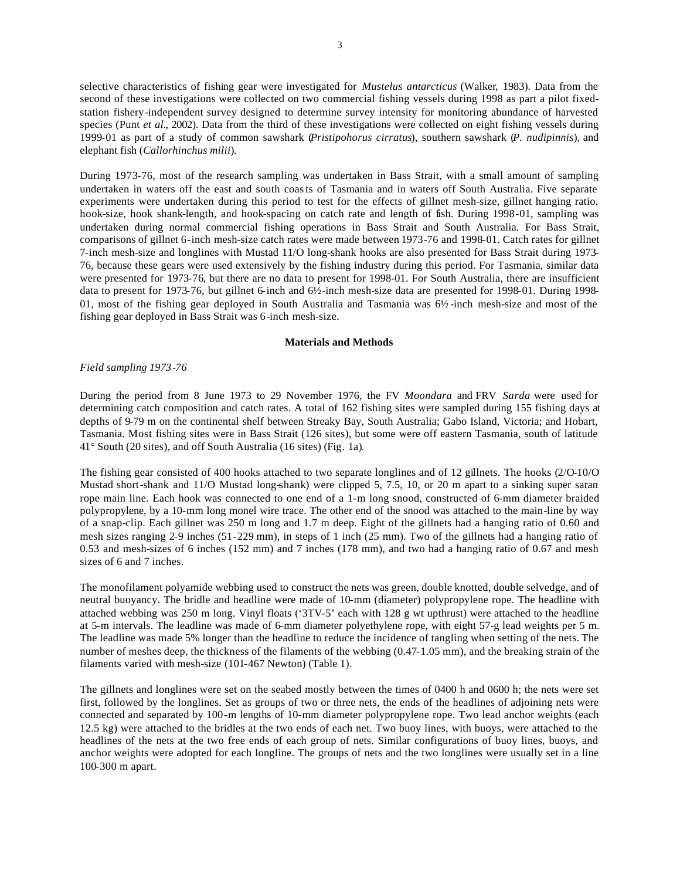selective characteristics of fishing gear were investigated for *Mustelus antarcticus* (Walker, 1983). Data from the second of these investigations were collected on two commercial fishing vessels during 1998 as part a pilot fixedstation fishery-independent survey designed to determine survey intensity for monitoring abundance of harvested species (Punt *et al.,* 2002). Data from the third of these investigations were collected on eight fishing vessels during 1999-01 as part of a study of common sawshark (*Pristipohorus cirratus*), southern sawshark (*P. nudipinnis*), and elephant fish (*Callorhinchus milii*).

During 1973-76, most of the research sampling was undertaken in Bass Strait, with a small amount of sampling undertaken in waters off the east and south coasts of Tasmania and in waters off South Australia. Five separate experiments were undertaken during this period to test for the effects of gillnet mesh-size, gillnet hanging ratio, hook-size, hook shank-length, and hook-spacing on catch rate and length of fish. During 1998-01, sampling was undertaken during normal commercial fishing operations in Bass Strait and South Australia. For Bass Strait, comparisons of gillnet 6-inch mesh-size catch rates were made between 1973-76 and 1998-01. Catch rates for gillnet 7-inch mesh-size and longlines with Mustad 11/O long-shank hooks are also presented for Bass Strait during 1973- 76, because these gears were used extensively by the fishing industry during this period. For Tasmania, similar data were presented for 1973-76, but there are no data to present for 1998-01. For South Australia, there are insufficient data to present for 1973-76, but gillnet 6-inch and  $6\frac{1}{2}$ -inch mesh-size data are presented for 1998-01. During 1998-01, most of the fishing gear deployed in South Australia and Tasmania was 6½ -inch mesh-size and most of the fishing gear deployed in Bass Strait was 6-inch mesh-size.

### **Materials and Methods**

#### *Field sampling 1973-76*

During the period from 8 June 1973 to 29 November 1976, the FV *Moondara* and FRV *Sarda* were used for determining catch composition and catch rates. A total of 162 fishing sites were sampled during 155 fishing days at depths of 9-79 m on the continental shelf between Streaky Bay, South Australia; Gabo Island, Victoria; and Hobart, Tasmania. Most fishing sites were in Bass Strait (126 sites), but some were off eastern Tasmania, south of latitude 41° South (20 sites), and off South Australia (16 sites) (Fig. 1a).

The fishing gear consisted of 400 hooks attached to two separate longlines and of 12 gillnets. The hooks (2/O-10/O Mustad short-shank and 11/O Mustad long-shank) were clipped 5, 7.5, 10, or 20 m apart to a sinking super saran rope main line. Each hook was connected to one end of a 1-m long snood, constructed of 6-mm diameter braided polypropylene, by a 10-mm long monel wire trace. The other end of the snood was attached to the main-line by way of a snap-clip. Each gillnet was 250 m long and 1.7 m deep. Eight of the gillnets had a hanging ratio of 0.60 and mesh sizes ranging 2-9 inches (51-229 mm), in steps of 1 inch (25 mm). Two of the gillnets had a hanging ratio of 0.53 and mesh-sizes of 6 inches (152 mm) and 7 inches (178 mm), and two had a hanging ratio of 0.67 and mesh sizes of 6 and 7 inches.

The monofilament polyamide webbing used to construct the nets was green, double knotted, double selvedge, and of neutral buoyancy. The bridle and headline were made of 10-mm (diameter) polypropylene rope. The headline with attached webbing was 250 m long. Vinyl floats ('3TV-5' each with 128 g wt upthrust) were attached to the headline at 5-m intervals. The leadline was made of 6-mm diameter polyethylene rope, with eight 57-g lead weights per 5 m. The leadline was made 5% longer than the headline to reduce the incidence of tangling when setting of the nets. The number of meshes deep, the thickness of the filaments of the webbing (0.47-1.05 mm), and the breaking strain of the filaments varied with mesh-size (101-467 Newton) (Table 1).

The gillnets and longlines were set on the seabed mostly between the times of 0400 h and 0600 h; the nets were set first, followed by the longlines. Set as groups of two or three nets, the ends of the headlines of adjoining nets were connected and separated by 100-m lengths of 10-mm diameter polypropylene rope. Two lead anchor weights (each 12.5 kg) were attached to the bridles at the two ends of each net. Two buoy lines, with buoys, were attached to the headlines of the nets at the two free ends of each group of nets. Similar configurations of buoy lines, buoys, and anchor weights were adopted for each longline. The groups of nets and the two longlines were usually set in a line 100-300 m apart.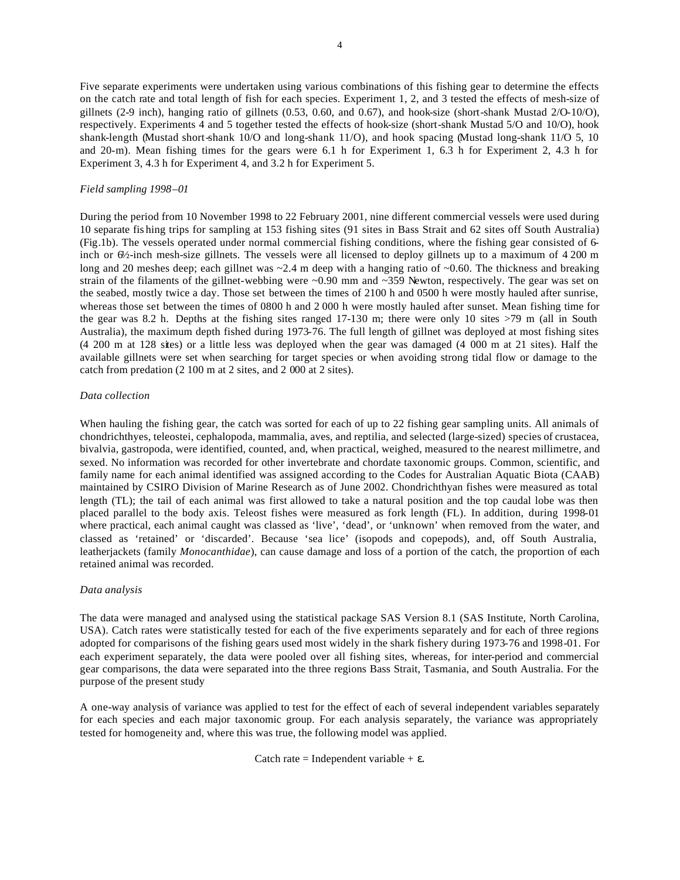Five separate experiments were undertaken using various combinations of this fishing gear to determine the effects on the catch rate and total length of fish for each species. Experiment 1, 2, and 3 tested the effects of mesh-size of gillnets (2-9 inch), hanging ratio of gillnets (0.53, 0.60, and 0.67), and hook-size (short-shank Mustad 2/O-10/O), respectively. Experiments 4 and 5 together tested the effects of hook-size (short-shank Mustad 5/O and 10/O), hook shank-length (Mustad short-shank 10/O and long-shank 11/O), and hook spacing (Mustad long-shank 11/O 5, 10 and 20-m). Mean fishing times for the gears were 6.1 h for Experiment 1, 6.3 h for Experiment 2, 4.3 h for Experiment 3, 4.3 h for Experiment 4, and 3.2 h for Experiment 5.

## *Field sampling 1998–01*

During the period from 10 November 1998 to 22 February 2001, nine different commercial vessels were used during 10 separate fis hing trips for sampling at 153 fishing sites (91 sites in Bass Strait and 62 sites off South Australia) (Fig.1b). The vessels operated under normal commercial fishing conditions, where the fishing gear consisted of 6 inch or  $6\frac{\lambda}{2}$ -inch mesh-size gillnets. The vessels were all licensed to deploy gillnets up to a maximum of 4 200 m long and 20 meshes deep; each gillnet was  $\sim$  2.4 m deep with a hanging ratio of  $\sim$  0.60. The thickness and breaking strain of the filaments of the gillnet-webbing were ~0.90 mm and ~359 Newton, respectively. The gear was set on the seabed, mostly twice a day. Those set between the times of 2100 h and 0500 h were mostly hauled after sunrise, whereas those set between the times of 0800 h and 2 000 h were mostly hauled after sunset. Mean fishing time for the gear was 8.2 h. Depths at the fishing sites ranged 17-130 m; there were only 10 sites >79 m (all in South Australia), the maximum depth fished during 1973-76. The full length of gillnet was deployed at most fishing sites (4 200 m at 128 sites) or a little less was deployed when the gear was damaged (4 000 m at 21 sites). Half the available gillnets were set when searching for target species or when avoiding strong tidal flow or damage to the catch from predation (2 100 m at 2 sites, and 2 000 at 2 sites).

### *Data collection*

When hauling the fishing gear, the catch was sorted for each of up to 22 fishing gear sampling units. All animals of chondrichthyes, teleostei, cephalopoda, mammalia, aves, and reptilia, and selected (large-sized) species of crustacea, bivalvia, gastropoda, were identified, counted, and, when practical, weighed, measured to the nearest millimetre, and sexed. No information was recorded for other invertebrate and chordate taxonomic groups. Common, scientific, and family name for each animal identified was assigned according to the Codes for Australian Aquatic Biota (CAAB) maintained by CSIRO Division of Marine Research as of June 2002. Chondrichthyan fishes were measured as total length (TL); the tail of each animal was first allowed to take a natural position and the top caudal lobe was then placed parallel to the body axis. Teleost fishes were measured as fork length (FL). In addition, during 1998-01 where practical, each animal caught was classed as 'live', 'dead', or 'unknown' when removed from the water, and classed as 'retained' or 'discarded'. Because 'sea lice' (isopods and copepods), and, off South Australia, leatherjackets (family *Monocanthidae*), can cause damage and loss of a portion of the catch, the proportion of each retained animal was recorded.

## *Data analysis*

The data were managed and analysed using the statistical package SAS Version 8.1 (SAS Institute, North Carolina, USA). Catch rates were statistically tested for each of the five experiments separately and for each of three regions adopted for comparisons of the fishing gears used most widely in the shark fishery during 1973-76 and 1998-01. For each experiment separately, the data were pooled over all fishing sites, whereas, for inter-period and commercial gear comparisons, the data were separated into the three regions Bass Strait, Tasmania, and South Australia. For the purpose of the present study

A one-way analysis of variance was applied to test for the effect of each of several independent variables separately for each species and each major taxonomic group. For each analysis separately, the variance was appropriately tested for homogeneity and, where this was true, the following model was applied.

Catch rate = Independent variable  $+ \varepsilon$ .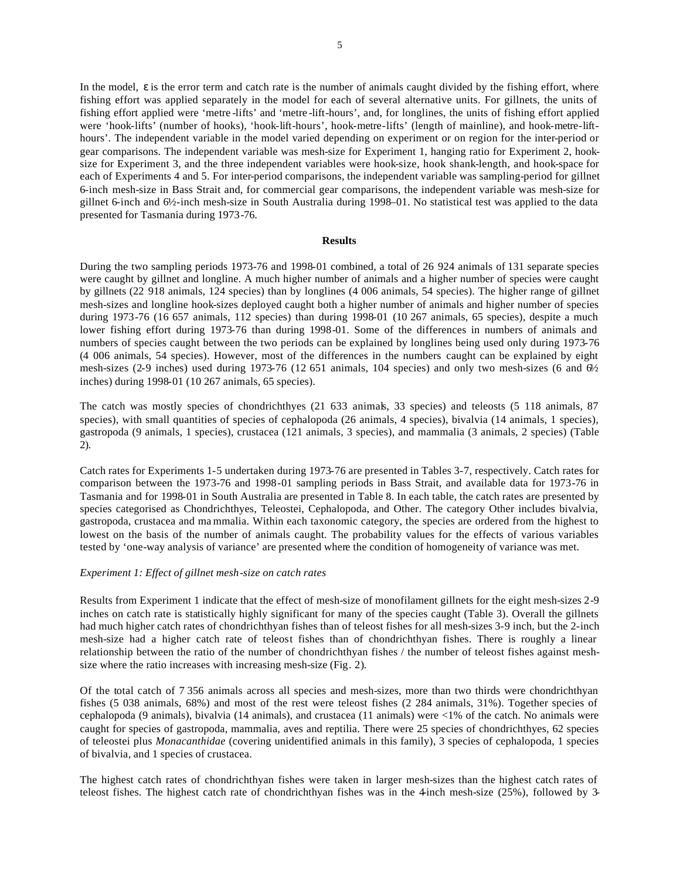In the model, ε is the error term and catch rate is the number of animals caught divided by the fishing effort, where fishing effort was applied separately in the model for each of several alternative units. For gillnets, the units of fishing effort applied were 'metre -lifts' and 'metre -lift-hours', and, for longlines, the units of fishing effort applied were 'hook-lifts' (number of hooks), 'hook-lift-hours', hook-metre-lifts' (length of mainline), and hook-metre-lifthours'. The independent variable in the model varied depending on experiment or on region for the inter-period or gear comparisons. The independent variable was mesh-size for Experiment 1, hanging ratio for Experiment 2, hooksize for Experiment 3, and the three independent variables were hook-size, hook shank-length, and hook-space for each of Experiments 4 and 5. For inter-period comparisons, the independent variable was sampling-period for gillnet 6-inch mesh-size in Bass Strait and, for commercial gear comparisons, the independent variable was mesh-size for gillnet 6-inch and 6½-inch mesh-size in South Australia during 1998–01. No statistical test was applied to the data presented for Tasmania during 1973-76.

#### **Results**

During the two sampling periods 1973-76 and 1998-01 combined, a total of 26 924 animals of 131 separate species were caught by gillnet and longline. A much higher number of animals and a higher number of species were caught by gillnets (22 918 animals, 124 species) than by longlines (4 006 animals, 54 species). The higher range of gillnet mesh-sizes and longline hook-sizes deployed caught both a higher number of animals and higher number of species during 1973-76 (16 657 animals, 112 species) than during 1998-01 (10 267 animals, 65 species), despite a much lower fishing effort during 1973-76 than during 1998-01. Some of the differences in numbers of animals and numbers of species caught between the two periods can be explained by longlines being used only during 1973-76 (4 006 animals, 54 species). However, most of the differences in the numbers caught can be explained by eight mesh-sizes (2-9 inches) used during 1973-76 (12 651 animals, 104 species) and only two mesh-sizes (6 and 6½ inches) during 1998-01 (10 267 animals, 65 species).

The catch was mostly species of chondrichthyes (21 633 animals, 33 species) and teleosts (5 118 animals, 87 species), with small quantities of species of cephalopoda (26 animals, 4 species), bivalvia (14 animals, 1 species), gastropoda (9 animals, 1 species), crustacea (121 animals, 3 species), and mammalia (3 animals, 2 species) (Table 2).

Catch rates for Experiments 1-5 undertaken during 1973-76 are presented in Tables 3-7, respectively. Catch rates for comparison between the 1973-76 and 1998-01 sampling periods in Bass Strait, and available data for 1973-76 in Tasmania and for 1998-01 in South Australia are presented in Table 8. In each table, the catch rates are presented by species categorised as Chondrichthyes, Teleostei, Cephalopoda, and Other. The category Other includes bivalvia, gastropoda, crustacea and ma mmalia. Within each taxonomic category, the species are ordered from the highest to lowest on the basis of the number of animals caught. The probability values for the effects of various variables tested by 'one-way analysis of variance' are presented where the condition of homogeneity of variance was met.

### *Experiment 1: Effect of gillnet mesh-size on catch rates*

Results from Experiment 1 indicate that the effect of mesh-size of monofilament gillnets for the eight mesh-sizes 2-9 inches on catch rate is statistically highly significant for many of the species caught (Table 3). Overall the gillnets had much higher catch rates of chondrichthyan fishes than of teleost fishes for all mesh-sizes 3-9 inch, but the 2-inch mesh-size had a higher catch rate of teleost fishes than of chondrichthyan fishes. There is roughly a linear relationship between the ratio of the number of chondrichthyan fishes / the number of teleost fishes against meshsize where the ratio increases with increasing mesh-size (Fig. 2).

Of the total catch of 7 356 animals across all species and mesh-sizes, more than two thirds were chondrichthyan fishes (5 038 animals, 68%) and most of the rest were teleost fishes (2 284 animals, 31%). Together species of cephalopoda (9 animals), bivalvia (14 animals), and crustacea (11 animals) were <1% of the catch. No animals were caught for species of gastropoda, mammalia, aves and reptilia. There were 25 species of chondrichthyes, 62 species of teleostei plus *Monacanthidae* (covering unidentified animals in this family), 3 species of cephalopoda, 1 species of bivalvia, and 1 species of crustacea.

The highest catch rates of chondrichthyan fishes were taken in larger mesh-sizes than the highest catch rates of teleost fishes. The highest catch rate of chondrichthyan fishes was in the 4-inch mesh-size (25%), followed by 3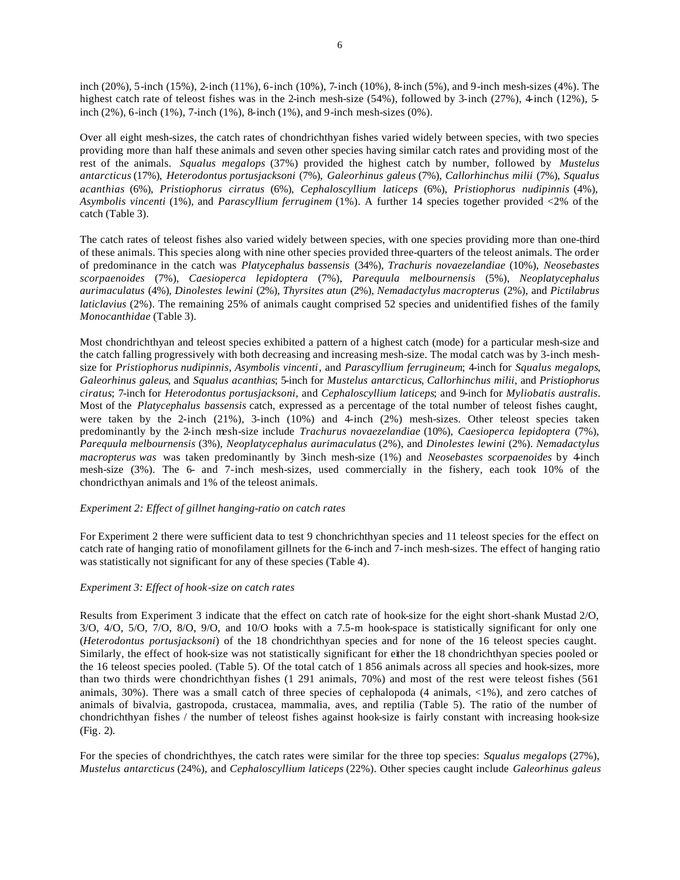inch (20%), 5-inch (15%), 2-inch (11%), 6-inch (10%), 7-inch (10%), 8-inch (5%), and 9-inch mesh-sizes (4%). The highest catch rate of teleost fishes was in the 2-inch mesh-size (54%), followed by 3-inch (27%), 4-inch (12%), 5inch (2%), 6-inch (1%), 7-inch (1%), 8-inch (1%), and 9-inch mesh-sizes (0%).

Over all eight mesh-sizes, the catch rates of chondrichthyan fishes varied widely between species, with two species providing more than half these animals and seven other species having similar catch rates and providing most of the rest of the animals. *Squalus megalops* (37%) provided the highest catch by number, followed by *Mustelus antarcticus* (17%), *Heterodontus portusjacksoni* (7%), *Galeorhinus galeus* (7%), *Callorhinchus milii* (7%), *Squalus acanthias* (6%), *Pristiophorus cirratus* (6%), *Cephaloscyllium laticeps* (6%), *Pristiophorus nudipinnis* (4%), *Asymbolis vincenti* (1%), and *Parascyllium ferruginem* (1%). A further 14 species together provided <2% of the catch (Table 3).

The catch rates of teleost fishes also varied widely between species, with one species providing more than one-third of these animals. This species along with nine other species provided three-quarters of the teleost animals. The order of predominance in the catch was *Platycephalus bassensis* (34%), *Trachuris novaezelandiae* (10%), *Neosebastes scorpaenoides* (7%), *Caesioperca lepidoptera* (7%), *Parequula melbournensis* (5%), *Neoplatycephalus aurimaculatus* (4%), *Dinolestes lewini* (2%), *Thyrsites atun* (2%), *Nemadactylus macropterus* (2%), and *Pictilabrus laticlavius* (2%). The remaining 25% of animals caught comprised 52 species and unidentified fishes of the family *Monocanthidae* (Table 3).

Most chondrichthyan and teleost species exhibited a pattern of a highest catch (mode) for a particular mesh-size and the catch falling progressively with both decreasing and increasing mesh-size. The modal catch was by 3-inch meshsize for *Pristiophorus nudipinnis*, *Asymbolis vincenti*, and *Parascyllium ferrugineum*; 4-inch for *Squalus megalops*, *Galeorhinus galeus*, and *Squalus acanthias*; 5-inch for *Mustelus antarcticus*, *Callorhinchus milii*, and *Pristiophorus ciratus*; 7-inch for *Heterodontus portusjacksoni*, and *Cephaloscyllium laticeps*; and 9-inch for *Myliobatis australis*. Most of the *Platycephalus bassensis* catch, expressed as a percentage of the total number of teleost fishes caught, were taken by the 2-inch (21%), 3-inch (10%) and 4-inch (2%) mesh-sizes. Other teleost species taken predominantly by the 2-inch mesh-size include *Trachurus novaezelandiae* (10%), *Caesioperca lepidoptera* (7%), *Parequula melbournensis* (3%), *Neoplatycephalus aurimaculatus* (2%), and *Dinolestes lewini* (2%). *Nemadactylus macropterus was* was taken predominantly by 3-inch mesh-size (1%) and *Neosebastes scorpaenoides* by 4-inch mesh-size (3%). The 6- and 7-inch mesh-sizes, used commercially in the fishery, each took 10% of the chondricthyan animals and 1% of the teleost animals.

## *Experiment 2: Effect of gillnet hanging-ratio on catch rates*

For Experiment 2 there were sufficient data to test 9 chonchrichthyan species and 11 teleost species for the effect on catch rate of hanging ratio of monofilament gillnets for the 6-inch and 7-inch mesh-sizes. The effect of hanging ratio was statistically not significant for any of these species (Table 4).

## *Experiment 3: Effect of hook-size on catch rates*

Results from Experiment 3 indicate that the effect on catch rate of hook-size for the eight short-shank Mustad 2/O, 3/O, 4/O, 5/O, 7/O, 8/O, 9/O, and 10/O hooks with a 7.5-m hook-space is statistically significant for only one (*Heterodontus portusjacksoni*) of the 18 chondrichthyan species and for none of the 16 teleost species caught. Similarly, the effect of hook-size was not statistically significant for either the 18 chondrichthyan species pooled or the 16 teleost species pooled. (Table 5). Of the total catch of 1 856 animals across all species and hook-sizes, more than two thirds were chondrichthyan fishes (1 291 animals, 70%) and most of the rest were teleost fishes (561 animals, 30%). There was a small catch of three species of cephalopoda (4 animals, <1%), and zero catches of animals of bivalvia, gastropoda, crustacea, mammalia, aves, and reptilia (Table 5). The ratio of the number of chondrichthyan fishes / the number of teleost fishes against hook-size is fairly constant with increasing hook-size (Fig. 2).

For the species of chondrichthyes, the catch rates were similar for the three top species: *Squalus megalops* (27%), *Mustelus antarcticus* (24%), and *Cephaloscyllium laticeps* (22%). Other species caught include *Galeorhinus galeus*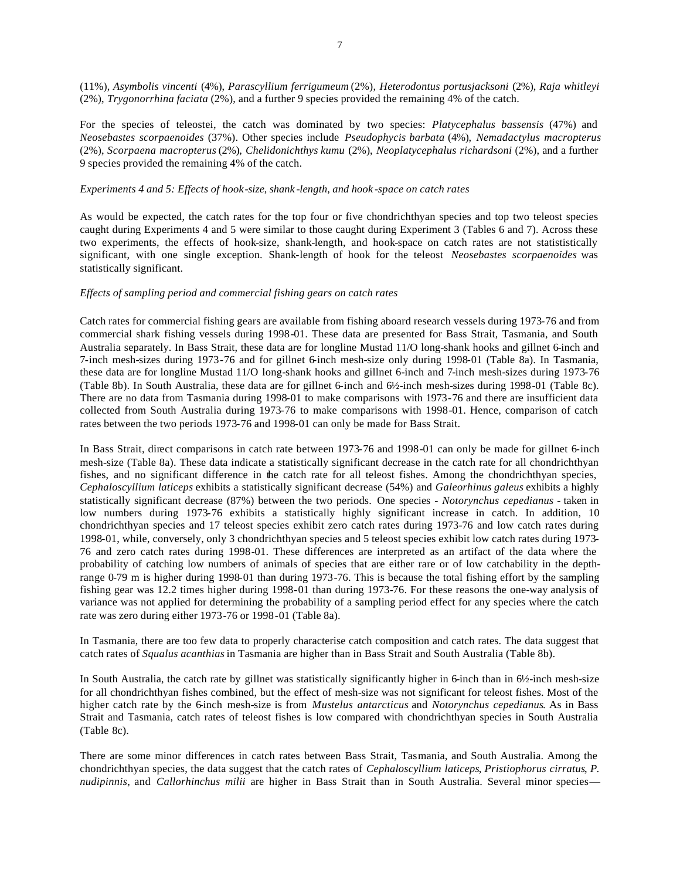(11%), *Asymbolis vincenti* (4%), *Parascyllium ferrigumeum* (2%), *Heterodontus portusjacksoni* (2%), *Raja whitleyi* (2%), *Trygonorrhina faciata* (2%), and a further 9 species provided the remaining 4% of the catch.

For the species of teleostei, the catch was dominated by two species: *Platycephalus bassensis* (47%) and *Neosebastes scorpaenoides* (37%). Other species include *Pseudophycis barbata* (4%), *Nemadactylus macropterus* (2%), *Scorpaena macropterus* (2%), *Chelidonichthys kumu* (2%), *Neoplatycephalus richardsoni* (2%), and a further 9 species provided the remaining 4% of the catch.

## *Experiments 4 and 5: Effects of hook-size, shank -length, and hook -space on catch rates*

As would be expected, the catch rates for the top four or five chondrichthyan species and top two teleost species caught during Experiments 4 and 5 were similar to those caught during Experiment 3 (Tables 6 and 7). Across these two experiments, the effects of hook-size, shank-length, and hook-space on catch rates are not statististically significant, with one single exception. Shank-length of hook for the teleost *Neosebastes scorpaenoides* was statistically significant.

## *Effects of sampling period and commercial fishing gears on catch rates*

Catch rates for commercial fishing gears are available from fishing aboard research vessels during 1973-76 and from commercial shark fishing vessels during 1998-01. These data are presented for Bass Strait, Tasmania, and South Australia separately. In Bass Strait, these data are for longline Mustad 11/O long-shank hooks and gillnet 6-inch and 7-inch mesh-sizes during 1973-76 and for gillnet 6-inch mesh-size only during 1998-01 (Table 8a). In Tasmania, these data are for longline Mustad 11/O long-shank hooks and gillnet 6-inch and 7-inch mesh-sizes during 1973-76 (Table 8b). In South Australia, these data are for gillnet 6-inch and 6½-inch mesh-sizes during 1998-01 (Table 8c). There are no data from Tasmania during 1998-01 to make comparisons with 1973-76 and there are insufficient data collected from South Australia during 1973-76 to make comparisons with 1998-01. Hence, comparison of catch rates between the two periods 1973-76 and 1998-01 can only be made for Bass Strait.

In Bass Strait, direct comparisons in catch rate between 1973-76 and 1998-01 can only be made for gillnet 6-inch mesh-size (Table 8a). These data indicate a statistically significant decrease in the catch rate for all chondrichthyan fishes, and no significant difference in the catch rate for all teleost fishes. Among the chondrichthyan species, *Cephaloscyllium laticeps* exhibits a statistically significant decrease (54%) and *Galeorhinus galeus* exhibits a highly statistically significant decrease (87%) between the two periods. One species - *Notorynchus cepedianus -* taken in low numbers during 1973-76 exhibits a statistically highly significant increase in catch. In addition, 10 chondrichthyan species and 17 teleost species exhibit zero catch rates during 1973-76 and low catch rates during 1998-01, while, conversely, only 3 chondrichthyan species and 5 teleost species exhibit low catch rates during 1973- 76 and zero catch rates during 1998-01. These differences are interpreted as an artifact of the data where the probability of catching low numbers of animals of species that are either rare or of low catchability in the depthrange 0-79 m is higher during 1998-01 than during 1973-76. This is because the total fishing effort by the sampling fishing gear was 12.2 times higher during 1998-01 than during 1973-76. For these reasons the one-way analysis of variance was not applied for determining the probability of a sampling period effect for any species where the catch rate was zero during either 1973-76 or 1998-01 (Table 8a).

In Tasmania, there are too few data to properly characterise catch composition and catch rates. The data suggest that catch rates of *Squalus acanthias* in Tasmania are higher than in Bass Strait and South Australia (Table 8b).

In South Australia, the catch rate by gillnet was statistically significantly higher in 6-inch than in 6½-inch mesh-size for all chondrichthyan fishes combined, but the effect of mesh-size was not significant for teleost fishes. Most of the higher catch rate by the 6-inch mesh-size is from *Mustelus antarcticus* and *Notorynchus cepedianus*. As in Bass Strait and Tasmania, catch rates of teleost fishes is low compared with chondrichthyan species in South Australia (Table 8c).

There are some minor differences in catch rates between Bass Strait, Tasmania, and South Australia. Among the chondrichthyan species, the data suggest that the catch rates of *Cephaloscyllium laticeps*, *Pristiophorus cirratus*, *P. nudipinnis*, and *Callorhinchus milii* are higher in Bass Strait than in South Australia. Several minor species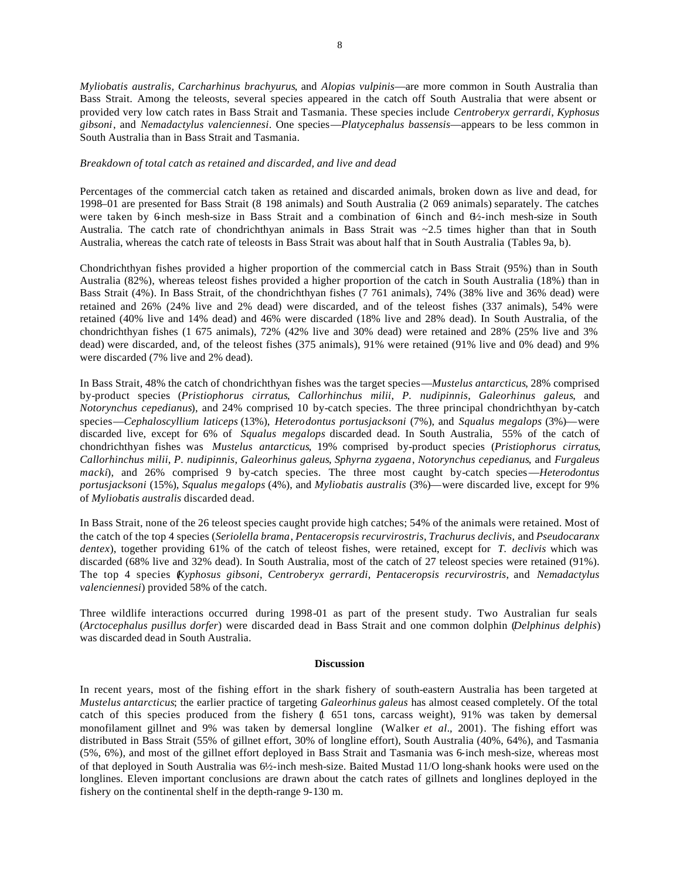8

*Myliobatis australis*, *Carcharhinus brachyurus*, and *Alopias vulpinis*—are more common in South Australia than Bass Strait. Among the teleosts, several species appeared in the catch off South Australia that were absent or provided very low catch rates in Bass Strait and Tasmania. These species include *Centroberyx gerrardi*, *Kyphosus gibsoni*, and *Nemadactylus valenciennesi*. One species—*Platycephalus bassensis*—appears to be less common in South Australia than in Bass Strait and Tasmania.

## *Breakdown of total catch as retained and discarded, and live and dead*

Percentages of the commercial catch taken as retained and discarded animals, broken down as live and dead, for 1998–01 are presented for Bass Strait (8 198 animals) and South Australia (2 069 animals) separately. The catches were taken by 6-inch mesh-size in Bass Strait and a combination of 6-inch and  $\theta$ -inch mesh-size in South Australia. The catch rate of chondrichthyan animals in Bass Strait was  $\sim$ 2.5 times higher than that in South Australia, whereas the catch rate of teleosts in Bass Strait was about half that in South Australia (Tables 9a, b).

Chondrichthyan fishes provided a higher proportion of the commercial catch in Bass Strait (95%) than in South Australia (82%), whereas teleost fishes provided a higher proportion of the catch in South Australia (18%) than in Bass Strait (4%). In Bass Strait, of the chondrichthyan fishes (7 761 animals), 74% (38% live and 36% dead) were retained and 26% (24% live and 2% dead) were discarded, and of the teleost fishes (337 animals), 54% were retained (40% live and 14% dead) and 46% were discarded (18% live and 28% dead). In South Australia, of the chondrichthyan fishes (1 675 animals), 72% (42% live and 30% dead) were retained and 28% (25% live and 3% dead) were discarded, and, of the teleost fishes (375 animals), 91% were retained (91% live and 0% dead) and 9% were discarded (7% live and 2% dead).

In Bass Strait, 48% the catch of chondrichthyan fishes was the target species—*Mustelus antarcticus*, 28% comprised by-product species (*Pristiophorus cirratus*, *Callorhinchus milii*, *P. nudipinnis*, *Galeorhinus galeus*, and *Notorynchus cepedianus*), and 24% comprised 10 by-catch species. The three principal chondrichthyan by-catch species—*Cephaloscyllium laticeps* (13%), *Heterodontus portusjacksoni* (7%), and *Squalus megalops* (3%)—were discarded live, except for 6% of *Squalus megalops* discarded dead. In South Australia, 55% of the catch of chondrichthyan fishes was *Mustelus antarcticus*, 19% comprised by-product species (*Pristiophorus cirratus*, *Callorhinchus milii*, *P. nudipinnis*, *Galeorhinus galeus*, *Sphyrna zygaena*, *Notorynchus cepedianus*, and *Furgaleus macki*), and 26% comprised 9 by-catch species. The three most caught by-catch species—*Heterodontus portusjacksoni* (15%), *Squalus megalops* (4%), and *Myliobatis australis* (3%)—were discarded live, except for 9% of *Myliobatis australis* discarded dead.

In Bass Strait, none of the 26 teleost species caught provide high catches; 54% of the animals were retained. Most of the catch of the top 4 species (*Seriolella brama*, *Pentaceropsis recurvirostris*, *Trachurus declivis*, and *Pseudocaranx dentex*), together providing 61% of the catch of teleost fishes, were retained, except for *T. declivis* which was discarded (68% live and 32% dead). In South Australia, most of the catch of 27 teleost species were retained (91%). The top 4 species (*Kyphosus gibsoni*, *Centroberyx gerrardi*, *Pentaceropsis recurvirostris*, and *Nemadactylus valenciennesi*) provided 58% of the catch.

Three wildlife interactions occurred during 1998-01 as part of the present study. Two Australian fur seals (*Arctocephalus pusillus dorfer*) were discarded dead in Bass Strait and one common dolphin (*Delphinus delphis*) was discarded dead in South Australia.

### **Discussion**

In recent years, most of the fishing effort in the shark fishery of south-eastern Australia has been targeted at *Mustelus antarcticus*; the earlier practice of targeting *Galeorhinus galeus* has almost ceased completely. Of the total catch of this species produced from the fishery (1 651 tons, carcass weight), 91% was taken by demersal monofilament gillnet and 9% was taken by demersal longline (Walker *et al.,* 2001). The fishing effort was distributed in Bass Strait (55% of gillnet effort, 30% of longline effort), South Australia (40%, 64%), and Tasmania (5%, 6%), and most of the gillnet effort deployed in Bass Strait and Tasmania was 6-inch mesh-size, whereas most of that deployed in South Australia was 6½-inch mesh-size. Baited Mustad 11/O long-shank hooks were used on the longlines. Eleven important conclusions are drawn about the catch rates of gillnets and longlines deployed in the fishery on the continental shelf in the depth-range 9-130 m.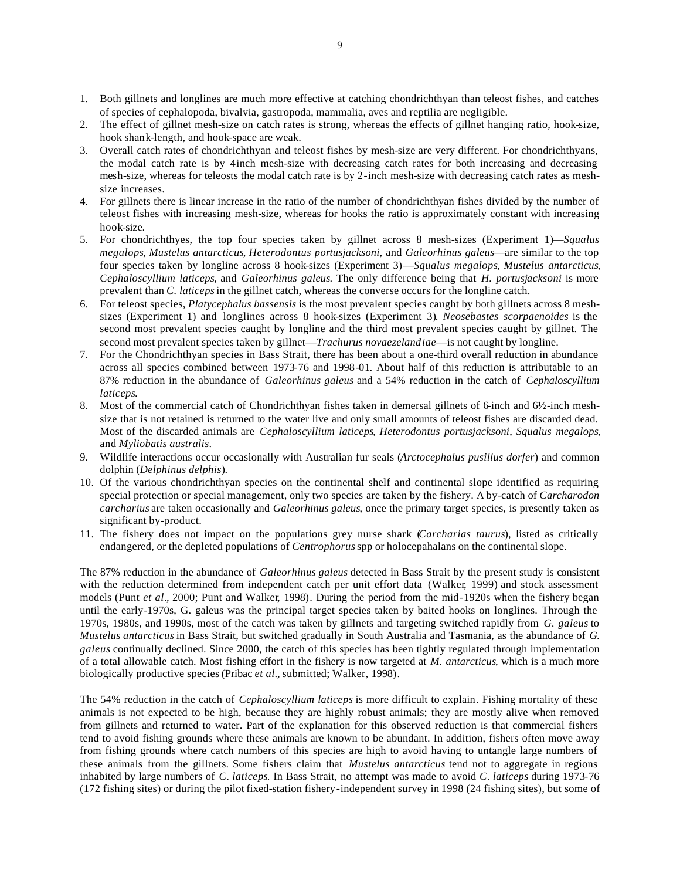- 1. Both gillnets and longlines are much more effective at catching chondrichthyan than teleost fishes, and catches of species of cephalopoda, bivalvia, gastropoda, mammalia, aves and reptilia are negligible.
- 2. The effect of gillnet mesh-size on catch rates is strong, whereas the effects of gillnet hanging ratio, hook-size, hook shank-length, and hook-space are weak.
- 3. Overall catch rates of chondrichthyan and teleost fishes by mesh-size are very different. For chondrichthyans, the modal catch rate is by 4-inch mesh-size with decreasing catch rates for both increasing and decreasing mesh-size, whereas for teleosts the modal catch rate is by 2-inch mesh-size with decreasing catch rates as meshsize increases.
- 4. For gillnets there is linear increase in the ratio of the number of chondrichthyan fishes divided by the number of teleost fishes with increasing mesh-size, whereas for hooks the ratio is approximately constant with increasing hook-size.
- 5. For chondrichthyes, the top four species taken by gillnet across 8 mesh-sizes (Experiment 1)—*Squalus megalops*, *Mustelus antarcticus*, *Heterodontus portusjacksoni*, and *Galeorhinus galeus*—are similar to the top four species taken by longline across 8 hook-sizes (Experiment 3)—*Squalus megalops*, *Mustelus antarcticus*, *Cephaloscyllium laticeps*, and *Galeorhinus galeus*. The only difference being that *H. portusjacksoni* is more prevalent than *C. laticeps* in the gillnet catch, whereas the converse occurs for the longline catch.
- 6. For teleost species, *Platycephalus bassensis* is the most prevalent species caught by both gillnets across 8 meshsizes (Experiment 1) and longlines across 8 hook-sizes (Experiment 3). *Neosebastes scorpaenoides* is the second most prevalent species caught by longline and the third most prevalent species caught by gillnet. The second most prevalent species taken by gillnet—*Trachurus novaezelandiae*—is not caught by longline.
- 7. For the Chondrichthyan species in Bass Strait, there has been about a one-third overall reduction in abundance across all species combined between 1973-76 and 1998-01. About half of this reduction is attributable to an 87% reduction in the abundance of *Galeorhinus galeus* and a 54% reduction in the catch of *Cephaloscyllium laticeps*.
- 8. Most of the commercial catch of Chondrichthyan fishes taken in demersal gillnets of 6-inch and 6½-inch meshsize that is not retained is returned to the water live and only small amounts of teleost fishes are discarded dead. Most of the discarded animals are *Cephaloscyllium laticeps*, *Heterodontus portusjacksoni*, *Squalus megalops*, and *Myliobatis australis*.
- 9. Wildlife interactions occur occasionally with Australian fur seals (*Arctocephalus pusillus dorfer*) and common dolphin (*Delphinus delphis*).
- 10. Of the various chondrichthyan species on the continental shelf and continental slope identified as requiring special protection or special management, only two species are taken by the fishery. A by-catch of *Carcharodon carcharius* are taken occasionally and *Galeorhinus galeus*, once the primary target species, is presently taken as significant by-product.
- 11. The fishery does not impact on the populations grey nurse shark (*Carcharias taurus*), listed as critically endangered, or the depleted populations of *Centrophorus* spp or holocepahalans on the continental slope.

The 87% reduction in the abundance of *Galeorhinus galeus* detected in Bass Strait by the present study is consistent with the reduction determined from independent catch per unit effort data (Walker, 1999) and stock assessment models (Punt *et al.,* 2000; Punt and Walker, 1998). During the period from the mid-1920s when the fishery began until the early-1970s, G. galeus was the principal target species taken by baited hooks on longlines. Through the 1970s, 1980s, and 1990s, most of the catch was taken by gillnets and targeting switched rapidly from *G. galeus* to *Mustelus antarcticus* in Bass Strait, but switched gradually in South Australia and Tasmania, as the abundance of *G. galeus* continually declined. Since 2000, the catch of this species has been tightly regulated through implementation of a total allowable catch. Most fishing effort in the fishery is now targeted at *M. antarcticus*, which is a much more biologically productive species (Pribac *et al.,* submitted; Walker, 1998).

The 54% reduction in the catch of *Cephaloscyllium laticeps* is more difficult to explain. Fishing mortality of these animals is not expected to be high, because they are highly robust animals; they are mostly alive when removed from gillnets and returned to water. Part of the explanation for this observed reduction is that commercial fishers tend to avoid fishing grounds where these animals are known to be abundant. In addition, fishers often move away from fishing grounds where catch numbers of this species are high to avoid having to untangle large numbers of these animals from the gillnets. Some fishers claim that *Mustelus antarcticus* tend not to aggregate in regions inhabited by large numbers of *C*. *laticeps*. In Bass Strait, no attempt was made to avoid *C*. *laticeps* during 1973-76 (172 fishing sites) or during the pilot fixed-station fishery-independent survey in 1998 (24 fishing sites), but some of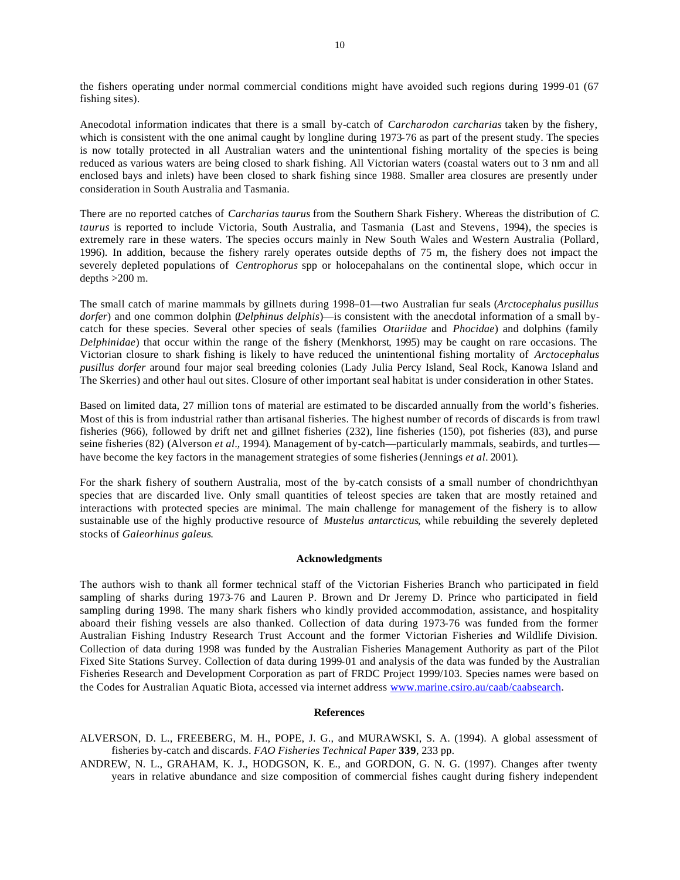the fishers operating under normal commercial conditions might have avoided such regions during 1999-01 (67 fishing sites).

Anecodotal information indicates that there is a small by-catch of *Carcharodon carcharias* taken by the fishery, which is consistent with the one animal caught by longline during 1973-76 as part of the present study. The species is now totally protected in all Australian waters and the unintentional fishing mortality of the species is being reduced as various waters are being closed to shark fishing. All Victorian waters (coastal waters out to 3 nm and all enclosed bays and inlets) have been closed to shark fishing since 1988. Smaller area closures are presently under consideration in South Australia and Tasmania.

There are no reported catches of *Carcharias taurus* from the Southern Shark Fishery. Whereas the distribution of *C. taurus* is reported to include Victoria, South Australia, and Tasmania (Last and Stevens, 1994), the species is extremely rare in these waters. The species occurs mainly in New South Wales and Western Australia (Pollard, 1996). In addition, because the fishery rarely operates outside depths of 75 m, the fishery does not impact the severely depleted populations of *Centrophorus* spp or holocepahalans on the continental slope, which occur in depths  $>200$  m.

The small catch of marine mammals by gillnets during 1998–01—two Australian fur seals (*Arctocephalus pusillus dorfer*) and one common dolphin (*Delphinus delphis*)—is consistent with the anecdotal information of a small bycatch for these species. Several other species of seals (families *Otariidae* and *Phocidae*) and dolphins (family *Delphinidae*) that occur within the range of the fishery (Menkhorst, 1995) may be caught on rare occasions. The Victorian closure to shark fishing is likely to have reduced the unintentional fishing mortality of *Arctocephalus pusillus dorfer* around four major seal breeding colonies (Lady Julia Percy Island, Seal Rock, Kanowa Island and The Skerries) and other haul out sites. Closure of other important seal habitat is under consideration in other States.

Based on limited data, 27 million tons of material are estimated to be discarded annually from the world's fisheries. Most of this is from industrial rather than artisanal fisheries. The highest number of records of discards is from trawl fisheries (966), followed by drift net and gillnet fisheries (232), line fisheries (150), pot fisheries (83), and purse seine fisheries (82) (Alverson *et al.,* 1994). Management of by-catch—particularly mammals, seabirds, and turtles have become the key factors in the management strategies of some fisheries (Jennings *et al.* 2001).

For the shark fishery of southern Australia, most of the by-catch consists of a small number of chondrichthyan species that are discarded live. Only small quantities of teleost species are taken that are mostly retained and interactions with protected species are minimal. The main challenge for management of the fishery is to allow sustainable use of the highly productive resource of *Mustelus antarcticus*, while rebuilding the severely depleted stocks of *Galeorhinus galeus*.

### **Acknowledgments**

The authors wish to thank all former technical staff of the Victorian Fisheries Branch who participated in field sampling of sharks during 1973-76 and Lauren P. Brown and Dr Jeremy D. Prince who participated in field sampling during 1998. The many shark fishers who kindly provided accommodation, assistance, and hospitality aboard their fishing vessels are also thanked. Collection of data during 1973-76 was funded from the former Australian Fishing Industry Research Trust Account and the former Victorian Fisheries and Wildlife Division. Collection of data during 1998 was funded by the Australian Fisheries Management Authority as part of the Pilot Fixed Site Stations Survey. Collection of data during 1999-01 and analysis of the data was funded by the Australian Fisheries Research and Development Corporation as part of FRDC Project 1999/103. Species names were based on the Codes for Australian Aquatic Biota, accessed via internet address www.marine.csiro.au/caab/caabsearch.

### **References**

- ALVERSON, D. L., FREEBERG, M. H., POPE, J. G., and MURAWSKI, S. A. (1994). A global assessment of fisheries by-catch and discards. *FAO Fisheries Technical Paper* **339**, 233 pp.
- ANDREW, N. L., GRAHAM, K. J., HODGSON, K. E., and GORDON, G. N. G. (1997). Changes after twenty years in relative abundance and size composition of commercial fishes caught during fishery independent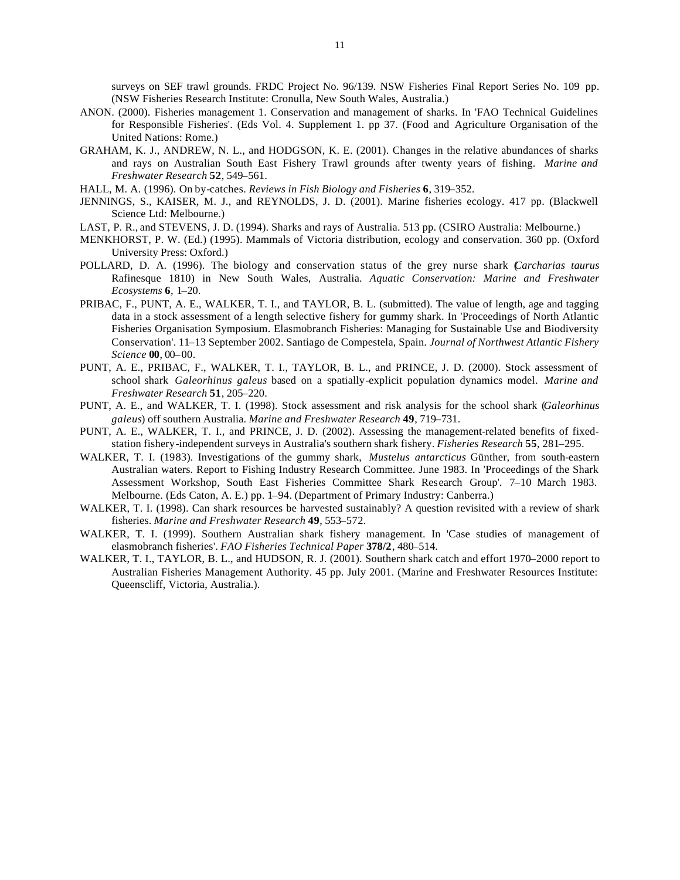surveys on SEF trawl grounds. FRDC Project No. 96/139. NSW Fisheries Final Report Series No. 109 pp. (NSW Fisheries Research Institute: Cronulla, New South Wales, Australia.)

- ANON. (2000). Fisheries management 1. Conservation and management of sharks. In 'FAO Technical Guidelines for Responsible Fisheries'. (Eds Vol. 4. Supplement 1. pp 37. (Food and Agriculture Organisation of the United Nations: Rome.)
- GRAHAM, K. J., ANDREW, N. L., and HODGSON, K. E. (2001). Changes in the relative abundances of sharks and rays on Australian South East Fishery Trawl grounds after twenty years of fishing. *Marine and Freshwater Research* **52**, 549–561.
- HALL, M. A. (1996). On by-catches. *Reviews in Fish Biology and Fisheries* **6**, 319–352.
- JENNINGS, S., KAISER, M. J., and REYNOLDS, J. D. (2001). Marine fisheries ecology. 417 pp. (Blackwell Science Ltd: Melbourne.)
- LAST, P. R., and STEVENS, J. D. (1994). Sharks and rays of Australia. 513 pp. (CSIRO Australia: Melbourne.)
- MENKHORST, P. W. (Ed.) (1995). Mammals of Victoria distribution, ecology and conservation. 360 pp. (Oxford University Press: Oxford.)
- POLLARD, D. A. (1996). The biology and conservation status of the grey nurse shark (*Carcharias taurus* Rafinesque 1810) in New South Wales, Australia. *Aquatic Conservation: Marine and Freshwater Ecosystems* **6**, 1–20.
- PRIBAC, F., PUNT, A. E., WALKER, T. I., and TAYLOR, B. L. (submitted). The value of length, age and tagging data in a stock assessment of a length selective fishery for gummy shark. In 'Proceedings of North Atlantic Fisheries Organisation Symposium. Elasmobranch Fisheries: Managing for Sustainable Use and Biodiversity Conservation'. 11–13 September 2002. Santiago de Compestela, Spain. *Journal of Northwest Atlantic Fishery Science* **00**, 00–00.
- PUNT, A. E., PRIBAC, F., WALKER, T. I., TAYLOR, B. L., and PRINCE, J. D. (2000). Stock assessment of school shark *Galeorhinus galeus* based on a spatially-explicit population dynamics model. *Marine and Freshwater Research* **51**, 205–220.
- PUNT, A. E., and WALKER, T. I. (1998). Stock assessment and risk analysis for the school shark (*Galeorhinus galeus*) off southern Australia. *Marine and Freshwater Research* **49**, 719–731.
- PUNT, A. E., WALKER, T. I., and PRINCE, J. D. (2002). Assessing the management-related benefits of fixedstation fishery-independent surveys in Australia's southern shark fishery. *Fisheries Research* **55**, 281–295.
- WALKER, T. I. (1983). Investigations of the gummy shark, *Mustelus antarcticus* Günther, from south-eastern Australian waters. Report to Fishing Industry Research Committee. June 1983. In 'Proceedings of the Shark Assessment Workshop, South East Fisheries Committee Shark Research Group'. 7–10 March 1983. Melbourne. (Eds Caton, A. E.) pp. 1–94. (Department of Primary Industry: Canberra.)
- WALKER, T. I. (1998). Can shark resources be harvested sustainably? A question revisited with a review of shark fisheries. *Marine and Freshwater Research* **49**, 553–572.
- WALKER, T. I. (1999). Southern Australian shark fishery management. In 'Case studies of management of elasmobranch fisheries'. *FAO Fisheries Technical Paper* **378/2**, 480–514.
- WALKER, T. I., TAYLOR, B. L., and HUDSON, R. J. (2001). Southern shark catch and effort 1970–2000 report to Australian Fisheries Management Authority. 45 pp. July 2001. (Marine and Freshwater Resources Institute: Queenscliff, Victoria, Australia.).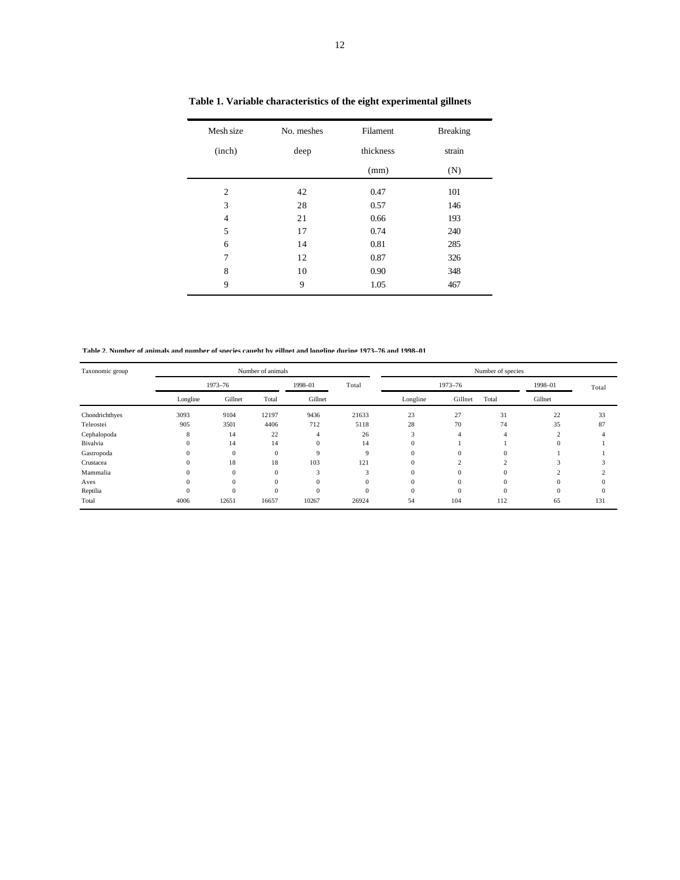| Mesh size      | No. meshes | Filament  | <b>Breaking</b> |
|----------------|------------|-----------|-----------------|
| (inch)         | deep       | thickness | strain          |
|                |            | (mm)      | (N)             |
| $\overline{2}$ | 42         | 0.47      | 101             |
| 3              | 28         | 0.57      | 146             |
| 4              | 21         | 0.66      | 193             |
| 5              | 17         | 0.74      | 240             |
| 6              | 14         | 0.81      | 285             |
| 7              | 12         | 0.87      | 326             |
| 8              | 10         | 0.90      | 348             |
| 9              | 9          | 1.05      | 467             |

**Table 1. Variable characteristics of the eight experimental gillnets**

**Table 2. Number of animals and number of species caught by gillnet and longline during 1973–76 and 1998–01** 

| Taxonomic group |          |          | Number of animals |          |          | Number of species |          |          |              |       |  |
|-----------------|----------|----------|-------------------|----------|----------|-------------------|----------|----------|--------------|-------|--|
|                 |          | 1973-76  |                   | 1998-01  | Total    | 1973-76           |          |          | 1998-01      | Total |  |
|                 | Longline | Gillnet  | Total             | Gillnet  |          | Longline          | Gillnet  | Total    | Gillnet      |       |  |
| Chondrichthyes  | 3093     | 9104     | 12197             | 9436     | 21633    | 23                | 27       | 31       | 22           | 33    |  |
| Teleostei       | 905      | 3501     | 4406              | 712      | 5118     | 28                | 70       | 74       | 35           | 87    |  |
| Cephalopoda     | 8        | 14       | 22                |          | 26       | 3                 | 4        |          | ◠            |       |  |
| Bivalvia        | $\Omega$ | 14       | 14                | $\Omega$ | 14       | $\mathbf{0}$      |          |          | $\Omega$     |       |  |
| Gastropoda      | $\Omega$ | $\Omega$ | $\Omega$          | 9        | 9        | $\mathbf{0}$      | $\Omega$ | $\Omega$ |              |       |  |
| Crustacea       |          | 18       | 18                | 103      | 121      | $\mathbf{0}$      | $\Delta$ |          |              |       |  |
| Mammalia        | $\Omega$ | $\Omega$ | $\mathbf{0}$      | 3        | 3        | $\mathbf{0}$      | $\Omega$ |          |              |       |  |
| Aves            | 0        | $\Omega$ | $\Omega$          |          | $\Omega$ | $\mathbf{0}$      | $\Omega$ |          | $\Omega$     |       |  |
| Reptilia        | $\Omega$ | $\Omega$ | $\Omega$          | $\Omega$ | $\Omega$ | $\mathbf{0}$      | $\Omega$ |          | $\mathbf{0}$ |       |  |
| Total           | 4006     | 12651    | 16657             | 10267    | 26924    | 54                | 104      | 112      | 65           | 131   |  |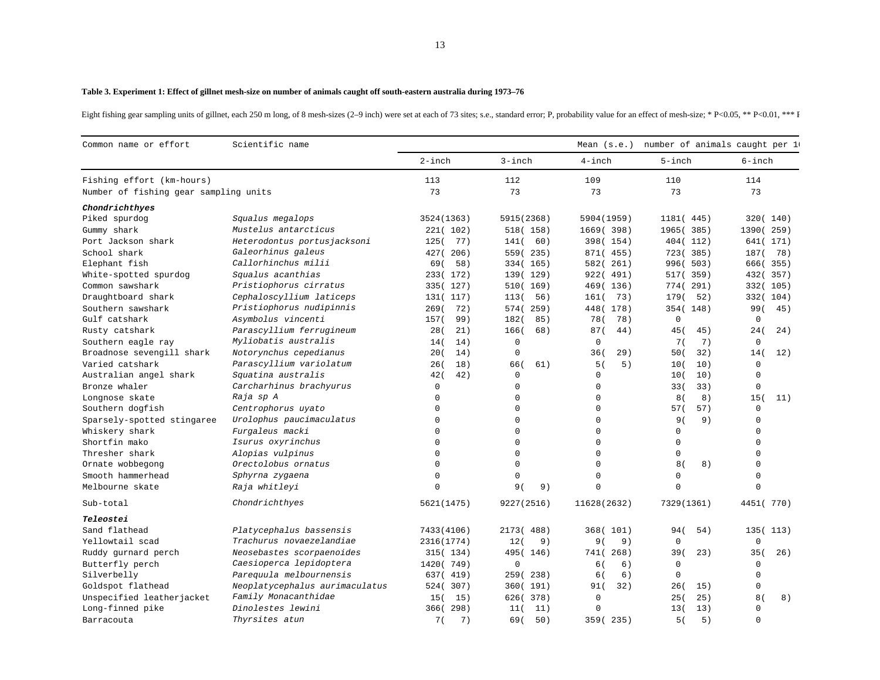#### **Table 3. Experiment 1: Effect of gillnet mesh-size on number of animals caught off south-eastern australia during 1973–76**

Eight fishing gear sampling units of gillnet, each 250 m long, of 8 mesh-sizes (2–9 inch) were set at each of 73 sites; s.e., standard error; P, probability value for an effect of mesh-size; \* P<0.05, \*\* P<0.01, \*\*\* P

| Common name or effort                 | Scientific name                |              |               | Mean $(s.e.)$ | number of animals caught per 1 |             |
|---------------------------------------|--------------------------------|--------------|---------------|---------------|--------------------------------|-------------|
|                                       |                                | $2$ -inch    | $3$ -inch     | $4$ -inch     | $5$ -inch                      | $6$ -inch   |
| Fishing effort (km-hours)             |                                | 113          | 112           | 109           | 110                            | 114         |
| Number of fishing gear sampling units |                                | 73           | 73            | 73            | 73                             | 73          |
| Chondrichthyes                        |                                |              |               |               |                                |             |
| Piked spurdog                         | Squalus megalops               | 3524 (1363)  | 5915 (2368)   | 5904 (1959)   | 1181 (445)                     | 320 (140)   |
| Gummy shark                           | Mustelus antarcticus           | 221(102)     | 518(158)      | 1669 (398)    | 1965 (385)                     | 1390 (259)  |
| Port Jackson shark                    | Heterodontus portusjacksoni    | 77)<br>125 ( | 141(<br>60)   | 398(154)      | 404 (112)                      | 641(171)    |
| School shark                          | Galeorhinus galeus             | 427 (206)    | 559 (235)     | 871(455)      | 723(385)                       | 187(78)     |
| Elephant fish                         | Callorhinchus milii            | 58)<br>69(   | 334 (165)     | 261)<br>582(  | 996(503)                       | 666(355)    |
| White-spotted spurdog                 | Squalus acanthias              | 233(172)     | 139 (129)     | 922(491)      | 517(359)                       | 432 (357)   |
| Common sawshark                       | Pristiophorus cirratus         | 335(127)     | 510 (169)     | 469 (136)     | 774 (291)                      | 332(105)    |
| Draughtboard shark                    | Cephaloscyllium laticeps       | 131(117)     | 56)<br>1130   | 73)<br>161(   | 179(<br>52)                    | 332(104)    |
| Southern sawshark                     | Pristiophorus nudipinnis       | 72)<br>269(  | 574(<br>259)  | 448 (178)     | 354 (148)                      | 99(<br>45)  |
| Gulf catshark                         | Asymbolus vincenti             | 157(<br>99)  | 182(<br>85)   | 78(<br>78)    | $\mathbf 0$                    | $\mathbf 0$ |
| Rusty catshark                        | Parascyllium ferrugineum       | 21)<br>28(   | 166(<br>68)   | 87(<br>44)    | 45(<br>45)                     | 24(<br>24)  |
| Southern eagle ray                    | Myliobatis australis           | 14)<br>14(   | $\mathbf 0$   | $\mathbf 0$   | 7)<br>7 (                      | $\mathsf 0$ |
| Broadnose sevengill shark             | Notorynchus cepedianus         | 20(<br>14)   | $\mathbf 0$   | 29)<br>36(    | 50(<br>32)                     | 12)<br>14 ( |
| Varied catshark                       | Parascyllium variolatum        | 18)<br>26(   | 66(<br>61)    | 5)<br>5(      | 10)<br>10(                     | $\mathbf 0$ |
| Australian angel shark                | Squatina australis             | 42(<br>42)   | $\Omega$      | $\mathbf 0$   | 10)<br>10(                     | $\mathbf 0$ |
| Bronze whaler                         | Carcharhinus brachyurus        | $\mathsf 0$  | $\Omega$      | $\mathbf 0$   | 33(<br>33)                     | $\Omega$    |
| Longnose skate                        | Raja sp A                      | $\mathbf 0$  | $\Omega$      | $\mathbf 0$   | 8(<br>8)                       | 15(<br>11)  |
| Southern dogfish                      | Centrophorus uyato             | $\Omega$     | $\Omega$      | $\mathbf 0$   | 57 (<br>57)                    | $\mathbf 0$ |
| Sparsely-spotted stingaree            | Urolophus paucimaculatus       | $\mathbf 0$  | $\Omega$      | $\Omega$      | 9(<br>9)                       | $\mathbf 0$ |
| Whiskery shark                        | Furgaleus macki                | $\mathbf 0$  | $\Omega$      | $\mathbf 0$   | 0                              | $\Omega$    |
| Shortfin mako                         | Isurus oxyrinchus              | $\mathbf 0$  | $\Omega$      | $\mathbf 0$   | $\mathbf 0$                    | $\Omega$    |
| Thresher shark                        | Alopias vulpinus               | 0            | $\Omega$      | $\mathbf 0$   | $\mathbf 0$                    | $\Omega$    |
| Ornate wobbegong                      | Orectolobus ornatus            | $\mathbf 0$  | $\Omega$      | $\Omega$      | 8(<br>8)                       | $\Omega$    |
| Smooth hammerhead                     | Sphyrna zygaena                | $\Omega$     | $\Omega$      | $\mathbf 0$   | $\mathbf 0$                    | $\Omega$    |
| Melbourne skate                       | Raja whitleyi                  | $\Omega$     | 9(<br>9)      | $\mathbf 0$   | $\Omega$                       | $\Omega$    |
| Sub-total                             | Chondrichthyes                 | 5621(1475)   | 9227 (2516)   | 11628 (2632)  | 7329 (1361)                    | 4451 ( 770) |
| Teleostei                             |                                |              |               |               |                                |             |
| Sand flathead                         | Platycephalus bassensis        | 7433 (4106)  | 2173(<br>488) | 368(101)      | 54)<br>94(                     | 135 (113)   |
| Yellowtail scad                       | Trachurus novaezelandiae       | 2316(1774)   | 12(<br>9)     | 9 (<br>9)     | $\mathbf 0$                    | $\mathbf 0$ |
| Ruddy gurnard perch                   | Neosebastes scorpaenoides      | 315(134)     | 495 (146)     | 741(268)      | 39(<br>23)                     | 35(<br>26)  |
| Butterfly perch                       | Caesioperca lepidoptera        | 1420 ( 749)  | $\mathbf 0$   | 6)<br>6 (     | $\mathbf 0$                    | $\mathsf 0$ |
| Silverbelly                           | Parequula melbournensis        | 637(419)     | 259 (238)     | 6(<br>6)      | $\Omega$                       | $\Omega$    |
| Goldspot flathead                     | Neoplatycephalus aurimaculatus | 524 (307)    | 360(191)      | 32)<br>91(    | 26(<br>15)                     | $\mathbf 0$ |
| Unspecified leatherjacket             | Family Monacanthidae           | 15 (<br>15)  | 626(378)      | $\mathbf 0$   | 25)<br>25(                     | 8(<br>8)    |
| Long-finned pike                      | Dinolestes lewini              | 366(298)     | 11)<br>11(    | $\circ$       | 13(<br>13)                     | 0           |
|                                       |                                |              |               |               |                                |             |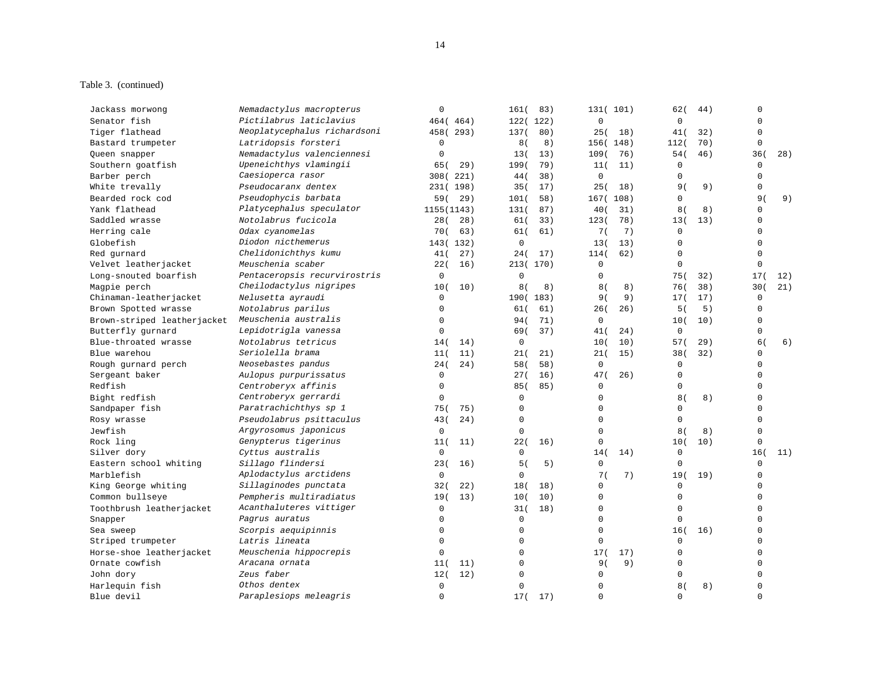## Table 3. (continued)

| Pictilabrus laticlavius<br>$\mathbf 0$<br>$\mathbf{0}$<br>Senator fish<br>464 (464)<br>122(122)<br>$\Omega$<br>Neoplatycephalus richardsoni<br>Tiger flathead<br>458 (293)<br>80)<br>25(<br>$\Omega$<br>137(<br>18)<br>41(<br>32)<br>Latridopsis forsteri<br>$\mathbf 0$<br>8)<br>70)<br>$\mathbf 0$<br>Bastard trumpeter<br>8(<br>156 (148)<br>112(<br>Nemadactylus valenciennesi<br>$\mathbf 0$<br>46)<br>36(<br>28)<br>13(<br>13)<br>109(<br>54(<br>Queen snapper<br>76)<br>Upeneichthys vlamingii<br>Southern goatfish<br>79)<br>$\mathbf 0$<br>65 (<br>29)<br>199(<br>11(<br>11)<br>$\mathbf 0$<br>Caesioperca rasor<br>$\mathbf 0$<br>308(221)<br>38)<br>$\Omega$<br>Barber perch<br>44(<br>$\Omega$<br>Pseudocaranx dentex<br>$\mathbf 0$<br>White trevally<br>231(198)<br>35(<br>17)<br>25(<br>18)<br>9(<br>9)<br>Pseudophycis barbata<br>Bearded rock cod<br>$\mathbf 0$<br>9(<br>9)<br>59(<br>29)<br>101(<br>58)<br>167(108)<br>Platycephalus speculator<br>$\Omega$<br>Yank flathead<br>1155 (1143)<br>131(<br>87)<br>40(<br>31)<br>8(<br>8)<br>Notolabrus fucicola<br>$\Omega$<br>Saddled wrasse<br>28(<br>28)<br>61(<br>33)<br>123(<br>78)<br>13(<br>13)<br>7(<br>$\mathbf 0$<br>Herring cale<br>Odax cyanomelas<br>70 (<br>63)<br>61(<br>61)<br>7)<br>$\Omega$<br>Diodon nicthemerus<br>$\mathbf 0$<br>$\Omega$<br>143(132)<br>13(<br>13)<br>$\Omega$<br>Chelidonichthys kumu<br>$\mathbf 0$<br>$\mathbf 0$<br>Red gurnard<br>27)<br>24(<br>17)<br>114(<br>62)<br>41 (<br>Meuschenia scaber<br>$\mathbf 0$<br>$\mathbf 0$<br>22(<br>16)<br>213(170)<br>$\mathbf 0$<br>Pentaceropsis recurvirostris<br>$\mathbf 0$<br>$\mathbf 0$<br>Long-snouted boarfish<br>$\mathbf 0$<br>75(<br>17(<br>32)<br>12)<br>Cheilodactylus nigripes<br>21)<br>Magpie perch<br>10(<br>10)<br>8(<br>8)<br>8(<br>8)<br>38)<br>30(<br>76 (<br>Nelusetta ayraudi<br>Chinaman-leatherjacket<br>$\mathbf 0$<br>9)<br>17)<br>$\mathbf 0$<br>190 (183)<br>9 (<br>17(<br>$\mathbf 0$<br>Brown Spotted wrasse<br>Notolabrus parilus<br>61)<br>26(<br>26)<br>5)<br>$\mathbf 0$<br>61(<br>5(<br>Meuschenia australis<br>$\mathbf 0$<br>Brown-striped leatherjacket<br>$\mathbf 0$<br>71)<br>0<br>10(<br>10)<br>94 (<br>Lepidotrigla vanessa<br>$\mathbf 0$<br>$\mathsf 0$<br>Butterfly gurnard<br>$\mathbf 0$<br>37)<br>69 (<br>41(<br>24)<br>Blue-throated wrasse<br>Notolabrus tetricus<br>0<br>10(<br>10)<br>29)<br>6(<br>6)<br>14(<br>14)<br>57(<br>Seriolella brama<br>Blue warehou<br>21)<br>32)<br>$\Omega$<br>11(<br>11)<br>21(<br>21(<br>15)<br>38(<br>Neosebastes pandus<br>Rough gurnard perch<br>24)<br>58)<br>$\mathbf 0$<br>$\Omega$<br>$\Omega$<br>24(<br>58(<br>Sergeant baker<br>Aulopus purpurissatus<br>$\mathbf 0$<br>16)<br>47(<br>$\mathbf 0$<br>$\Omega$<br>27(<br>26)<br>$\Omega$<br>Centroberyx affinis<br>$\Omega$<br>$\mathbf 0$<br>85(<br>85)<br>$\mathbf 0$<br>Centroberyx gerrardi<br>Bight redfish<br>$\Omega$<br>$\Omega$<br>$\Omega$<br>8(<br>$\Omega$<br>8)<br>Paratrachichthys sp 1<br>75(<br>75)<br>$\Omega$<br>$\Omega$<br>$\Omega$<br>$\Omega$<br>Sandpaper fish<br>$\Omega$<br>Pseudolabrus psittaculus<br>$\Omega$<br>$\Omega$<br>$\Omega$<br>Rosy wrasse<br>43(<br>24)<br>Argyrosomus japonicus<br>$\Omega$<br>$\mathbf 0$<br>$\Omega$<br>$\Omega$<br>8(<br>8)<br>Genypterus tigerinus<br>22(<br>$\mathbf 0$<br>$\mathbf 0$<br>11(<br>11)<br>16)<br>10(<br>10)<br>Cyttus australis<br>$\mathsf{O}$<br>16(<br>11)<br>Silver dory<br>$\mathbf 0$<br>$\mathbf 0$<br>14(<br>14)<br>Sillago flindersi<br>$\mathbf 0$<br>$\mathbf 0$<br>$\mathbf 0$<br>Eastern school whiting<br>23(<br>16)<br>5(<br>5)<br>Aplodactylus arctidens<br>$\mathbf 0$<br>$\mathbf 0$<br>7(<br>7)<br>19(<br>19)<br>$\mathbf 0$<br>Sillaginodes punctata<br>$\Omega$<br>32(<br>22)<br>18(<br>18)<br>$\mathbf 0$<br>$\mathbf 0$<br>$\mathbf 0$<br>$\Omega$<br>Pempheris multiradiatus<br>19(<br>13)<br>10)<br>$\mathbf 0$<br>10(<br>Acanthaluteres vittiger<br>$\mathbf 0$<br>$\mathbf 0$<br>$\mathbf 0$<br>Toothbrush leatherjacket<br>18)<br>$\Omega$<br>31(<br>Pagrus auratus<br>$\mathbf 0$<br>$\mathbf 0$<br>$\Omega$<br>$\Omega$<br>$\mathbf 0$<br>Snapper<br>0<br>$\mathbf 0$<br>$\mathbf 0$<br>$\Omega$<br>Scorpis aequipinnis<br>16(<br>Sea sweep<br>16)<br>$\Omega$<br>Striped trumpeter<br>Latris lineata<br>$\mathbf 0$<br>$\mathbf 0$<br>$\mathbf 0$<br>$\Omega$<br>Meuschenia hippocrepis<br>$\mathbf 0$<br>Horse-shoe leatherjacket<br>$\mathbf 0$<br>17(<br>$\mathbf 0$<br>$\Omega$<br>17)<br>Aracana ornata<br>$\mathbf 0$<br>9(<br>9)<br>$\mathbf 0$<br>$\Omega$<br>11)<br>11 (<br>Zeus faber<br>12)<br>$\mathbf 0$<br>$\mathbf 0$<br>John dory<br>12(<br>$\Omega$<br>$\Omega$<br>Othos dentex<br>Harlequin fish<br>$\mathbf 0$<br>$\mathbf 0$<br>8 <sub>1</sub><br>8)<br>$\Omega$<br>0<br>Paraplesiops meleagris<br>$\mathbf 0$<br>$\mathbf 0$<br>$\mathbf 0$<br>$\Omega$<br>17(<br>17)<br>Blue devil | Jackass morwong      | Nemadactylus macropterus | $\mathbf 0$ | 161(<br>83) | 131(101) | 62(<br>44) | $\Omega$ |
|------------------------------------------------------------------------------------------------------------------------------------------------------------------------------------------------------------------------------------------------------------------------------------------------------------------------------------------------------------------------------------------------------------------------------------------------------------------------------------------------------------------------------------------------------------------------------------------------------------------------------------------------------------------------------------------------------------------------------------------------------------------------------------------------------------------------------------------------------------------------------------------------------------------------------------------------------------------------------------------------------------------------------------------------------------------------------------------------------------------------------------------------------------------------------------------------------------------------------------------------------------------------------------------------------------------------------------------------------------------------------------------------------------------------------------------------------------------------------------------------------------------------------------------------------------------------------------------------------------------------------------------------------------------------------------------------------------------------------------------------------------------------------------------------------------------------------------------------------------------------------------------------------------------------------------------------------------------------------------------------------------------------------------------------------------------------------------------------------------------------------------------------------------------------------------------------------------------------------------------------------------------------------------------------------------------------------------------------------------------------------------------------------------------------------------------------------------------------------------------------------------------------------------------------------------------------------------------------------------------------------------------------------------------------------------------------------------------------------------------------------------------------------------------------------------------------------------------------------------------------------------------------------------------------------------------------------------------------------------------------------------------------------------------------------------------------------------------------------------------------------------------------------------------------------------------------------------------------------------------------------------------------------------------------------------------------------------------------------------------------------------------------------------------------------------------------------------------------------------------------------------------------------------------------------------------------------------------------------------------------------------------------------------------------------------------------------------------------------------------------------------------------------------------------------------------------------------------------------------------------------------------------------------------------------------------------------------------------------------------------------------------------------------------------------------------------------------------------------------------------------------------------------------------------------------------------------------------------------------------------------------------------------------------------------------------------------------------------------------------------------------------------------------------------------------------------------------------------------------------------------------------------------------------------------------------------------------------------------------------------------------------------------------------------------------------------------------------------------------------------------------------------------------------------------------------------------------------------------------------------------------------------------------------|----------------------|--------------------------|-------------|-------------|----------|------------|----------|
|                                                                                                                                                                                                                                                                                                                                                                                                                                                                                                                                                                                                                                                                                                                                                                                                                                                                                                                                                                                                                                                                                                                                                                                                                                                                                                                                                                                                                                                                                                                                                                                                                                                                                                                                                                                                                                                                                                                                                                                                                                                                                                                                                                                                                                                                                                                                                                                                                                                                                                                                                                                                                                                                                                                                                                                                                                                                                                                                                                                                                                                                                                                                                                                                                                                                                                                                                                                                                                                                                                                                                                                                                                                                                                                                                                                                                                                                                                                                                                                                                                                                                                                                                                                                                                                                                                                                                                                                                                                                                                                                                                                                                                                                                                                                                                                                                                                                                                                  |                      |                          |             |             |          |            |          |
|                                                                                                                                                                                                                                                                                                                                                                                                                                                                                                                                                                                                                                                                                                                                                                                                                                                                                                                                                                                                                                                                                                                                                                                                                                                                                                                                                                                                                                                                                                                                                                                                                                                                                                                                                                                                                                                                                                                                                                                                                                                                                                                                                                                                                                                                                                                                                                                                                                                                                                                                                                                                                                                                                                                                                                                                                                                                                                                                                                                                                                                                                                                                                                                                                                                                                                                                                                                                                                                                                                                                                                                                                                                                                                                                                                                                                                                                                                                                                                                                                                                                                                                                                                                                                                                                                                                                                                                                                                                                                                                                                                                                                                                                                                                                                                                                                                                                                                                  |                      |                          |             |             |          |            |          |
|                                                                                                                                                                                                                                                                                                                                                                                                                                                                                                                                                                                                                                                                                                                                                                                                                                                                                                                                                                                                                                                                                                                                                                                                                                                                                                                                                                                                                                                                                                                                                                                                                                                                                                                                                                                                                                                                                                                                                                                                                                                                                                                                                                                                                                                                                                                                                                                                                                                                                                                                                                                                                                                                                                                                                                                                                                                                                                                                                                                                                                                                                                                                                                                                                                                                                                                                                                                                                                                                                                                                                                                                                                                                                                                                                                                                                                                                                                                                                                                                                                                                                                                                                                                                                                                                                                                                                                                                                                                                                                                                                                                                                                                                                                                                                                                                                                                                                                                  |                      |                          |             |             |          |            |          |
|                                                                                                                                                                                                                                                                                                                                                                                                                                                                                                                                                                                                                                                                                                                                                                                                                                                                                                                                                                                                                                                                                                                                                                                                                                                                                                                                                                                                                                                                                                                                                                                                                                                                                                                                                                                                                                                                                                                                                                                                                                                                                                                                                                                                                                                                                                                                                                                                                                                                                                                                                                                                                                                                                                                                                                                                                                                                                                                                                                                                                                                                                                                                                                                                                                                                                                                                                                                                                                                                                                                                                                                                                                                                                                                                                                                                                                                                                                                                                                                                                                                                                                                                                                                                                                                                                                                                                                                                                                                                                                                                                                                                                                                                                                                                                                                                                                                                                                                  |                      |                          |             |             |          |            |          |
|                                                                                                                                                                                                                                                                                                                                                                                                                                                                                                                                                                                                                                                                                                                                                                                                                                                                                                                                                                                                                                                                                                                                                                                                                                                                                                                                                                                                                                                                                                                                                                                                                                                                                                                                                                                                                                                                                                                                                                                                                                                                                                                                                                                                                                                                                                                                                                                                                                                                                                                                                                                                                                                                                                                                                                                                                                                                                                                                                                                                                                                                                                                                                                                                                                                                                                                                                                                                                                                                                                                                                                                                                                                                                                                                                                                                                                                                                                                                                                                                                                                                                                                                                                                                                                                                                                                                                                                                                                                                                                                                                                                                                                                                                                                                                                                                                                                                                                                  |                      |                          |             |             |          |            |          |
|                                                                                                                                                                                                                                                                                                                                                                                                                                                                                                                                                                                                                                                                                                                                                                                                                                                                                                                                                                                                                                                                                                                                                                                                                                                                                                                                                                                                                                                                                                                                                                                                                                                                                                                                                                                                                                                                                                                                                                                                                                                                                                                                                                                                                                                                                                                                                                                                                                                                                                                                                                                                                                                                                                                                                                                                                                                                                                                                                                                                                                                                                                                                                                                                                                                                                                                                                                                                                                                                                                                                                                                                                                                                                                                                                                                                                                                                                                                                                                                                                                                                                                                                                                                                                                                                                                                                                                                                                                                                                                                                                                                                                                                                                                                                                                                                                                                                                                                  |                      |                          |             |             |          |            |          |
|                                                                                                                                                                                                                                                                                                                                                                                                                                                                                                                                                                                                                                                                                                                                                                                                                                                                                                                                                                                                                                                                                                                                                                                                                                                                                                                                                                                                                                                                                                                                                                                                                                                                                                                                                                                                                                                                                                                                                                                                                                                                                                                                                                                                                                                                                                                                                                                                                                                                                                                                                                                                                                                                                                                                                                                                                                                                                                                                                                                                                                                                                                                                                                                                                                                                                                                                                                                                                                                                                                                                                                                                                                                                                                                                                                                                                                                                                                                                                                                                                                                                                                                                                                                                                                                                                                                                                                                                                                                                                                                                                                                                                                                                                                                                                                                                                                                                                                                  |                      |                          |             |             |          |            |          |
|                                                                                                                                                                                                                                                                                                                                                                                                                                                                                                                                                                                                                                                                                                                                                                                                                                                                                                                                                                                                                                                                                                                                                                                                                                                                                                                                                                                                                                                                                                                                                                                                                                                                                                                                                                                                                                                                                                                                                                                                                                                                                                                                                                                                                                                                                                                                                                                                                                                                                                                                                                                                                                                                                                                                                                                                                                                                                                                                                                                                                                                                                                                                                                                                                                                                                                                                                                                                                                                                                                                                                                                                                                                                                                                                                                                                                                                                                                                                                                                                                                                                                                                                                                                                                                                                                                                                                                                                                                                                                                                                                                                                                                                                                                                                                                                                                                                                                                                  |                      |                          |             |             |          |            |          |
|                                                                                                                                                                                                                                                                                                                                                                                                                                                                                                                                                                                                                                                                                                                                                                                                                                                                                                                                                                                                                                                                                                                                                                                                                                                                                                                                                                                                                                                                                                                                                                                                                                                                                                                                                                                                                                                                                                                                                                                                                                                                                                                                                                                                                                                                                                                                                                                                                                                                                                                                                                                                                                                                                                                                                                                                                                                                                                                                                                                                                                                                                                                                                                                                                                                                                                                                                                                                                                                                                                                                                                                                                                                                                                                                                                                                                                                                                                                                                                                                                                                                                                                                                                                                                                                                                                                                                                                                                                                                                                                                                                                                                                                                                                                                                                                                                                                                                                                  |                      |                          |             |             |          |            |          |
|                                                                                                                                                                                                                                                                                                                                                                                                                                                                                                                                                                                                                                                                                                                                                                                                                                                                                                                                                                                                                                                                                                                                                                                                                                                                                                                                                                                                                                                                                                                                                                                                                                                                                                                                                                                                                                                                                                                                                                                                                                                                                                                                                                                                                                                                                                                                                                                                                                                                                                                                                                                                                                                                                                                                                                                                                                                                                                                                                                                                                                                                                                                                                                                                                                                                                                                                                                                                                                                                                                                                                                                                                                                                                                                                                                                                                                                                                                                                                                                                                                                                                                                                                                                                                                                                                                                                                                                                                                                                                                                                                                                                                                                                                                                                                                                                                                                                                                                  |                      |                          |             |             |          |            |          |
|                                                                                                                                                                                                                                                                                                                                                                                                                                                                                                                                                                                                                                                                                                                                                                                                                                                                                                                                                                                                                                                                                                                                                                                                                                                                                                                                                                                                                                                                                                                                                                                                                                                                                                                                                                                                                                                                                                                                                                                                                                                                                                                                                                                                                                                                                                                                                                                                                                                                                                                                                                                                                                                                                                                                                                                                                                                                                                                                                                                                                                                                                                                                                                                                                                                                                                                                                                                                                                                                                                                                                                                                                                                                                                                                                                                                                                                                                                                                                                                                                                                                                                                                                                                                                                                                                                                                                                                                                                                                                                                                                                                                                                                                                                                                                                                                                                                                                                                  |                      |                          |             |             |          |            |          |
|                                                                                                                                                                                                                                                                                                                                                                                                                                                                                                                                                                                                                                                                                                                                                                                                                                                                                                                                                                                                                                                                                                                                                                                                                                                                                                                                                                                                                                                                                                                                                                                                                                                                                                                                                                                                                                                                                                                                                                                                                                                                                                                                                                                                                                                                                                                                                                                                                                                                                                                                                                                                                                                                                                                                                                                                                                                                                                                                                                                                                                                                                                                                                                                                                                                                                                                                                                                                                                                                                                                                                                                                                                                                                                                                                                                                                                                                                                                                                                                                                                                                                                                                                                                                                                                                                                                                                                                                                                                                                                                                                                                                                                                                                                                                                                                                                                                                                                                  | Globefish            |                          |             |             |          |            |          |
|                                                                                                                                                                                                                                                                                                                                                                                                                                                                                                                                                                                                                                                                                                                                                                                                                                                                                                                                                                                                                                                                                                                                                                                                                                                                                                                                                                                                                                                                                                                                                                                                                                                                                                                                                                                                                                                                                                                                                                                                                                                                                                                                                                                                                                                                                                                                                                                                                                                                                                                                                                                                                                                                                                                                                                                                                                                                                                                                                                                                                                                                                                                                                                                                                                                                                                                                                                                                                                                                                                                                                                                                                                                                                                                                                                                                                                                                                                                                                                                                                                                                                                                                                                                                                                                                                                                                                                                                                                                                                                                                                                                                                                                                                                                                                                                                                                                                                                                  |                      |                          |             |             |          |            |          |
|                                                                                                                                                                                                                                                                                                                                                                                                                                                                                                                                                                                                                                                                                                                                                                                                                                                                                                                                                                                                                                                                                                                                                                                                                                                                                                                                                                                                                                                                                                                                                                                                                                                                                                                                                                                                                                                                                                                                                                                                                                                                                                                                                                                                                                                                                                                                                                                                                                                                                                                                                                                                                                                                                                                                                                                                                                                                                                                                                                                                                                                                                                                                                                                                                                                                                                                                                                                                                                                                                                                                                                                                                                                                                                                                                                                                                                                                                                                                                                                                                                                                                                                                                                                                                                                                                                                                                                                                                                                                                                                                                                                                                                                                                                                                                                                                                                                                                                                  | Velvet leatherjacket |                          |             |             |          |            |          |
|                                                                                                                                                                                                                                                                                                                                                                                                                                                                                                                                                                                                                                                                                                                                                                                                                                                                                                                                                                                                                                                                                                                                                                                                                                                                                                                                                                                                                                                                                                                                                                                                                                                                                                                                                                                                                                                                                                                                                                                                                                                                                                                                                                                                                                                                                                                                                                                                                                                                                                                                                                                                                                                                                                                                                                                                                                                                                                                                                                                                                                                                                                                                                                                                                                                                                                                                                                                                                                                                                                                                                                                                                                                                                                                                                                                                                                                                                                                                                                                                                                                                                                                                                                                                                                                                                                                                                                                                                                                                                                                                                                                                                                                                                                                                                                                                                                                                                                                  |                      |                          |             |             |          |            |          |
|                                                                                                                                                                                                                                                                                                                                                                                                                                                                                                                                                                                                                                                                                                                                                                                                                                                                                                                                                                                                                                                                                                                                                                                                                                                                                                                                                                                                                                                                                                                                                                                                                                                                                                                                                                                                                                                                                                                                                                                                                                                                                                                                                                                                                                                                                                                                                                                                                                                                                                                                                                                                                                                                                                                                                                                                                                                                                                                                                                                                                                                                                                                                                                                                                                                                                                                                                                                                                                                                                                                                                                                                                                                                                                                                                                                                                                                                                                                                                                                                                                                                                                                                                                                                                                                                                                                                                                                                                                                                                                                                                                                                                                                                                                                                                                                                                                                                                                                  |                      |                          |             |             |          |            |          |
|                                                                                                                                                                                                                                                                                                                                                                                                                                                                                                                                                                                                                                                                                                                                                                                                                                                                                                                                                                                                                                                                                                                                                                                                                                                                                                                                                                                                                                                                                                                                                                                                                                                                                                                                                                                                                                                                                                                                                                                                                                                                                                                                                                                                                                                                                                                                                                                                                                                                                                                                                                                                                                                                                                                                                                                                                                                                                                                                                                                                                                                                                                                                                                                                                                                                                                                                                                                                                                                                                                                                                                                                                                                                                                                                                                                                                                                                                                                                                                                                                                                                                                                                                                                                                                                                                                                                                                                                                                                                                                                                                                                                                                                                                                                                                                                                                                                                                                                  |                      |                          |             |             |          |            |          |
|                                                                                                                                                                                                                                                                                                                                                                                                                                                                                                                                                                                                                                                                                                                                                                                                                                                                                                                                                                                                                                                                                                                                                                                                                                                                                                                                                                                                                                                                                                                                                                                                                                                                                                                                                                                                                                                                                                                                                                                                                                                                                                                                                                                                                                                                                                                                                                                                                                                                                                                                                                                                                                                                                                                                                                                                                                                                                                                                                                                                                                                                                                                                                                                                                                                                                                                                                                                                                                                                                                                                                                                                                                                                                                                                                                                                                                                                                                                                                                                                                                                                                                                                                                                                                                                                                                                                                                                                                                                                                                                                                                                                                                                                                                                                                                                                                                                                                                                  |                      |                          |             |             |          |            |          |
|                                                                                                                                                                                                                                                                                                                                                                                                                                                                                                                                                                                                                                                                                                                                                                                                                                                                                                                                                                                                                                                                                                                                                                                                                                                                                                                                                                                                                                                                                                                                                                                                                                                                                                                                                                                                                                                                                                                                                                                                                                                                                                                                                                                                                                                                                                                                                                                                                                                                                                                                                                                                                                                                                                                                                                                                                                                                                                                                                                                                                                                                                                                                                                                                                                                                                                                                                                                                                                                                                                                                                                                                                                                                                                                                                                                                                                                                                                                                                                                                                                                                                                                                                                                                                                                                                                                                                                                                                                                                                                                                                                                                                                                                                                                                                                                                                                                                                                                  |                      |                          |             |             |          |            |          |
|                                                                                                                                                                                                                                                                                                                                                                                                                                                                                                                                                                                                                                                                                                                                                                                                                                                                                                                                                                                                                                                                                                                                                                                                                                                                                                                                                                                                                                                                                                                                                                                                                                                                                                                                                                                                                                                                                                                                                                                                                                                                                                                                                                                                                                                                                                                                                                                                                                                                                                                                                                                                                                                                                                                                                                                                                                                                                                                                                                                                                                                                                                                                                                                                                                                                                                                                                                                                                                                                                                                                                                                                                                                                                                                                                                                                                                                                                                                                                                                                                                                                                                                                                                                                                                                                                                                                                                                                                                                                                                                                                                                                                                                                                                                                                                                                                                                                                                                  |                      |                          |             |             |          |            |          |
|                                                                                                                                                                                                                                                                                                                                                                                                                                                                                                                                                                                                                                                                                                                                                                                                                                                                                                                                                                                                                                                                                                                                                                                                                                                                                                                                                                                                                                                                                                                                                                                                                                                                                                                                                                                                                                                                                                                                                                                                                                                                                                                                                                                                                                                                                                                                                                                                                                                                                                                                                                                                                                                                                                                                                                                                                                                                                                                                                                                                                                                                                                                                                                                                                                                                                                                                                                                                                                                                                                                                                                                                                                                                                                                                                                                                                                                                                                                                                                                                                                                                                                                                                                                                                                                                                                                                                                                                                                                                                                                                                                                                                                                                                                                                                                                                                                                                                                                  |                      |                          |             |             |          |            |          |
|                                                                                                                                                                                                                                                                                                                                                                                                                                                                                                                                                                                                                                                                                                                                                                                                                                                                                                                                                                                                                                                                                                                                                                                                                                                                                                                                                                                                                                                                                                                                                                                                                                                                                                                                                                                                                                                                                                                                                                                                                                                                                                                                                                                                                                                                                                                                                                                                                                                                                                                                                                                                                                                                                                                                                                                                                                                                                                                                                                                                                                                                                                                                                                                                                                                                                                                                                                                                                                                                                                                                                                                                                                                                                                                                                                                                                                                                                                                                                                                                                                                                                                                                                                                                                                                                                                                                                                                                                                                                                                                                                                                                                                                                                                                                                                                                                                                                                                                  |                      |                          |             |             |          |            |          |
|                                                                                                                                                                                                                                                                                                                                                                                                                                                                                                                                                                                                                                                                                                                                                                                                                                                                                                                                                                                                                                                                                                                                                                                                                                                                                                                                                                                                                                                                                                                                                                                                                                                                                                                                                                                                                                                                                                                                                                                                                                                                                                                                                                                                                                                                                                                                                                                                                                                                                                                                                                                                                                                                                                                                                                                                                                                                                                                                                                                                                                                                                                                                                                                                                                                                                                                                                                                                                                                                                                                                                                                                                                                                                                                                                                                                                                                                                                                                                                                                                                                                                                                                                                                                                                                                                                                                                                                                                                                                                                                                                                                                                                                                                                                                                                                                                                                                                                                  |                      |                          |             |             |          |            |          |
|                                                                                                                                                                                                                                                                                                                                                                                                                                                                                                                                                                                                                                                                                                                                                                                                                                                                                                                                                                                                                                                                                                                                                                                                                                                                                                                                                                                                                                                                                                                                                                                                                                                                                                                                                                                                                                                                                                                                                                                                                                                                                                                                                                                                                                                                                                                                                                                                                                                                                                                                                                                                                                                                                                                                                                                                                                                                                                                                                                                                                                                                                                                                                                                                                                                                                                                                                                                                                                                                                                                                                                                                                                                                                                                                                                                                                                                                                                                                                                                                                                                                                                                                                                                                                                                                                                                                                                                                                                                                                                                                                                                                                                                                                                                                                                                                                                                                                                                  |                      |                          |             |             |          |            |          |
|                                                                                                                                                                                                                                                                                                                                                                                                                                                                                                                                                                                                                                                                                                                                                                                                                                                                                                                                                                                                                                                                                                                                                                                                                                                                                                                                                                                                                                                                                                                                                                                                                                                                                                                                                                                                                                                                                                                                                                                                                                                                                                                                                                                                                                                                                                                                                                                                                                                                                                                                                                                                                                                                                                                                                                                                                                                                                                                                                                                                                                                                                                                                                                                                                                                                                                                                                                                                                                                                                                                                                                                                                                                                                                                                                                                                                                                                                                                                                                                                                                                                                                                                                                                                                                                                                                                                                                                                                                                                                                                                                                                                                                                                                                                                                                                                                                                                                                                  | Redfish              |                          |             |             |          |            |          |
|                                                                                                                                                                                                                                                                                                                                                                                                                                                                                                                                                                                                                                                                                                                                                                                                                                                                                                                                                                                                                                                                                                                                                                                                                                                                                                                                                                                                                                                                                                                                                                                                                                                                                                                                                                                                                                                                                                                                                                                                                                                                                                                                                                                                                                                                                                                                                                                                                                                                                                                                                                                                                                                                                                                                                                                                                                                                                                                                                                                                                                                                                                                                                                                                                                                                                                                                                                                                                                                                                                                                                                                                                                                                                                                                                                                                                                                                                                                                                                                                                                                                                                                                                                                                                                                                                                                                                                                                                                                                                                                                                                                                                                                                                                                                                                                                                                                                                                                  |                      |                          |             |             |          |            |          |
|                                                                                                                                                                                                                                                                                                                                                                                                                                                                                                                                                                                                                                                                                                                                                                                                                                                                                                                                                                                                                                                                                                                                                                                                                                                                                                                                                                                                                                                                                                                                                                                                                                                                                                                                                                                                                                                                                                                                                                                                                                                                                                                                                                                                                                                                                                                                                                                                                                                                                                                                                                                                                                                                                                                                                                                                                                                                                                                                                                                                                                                                                                                                                                                                                                                                                                                                                                                                                                                                                                                                                                                                                                                                                                                                                                                                                                                                                                                                                                                                                                                                                                                                                                                                                                                                                                                                                                                                                                                                                                                                                                                                                                                                                                                                                                                                                                                                                                                  |                      |                          |             |             |          |            |          |
|                                                                                                                                                                                                                                                                                                                                                                                                                                                                                                                                                                                                                                                                                                                                                                                                                                                                                                                                                                                                                                                                                                                                                                                                                                                                                                                                                                                                                                                                                                                                                                                                                                                                                                                                                                                                                                                                                                                                                                                                                                                                                                                                                                                                                                                                                                                                                                                                                                                                                                                                                                                                                                                                                                                                                                                                                                                                                                                                                                                                                                                                                                                                                                                                                                                                                                                                                                                                                                                                                                                                                                                                                                                                                                                                                                                                                                                                                                                                                                                                                                                                                                                                                                                                                                                                                                                                                                                                                                                                                                                                                                                                                                                                                                                                                                                                                                                                                                                  |                      |                          |             |             |          |            |          |
|                                                                                                                                                                                                                                                                                                                                                                                                                                                                                                                                                                                                                                                                                                                                                                                                                                                                                                                                                                                                                                                                                                                                                                                                                                                                                                                                                                                                                                                                                                                                                                                                                                                                                                                                                                                                                                                                                                                                                                                                                                                                                                                                                                                                                                                                                                                                                                                                                                                                                                                                                                                                                                                                                                                                                                                                                                                                                                                                                                                                                                                                                                                                                                                                                                                                                                                                                                                                                                                                                                                                                                                                                                                                                                                                                                                                                                                                                                                                                                                                                                                                                                                                                                                                                                                                                                                                                                                                                                                                                                                                                                                                                                                                                                                                                                                                                                                                                                                  | Jewfish              |                          |             |             |          |            |          |
|                                                                                                                                                                                                                                                                                                                                                                                                                                                                                                                                                                                                                                                                                                                                                                                                                                                                                                                                                                                                                                                                                                                                                                                                                                                                                                                                                                                                                                                                                                                                                                                                                                                                                                                                                                                                                                                                                                                                                                                                                                                                                                                                                                                                                                                                                                                                                                                                                                                                                                                                                                                                                                                                                                                                                                                                                                                                                                                                                                                                                                                                                                                                                                                                                                                                                                                                                                                                                                                                                                                                                                                                                                                                                                                                                                                                                                                                                                                                                                                                                                                                                                                                                                                                                                                                                                                                                                                                                                                                                                                                                                                                                                                                                                                                                                                                                                                                                                                  | Rock ling            |                          |             |             |          |            |          |
|                                                                                                                                                                                                                                                                                                                                                                                                                                                                                                                                                                                                                                                                                                                                                                                                                                                                                                                                                                                                                                                                                                                                                                                                                                                                                                                                                                                                                                                                                                                                                                                                                                                                                                                                                                                                                                                                                                                                                                                                                                                                                                                                                                                                                                                                                                                                                                                                                                                                                                                                                                                                                                                                                                                                                                                                                                                                                                                                                                                                                                                                                                                                                                                                                                                                                                                                                                                                                                                                                                                                                                                                                                                                                                                                                                                                                                                                                                                                                                                                                                                                                                                                                                                                                                                                                                                                                                                                                                                                                                                                                                                                                                                                                                                                                                                                                                                                                                                  |                      |                          |             |             |          |            |          |
|                                                                                                                                                                                                                                                                                                                                                                                                                                                                                                                                                                                                                                                                                                                                                                                                                                                                                                                                                                                                                                                                                                                                                                                                                                                                                                                                                                                                                                                                                                                                                                                                                                                                                                                                                                                                                                                                                                                                                                                                                                                                                                                                                                                                                                                                                                                                                                                                                                                                                                                                                                                                                                                                                                                                                                                                                                                                                                                                                                                                                                                                                                                                                                                                                                                                                                                                                                                                                                                                                                                                                                                                                                                                                                                                                                                                                                                                                                                                                                                                                                                                                                                                                                                                                                                                                                                                                                                                                                                                                                                                                                                                                                                                                                                                                                                                                                                                                                                  |                      |                          |             |             |          |            |          |
|                                                                                                                                                                                                                                                                                                                                                                                                                                                                                                                                                                                                                                                                                                                                                                                                                                                                                                                                                                                                                                                                                                                                                                                                                                                                                                                                                                                                                                                                                                                                                                                                                                                                                                                                                                                                                                                                                                                                                                                                                                                                                                                                                                                                                                                                                                                                                                                                                                                                                                                                                                                                                                                                                                                                                                                                                                                                                                                                                                                                                                                                                                                                                                                                                                                                                                                                                                                                                                                                                                                                                                                                                                                                                                                                                                                                                                                                                                                                                                                                                                                                                                                                                                                                                                                                                                                                                                                                                                                                                                                                                                                                                                                                                                                                                                                                                                                                                                                  | Marblefish           |                          |             |             |          |            |          |
|                                                                                                                                                                                                                                                                                                                                                                                                                                                                                                                                                                                                                                                                                                                                                                                                                                                                                                                                                                                                                                                                                                                                                                                                                                                                                                                                                                                                                                                                                                                                                                                                                                                                                                                                                                                                                                                                                                                                                                                                                                                                                                                                                                                                                                                                                                                                                                                                                                                                                                                                                                                                                                                                                                                                                                                                                                                                                                                                                                                                                                                                                                                                                                                                                                                                                                                                                                                                                                                                                                                                                                                                                                                                                                                                                                                                                                                                                                                                                                                                                                                                                                                                                                                                                                                                                                                                                                                                                                                                                                                                                                                                                                                                                                                                                                                                                                                                                                                  | King George whiting  |                          |             |             |          |            |          |
|                                                                                                                                                                                                                                                                                                                                                                                                                                                                                                                                                                                                                                                                                                                                                                                                                                                                                                                                                                                                                                                                                                                                                                                                                                                                                                                                                                                                                                                                                                                                                                                                                                                                                                                                                                                                                                                                                                                                                                                                                                                                                                                                                                                                                                                                                                                                                                                                                                                                                                                                                                                                                                                                                                                                                                                                                                                                                                                                                                                                                                                                                                                                                                                                                                                                                                                                                                                                                                                                                                                                                                                                                                                                                                                                                                                                                                                                                                                                                                                                                                                                                                                                                                                                                                                                                                                                                                                                                                                                                                                                                                                                                                                                                                                                                                                                                                                                                                                  | Common bullseye      |                          |             |             |          |            |          |
|                                                                                                                                                                                                                                                                                                                                                                                                                                                                                                                                                                                                                                                                                                                                                                                                                                                                                                                                                                                                                                                                                                                                                                                                                                                                                                                                                                                                                                                                                                                                                                                                                                                                                                                                                                                                                                                                                                                                                                                                                                                                                                                                                                                                                                                                                                                                                                                                                                                                                                                                                                                                                                                                                                                                                                                                                                                                                                                                                                                                                                                                                                                                                                                                                                                                                                                                                                                                                                                                                                                                                                                                                                                                                                                                                                                                                                                                                                                                                                                                                                                                                                                                                                                                                                                                                                                                                                                                                                                                                                                                                                                                                                                                                                                                                                                                                                                                                                                  |                      |                          |             |             |          |            |          |
|                                                                                                                                                                                                                                                                                                                                                                                                                                                                                                                                                                                                                                                                                                                                                                                                                                                                                                                                                                                                                                                                                                                                                                                                                                                                                                                                                                                                                                                                                                                                                                                                                                                                                                                                                                                                                                                                                                                                                                                                                                                                                                                                                                                                                                                                                                                                                                                                                                                                                                                                                                                                                                                                                                                                                                                                                                                                                                                                                                                                                                                                                                                                                                                                                                                                                                                                                                                                                                                                                                                                                                                                                                                                                                                                                                                                                                                                                                                                                                                                                                                                                                                                                                                                                                                                                                                                                                                                                                                                                                                                                                                                                                                                                                                                                                                                                                                                                                                  |                      |                          |             |             |          |            |          |
|                                                                                                                                                                                                                                                                                                                                                                                                                                                                                                                                                                                                                                                                                                                                                                                                                                                                                                                                                                                                                                                                                                                                                                                                                                                                                                                                                                                                                                                                                                                                                                                                                                                                                                                                                                                                                                                                                                                                                                                                                                                                                                                                                                                                                                                                                                                                                                                                                                                                                                                                                                                                                                                                                                                                                                                                                                                                                                                                                                                                                                                                                                                                                                                                                                                                                                                                                                                                                                                                                                                                                                                                                                                                                                                                                                                                                                                                                                                                                                                                                                                                                                                                                                                                                                                                                                                                                                                                                                                                                                                                                                                                                                                                                                                                                                                                                                                                                                                  |                      |                          |             |             |          |            |          |
|                                                                                                                                                                                                                                                                                                                                                                                                                                                                                                                                                                                                                                                                                                                                                                                                                                                                                                                                                                                                                                                                                                                                                                                                                                                                                                                                                                                                                                                                                                                                                                                                                                                                                                                                                                                                                                                                                                                                                                                                                                                                                                                                                                                                                                                                                                                                                                                                                                                                                                                                                                                                                                                                                                                                                                                                                                                                                                                                                                                                                                                                                                                                                                                                                                                                                                                                                                                                                                                                                                                                                                                                                                                                                                                                                                                                                                                                                                                                                                                                                                                                                                                                                                                                                                                                                                                                                                                                                                                                                                                                                                                                                                                                                                                                                                                                                                                                                                                  |                      |                          |             |             |          |            |          |
|                                                                                                                                                                                                                                                                                                                                                                                                                                                                                                                                                                                                                                                                                                                                                                                                                                                                                                                                                                                                                                                                                                                                                                                                                                                                                                                                                                                                                                                                                                                                                                                                                                                                                                                                                                                                                                                                                                                                                                                                                                                                                                                                                                                                                                                                                                                                                                                                                                                                                                                                                                                                                                                                                                                                                                                                                                                                                                                                                                                                                                                                                                                                                                                                                                                                                                                                                                                                                                                                                                                                                                                                                                                                                                                                                                                                                                                                                                                                                                                                                                                                                                                                                                                                                                                                                                                                                                                                                                                                                                                                                                                                                                                                                                                                                                                                                                                                                                                  |                      |                          |             |             |          |            |          |
|                                                                                                                                                                                                                                                                                                                                                                                                                                                                                                                                                                                                                                                                                                                                                                                                                                                                                                                                                                                                                                                                                                                                                                                                                                                                                                                                                                                                                                                                                                                                                                                                                                                                                                                                                                                                                                                                                                                                                                                                                                                                                                                                                                                                                                                                                                                                                                                                                                                                                                                                                                                                                                                                                                                                                                                                                                                                                                                                                                                                                                                                                                                                                                                                                                                                                                                                                                                                                                                                                                                                                                                                                                                                                                                                                                                                                                                                                                                                                                                                                                                                                                                                                                                                                                                                                                                                                                                                                                                                                                                                                                                                                                                                                                                                                                                                                                                                                                                  | Ornate cowfish       |                          |             |             |          |            |          |
|                                                                                                                                                                                                                                                                                                                                                                                                                                                                                                                                                                                                                                                                                                                                                                                                                                                                                                                                                                                                                                                                                                                                                                                                                                                                                                                                                                                                                                                                                                                                                                                                                                                                                                                                                                                                                                                                                                                                                                                                                                                                                                                                                                                                                                                                                                                                                                                                                                                                                                                                                                                                                                                                                                                                                                                                                                                                                                                                                                                                                                                                                                                                                                                                                                                                                                                                                                                                                                                                                                                                                                                                                                                                                                                                                                                                                                                                                                                                                                                                                                                                                                                                                                                                                                                                                                                                                                                                                                                                                                                                                                                                                                                                                                                                                                                                                                                                                                                  |                      |                          |             |             |          |            |          |
|                                                                                                                                                                                                                                                                                                                                                                                                                                                                                                                                                                                                                                                                                                                                                                                                                                                                                                                                                                                                                                                                                                                                                                                                                                                                                                                                                                                                                                                                                                                                                                                                                                                                                                                                                                                                                                                                                                                                                                                                                                                                                                                                                                                                                                                                                                                                                                                                                                                                                                                                                                                                                                                                                                                                                                                                                                                                                                                                                                                                                                                                                                                                                                                                                                                                                                                                                                                                                                                                                                                                                                                                                                                                                                                                                                                                                                                                                                                                                                                                                                                                                                                                                                                                                                                                                                                                                                                                                                                                                                                                                                                                                                                                                                                                                                                                                                                                                                                  |                      |                          |             |             |          |            |          |
|                                                                                                                                                                                                                                                                                                                                                                                                                                                                                                                                                                                                                                                                                                                                                                                                                                                                                                                                                                                                                                                                                                                                                                                                                                                                                                                                                                                                                                                                                                                                                                                                                                                                                                                                                                                                                                                                                                                                                                                                                                                                                                                                                                                                                                                                                                                                                                                                                                                                                                                                                                                                                                                                                                                                                                                                                                                                                                                                                                                                                                                                                                                                                                                                                                                                                                                                                                                                                                                                                                                                                                                                                                                                                                                                                                                                                                                                                                                                                                                                                                                                                                                                                                                                                                                                                                                                                                                                                                                                                                                                                                                                                                                                                                                                                                                                                                                                                                                  |                      |                          |             |             |          |            |          |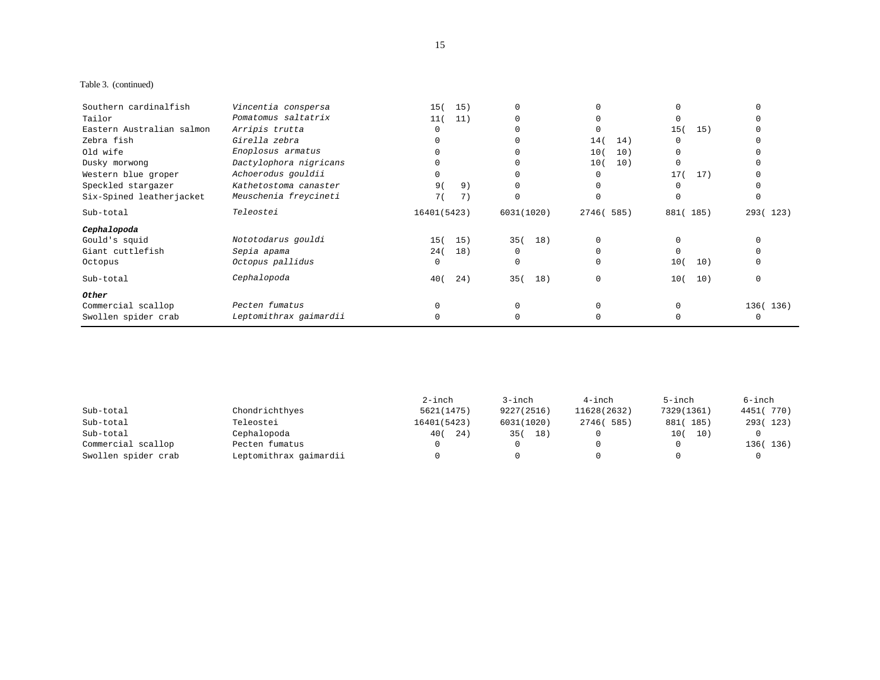## Table 3. (continued)

| Southern cardinalfish     | Vincentia conspersa    | 15(         | 15) |            |             |     |            |          |
|---------------------------|------------------------|-------------|-----|------------|-------------|-----|------------|----------|
| Tailor                    | Pomatomus saltatrix    | 11(         | 11) |            |             |     |            |          |
| Eastern Australian salmon | Arripis trutta         |             |     |            |             |     | 15(<br>15) |          |
| Zebra fish                | Girella zebra          |             |     |            | 14(         | 14) |            |          |
| Old wife                  | Enoplosus armatus      |             |     |            | 10(         | 10) |            |          |
| Dusky morwong             | Dactylophora nigricans |             |     |            | 10(         | 10) |            |          |
| Western blue groper       | Achoerodus gouldii     |             |     |            |             |     | 17(<br>17) |          |
| Speckled stargazer        | Kathetostoma canaster  | 9(          | 9)  |            |             |     |            |          |
| Six-Spined leatherjacket  | Meuschenia freycineti  | 7 (         | 7)  |            |             |     |            |          |
| Sub-total                 | Teleostei              | 16401(5423) |     | 6031(1020) | 2746 ( 585) |     | 881(185)   | 293(123) |
| Cephalopoda               |                        |             |     |            |             |     |            |          |
| Gould's squid             | Nototodarus gouldi     | 15(         | 15) | 35(        | 18)         |     |            |          |
| Giant cuttlefish          | Sepia apama            | 24(         | 18) | $\Omega$   |             |     |            |          |
| Octopus                   | Octopus pallidus       |             |     | 0          |             |     | 10(<br>10) |          |
| Sub-total                 | Cephalopoda            | 40 (        | 24) | 35(        | 18)         |     | 10)<br>10( | $\Omega$ |
| Other                     |                        |             |     |            |             |     |            |          |
| Commercial scallop        | Pecten fumatus         |             |     |            |             |     |            | 136(136) |
| Swollen spider crab       | Leptomithrax gaimardii |             |     |            |             |     |            |          |

|                     |                        | $2$ -inch   | 3-inch      | $4$ -inch   | 5-inch      | 6-inch    |
|---------------------|------------------------|-------------|-------------|-------------|-------------|-----------|
| Sub-total           | Chondrichthyes         | 5621(1475)  | 9227 (2516) | 11628(2632) | 7329 (1361) | 4451(770) |
| Sub-total           | Teleostei              | 16401(5423) | 6031(1020)  | 2746 ( 585) | 881(185)    | 293(123)  |
| Sub-total           | Cephalopoda            | 400<br>24)  | 35 (<br>18) |             | 10(<br>10)  |           |
| Commercial scallop  | Pecten fumatus         |             |             |             |             | 136(136)  |
| Swollen spider crab | Leptomithrax gaimardii |             |             |             |             |           |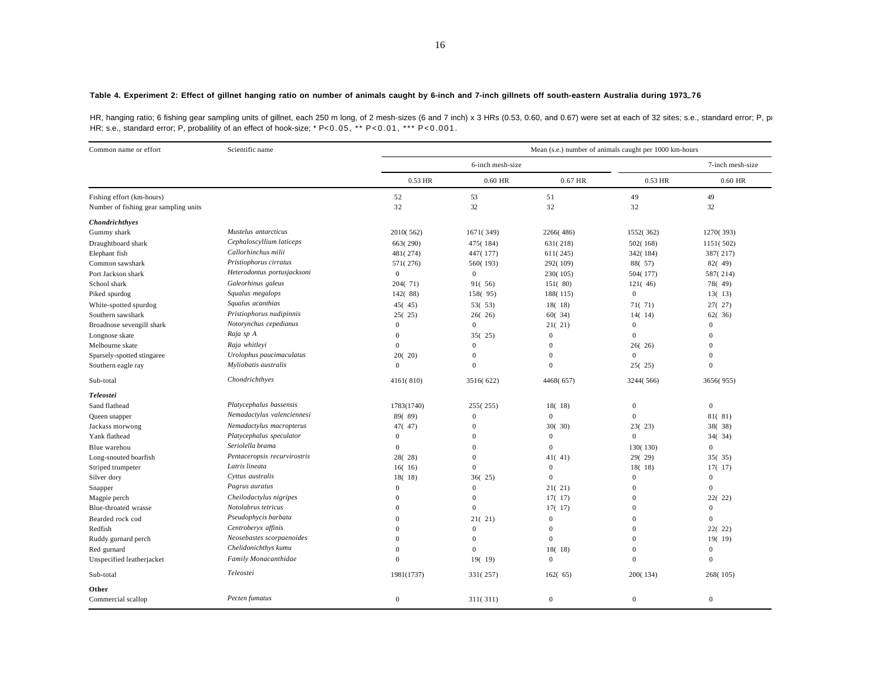#### **Table 4. Experiment 2: Effect of gillnet hanging ratio on number of animals caught by 6-inch and 7-inch gillnets off south-eastern Australia during 1973–76**

HR, hanging ratio; 6 fishing gear sampling units of gillnet, each 250 m long, of 2 mesh-sizes (6 and 7 inch) x 3 HRs (0.53, 0.60, and 0.67) were set at each of 32 sites; s.e., standard error; P, p HR; s.e., standard error; P, probalility of an effect of hook-size; \* P<0.05, \*\* P<0.01, \*\*\* P<0.001.

| Common name or effort                 | Scientific name              |                  |                  |                  | Mean (s.e.) number of animals caught per 1000 km-hours |                  |
|---------------------------------------|------------------------------|------------------|------------------|------------------|--------------------------------------------------------|------------------|
|                                       |                              |                  | 6-inch mesh-size |                  |                                                        | 7-inch mesh-size |
|                                       |                              | 0.53 HR          | 0.60 HR          | 0.67 HR          | 0.53 HR                                                | $0.60$ HR        |
| Fishing effort (km-hours)             |                              | 52               | 53               | 51               | 49                                                     | 49               |
| Number of fishing gear sampling units |                              | 32               | 32               | 32               | 32                                                     | 32               |
| <b>Chondrichthyes</b>                 |                              |                  |                  |                  |                                                        |                  |
| Gummy shark                           | Mustelus antarcticus         | 2010(562)        | 1671(349)        | 2266(486)        | 1552(362)                                              | 1270(393)        |
| Draughtboard shark                    | Cephaloscyllium laticeps     | 663(290)         | 475(184)         | 631(218)         | 502(168)                                               | 1151(502)        |
| Elephant fish                         | Callorhinchus milii          | 481(274)         | 447(177)         | 611(245)         | 342(184)                                               | 387(217)         |
| Common sawshark                       | Pristiophorus cirratus       | 571(276)         | 560(193)         | 292(109)         | 88(57)                                                 | 82(49)           |
| Port Jackson shark                    | Heterodontus portusjacksoni  | $\boldsymbol{0}$ | $\mathbf{0}$     | 230(105)         | 504(177)                                               | 587(214)         |
| School shark                          | Galeorhinus galeus           | 204(71)          | 91(56)           | 151(80)          | 121(46)                                                | 78(49)           |
| Piked spurdog                         | Squalus megalops             | 142(88)          | 158(95)          | 188(115)         | $\overline{0}$                                         | 13(13)           |
| White-spotted spurdog                 | Squalus acanthias            | 45(45)           | 53(53)           | 18(18)           | 71(71)                                                 | 27(27)           |
| Southern sawshark                     | Pristiophorus nudipinnis     | 25(25)           | 26(26)           | 60(34)           | 14(14)                                                 | 62(36)           |
| Broadnose sevengill shark             | Notorynchus cepedianus       | $\theta$         | $\mathbf{0}$     | 21(21)           | $\boldsymbol{0}$                                       | $\mathbf{0}$     |
| Longnose skate                        | Raja sp A                    | $\mathbf{0}$     | 35(25)           | $\boldsymbol{0}$ | $\overline{0}$                                         | $\mathbf{0}$     |
| Melbourne skate                       | Raja whitlevi                | $\overline{0}$   | $\mathbf{0}$     | $\overline{0}$   | 26(26)                                                 | $\Omega$         |
| Sparsely-spotted stingaree            | Urolophus paucimaculatus     | 20(20)           | $\mathbf{0}$     | $\overline{0}$   | $\overline{0}$                                         | $\theta$         |
| Southern eagle ray                    | Myliobatis australis         | $\mathbf{0}$     | $\Omega$         | $\overline{0}$   | 25(25)                                                 | $\Omega$         |
| Sub-total                             | Chondrichthyes               | 4161(810)        | 3516(622)        | 4468(657)        | 3244(566)                                              | 3656(955)        |
| Teleostei                             |                              |                  |                  |                  |                                                        |                  |
| Sand flathead                         | Platycephalus bassensis      | 1783(1740)       | 255(255)         | 18(18)           | $\mathbf{0}$                                           | $\mathbf{0}$     |
| Queen snapper                         | Nemadactylus valenciennesi   | 89(89)           | $\mathbf{0}$     | $\overline{0}$   | $\Omega$                                               | 81(81)           |
| Jackass morwong                       | Nemadactylus macropterus     | 47(47)           | $\boldsymbol{0}$ | 30(30)           | 23(23)                                                 | 38(38)           |
| Yank flathead                         | Platycephalus speculator     | $\theta$         | $\mathbf{0}$     | $\boldsymbol{0}$ | $\overline{0}$                                         | 34(34)           |
| Blue warehou                          | Seriolella brama             | $\overline{0}$   | $\mathbf{0}$     | $\overline{0}$   | 130(130)                                               | $\mathbf{0}$     |
| Long-snouted boarfish                 | Pentaceropsis recurvirostris | 28(28)           | $\mathbf{0}$     | 41(41)           | 29(29)                                                 | 35(35)           |
| Striped trumpeter                     | Latris lineata               | 16(16)           | $\mathbf{0}$     | $\mathbf{0}$     | 18(18)                                                 | 17(17)           |
| Silver dory                           | Cyttus australis             | 18(18)           | 36(25)           | $\overline{0}$   | $\mathbf{0}$                                           | $\mathbf{0}$     |
| Snapper                               | Pagrus auratus               | $\mathbf{0}$     | $\Omega$         | 21(21)           | $\mathbf{0}$                                           | $\Omega$         |
| Magpie perch                          | Cheilodactylus nigripes      | $\overline{0}$   | $\boldsymbol{0}$ | 17(17)           | $\mathbf{0}$                                           | 22(22)           |
| Blue-throated wrasse                  | Notolabrus tetricus          | $\Omega$         | $\mathbf{0}$     | 17(17)           | $\mathbf{0}$                                           | $\mathbf{0}$     |
| Bearded rock cod                      | Pseudophycis barbata         | $\Omega$         | 21(21)           | $\overline{0}$   | $\Omega$                                               | $\mathbf{0}$     |
| Redfish                               | Centroberyx affinis          | $\theta$         | $\mathbf{0}$     | $\boldsymbol{0}$ | $\Omega$                                               | 22(22)           |
| Ruddy gurnard perch                   | Neosebastes scorpaenoides    | $\Omega$         | $\mathbf{0}$     | $\overline{0}$   | $\mathbf{0}$                                           | 19(19)           |
| Red gurnard                           | Chelidonichthys kumu         | $\Omega$         | $\mathbf{0}$     | 18(18)           | $\mathbf{0}$                                           | $\mathbf{0}$     |
| Unspecified leatherjacket             | Family Monacanthidae         | $\Omega$         | 19(19)           | $\overline{0}$   | $\Omega$                                               | $\mathbf{0}$     |
| Sub-total                             | Teleostei                    | 1981(1737)       | 331(257)         | 162(65)          | 200(134)                                               | 268(105)         |
| Other                                 |                              |                  |                  |                  |                                                        |                  |
| Commercial scallop                    | Pecten fumatus               | $\mathbf{0}$     | 311(311)         | $\overline{0}$   | $\mathbf{0}$                                           | $\mathbf{0}$     |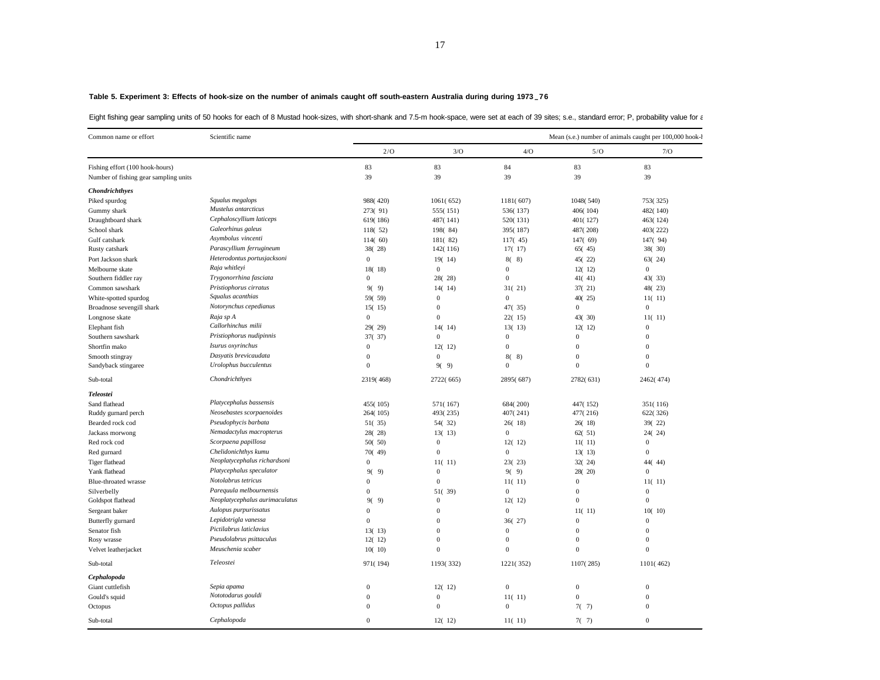|  |  |  |  |  | Eight fishing gear sampling units of 50 hooks for each of 8 Mustad hook-sizes, with short-shank and 7.5-m hook-space, were set at each of 39 sites; s.e., standard error; P, probability value for a |  |  |  |
|--|--|--|--|--|------------------------------------------------------------------------------------------------------------------------------------------------------------------------------------------------------|--|--|--|
|  |  |  |  |  |                                                                                                                                                                                                      |  |  |  |

| Common name or effort                 | Scientific name                |                  |                        |                        |                | Mean (s.e.) number of animals caught per 100,000 hook- |
|---------------------------------------|--------------------------------|------------------|------------------------|------------------------|----------------|--------------------------------------------------------|
|                                       |                                | 2/O              | 3/O                    | 4/O                    | 5/O            | 7/O                                                    |
| Fishing effort (100 hook-hours)       |                                | 83               | 83                     | 84                     | 83             | 83                                                     |
| Number of fishing gear sampling units |                                | 39               | 39                     | 39                     | 39             | 39                                                     |
| Chondrichthyes                        |                                |                  |                        |                        |                |                                                        |
| Piked spurdog                         | Squalus megalops               | 988(420)         | 1061(652)              | 1181(607)              | 1048(540)      | 753(325)                                               |
| Gummy shark                           | Mustelus antarcticus           | 273(91)          | 555(151)               | 536(137)               | 406(104)       | 482(140)                                               |
| Draughtboard shark                    | Cephaloscyllium laticeps       | 619(186)         | 487(141)               | 520(131)               | 401(127)       | 463(124)                                               |
| School shark                          | Galeorhinus galeus             | 118(52)          | 198(84)                | 395(187)               | 487(208)       | 403(222)                                               |
| Gulf catshark                         | Asymbolus vincenti             | 114(60)          | 181(82)                | 117(45)                | 147(69)        | 147(94)                                                |
| Rusty catshark                        | Parascyllium ferrugineum       | 38(28)           | 142(116)               | 17(17)                 | 65(45)         | 38(30)                                                 |
| Port Jackson shark                    | Heterodontus portusjacksoni    | $\mathbf{0}$     | 19(14)                 | 8(8)                   | 45(22)         | 63(24)                                                 |
| Melbourne skate                       | Raja whitlevi                  | 18(18)           | $\mathbf{0}$           | $\mathbf{0}$           | 12(12)         | $\mathbf{0}$                                           |
| Southern fiddler ray                  | Trygonorrhina fasciata         | $\mathbf{0}$     | 28(28)                 | $\mathbf{0}$           | 41(41)         | 43(33)                                                 |
| Common sawshark                       | Pristiophorus cirratus         | 9(9)             | 14(14)                 | 31(21)                 | 37(21)         | 48(23)                                                 |
| White-spotted spurdog                 | Squalus acanthias              | 59(59)           | $\mathbf{0}$           | $\mathbf{0}$           | 40(25)         | 11(11)                                                 |
| Broadnose sevengill shark             | Notorynchus cepedianus         | 15(15)           | $\boldsymbol{0}$       | 47(35)                 | $\mathbf{0}$   | $\boldsymbol{0}$                                       |
| Longnose skate                        | Raja sp A                      | $\mathbf{0}$     | $\mathbf{0}$           | 22(15)                 | 43(30)         | 11(11)                                                 |
| Elephant fish                         | Callorhinchus milii            | 29(29)           | 14(14)                 | 13(13)                 | 12(12)         | $\boldsymbol{0}$                                       |
| Southern sawshark                     | Pristiophorus nudipinnis       | 37(37)           | $\boldsymbol{0}$       | $\mathbf{0}$           | $\mathbf{0}$   | $\boldsymbol{0}$                                       |
| Shortfin mako                         | Isurus oxyrinchus              | $\mathbf{0}$     | 12(12)                 | $\mathbf{0}$           | $\mathbf{0}$   | $\mathbf{0}$                                           |
| Smooth stingray                       | Dasyatis brevicaudata          | $\mathbf{0}$     | $\mathbf{0}$           | 8(8)                   | $\mathbf{0}$   | $\mathbf{0}$                                           |
| Sandyback stingaree                   | Urolophus bucculentus          | $\boldsymbol{0}$ | 9(9)                   | $\mathbf{0}$           | $\overline{0}$ | $\mathbf{0}$                                           |
| Sub-total                             | Chondrichthyes                 | 2319(468)        | 2722(665)              | 2895(687)              | 2782(631)      | 2462(474)                                              |
| Teleostei                             |                                |                  |                        |                        |                |                                                        |
| Sand flathead                         | Platycephalus bassensis        | 455(105)         | 571(167)               | 684(200)               | 447(152)       | 351(116)                                               |
| Ruddy gurnard perch                   | Neosebastes scorpaenoides      | 264(105)         | 493(235)               | 407(241)               | 477(216)       | 622(326)                                               |
| Bearded rock cod                      | Pseudophycis barbata           | 51(35)           | 54(32)                 | 26(18)                 | 26(18)         | 39(22)                                                 |
| Jackass morwong                       | Nemadactylus macropterus       | 28(28)           | 13(13)                 | $\mathbf{0}$           | 62(51)         | 24(24)                                                 |
| Red rock cod                          | Scorpaena papillosa            | 50(50)           | $\mathbf{0}$           | 12(12)                 | 11(11)         | $\boldsymbol{0}$                                       |
| Red gurnard                           | Chelidonichthys kumu           | 70(49)           | $\boldsymbol{0}$       | $\mathbf{0}$           | 13(13)         | $\boldsymbol{0}$                                       |
| Tiger flathead                        | Neoplatycephalus richardsoni   | $\bf{0}$         | 11(11)                 | 23(23)                 | 32(24)         | 44(44)                                                 |
| Yank flathead                         | Platycephalus speculator       | 9)<br>90         | $\mathbf{0}$           | 9(9)                   | 28(20)         | $\mathbf{0}$                                           |
| Blue-throated wrasse                  | Notolabrus tetricus            | $\mathbf{0}$     | $\boldsymbol{0}$       | 11(11)                 | $\mathbf{0}$   | 11(11)                                                 |
| Silverbelly                           | Parequula melbournensis        | $\bf{0}$         | 51(39)                 | $\mathbf{0}$           | $\theta$       | $\boldsymbol{0}$                                       |
| Goldspot flathead                     | Neoplatycephalus aurimaculatus | 9(<br>9)         | $\mathbf{0}$           | 12(12)                 | $\mathbf{0}$   | $\mathbf{0}$                                           |
| Sergeant baker                        | Aulopus purpurissatus          | $\mathbf{0}$     | $\mathbf{0}$           | $\mathbf{0}$           | 11(11)         | 10(10)                                                 |
| Butterfly gurnard                     | Lepidotrigla vanessa           | $\mathbf{0}$     | $\boldsymbol{0}$       | 36(27)                 | $\mathbf{0}$   | $\boldsymbol{0}$                                       |
| Senator fish                          | Pictilabrus laticlavius        | 13(13)           | $\mathbf{0}$           | $\mathbf{0}$           | $\overline{0}$ | $\mathbf{0}$                                           |
| Rosy wrasse                           | Pseudolabrus psittaculus       | 12(12)           | $\mathbf{0}$           | $\overline{0}$         | $\mathbf{0}$   | $\mathbf{0}$                                           |
| Velvet leatherjacket                  | Meuschenia scaber              | 10(10)           | $\theta$               | $\overline{0}$         | $\mathbf{0}$   | $\boldsymbol{0}$                                       |
| Sub-total                             | Teleostei                      | 971(194)         | 1193(332)              | 1221(352)              | 1107(285)      | 1101(462)                                              |
| Cephalopoda                           |                                |                  |                        |                        |                |                                                        |
| Giant cuttlefish                      | Sepia apama                    | $\bf{0}$         |                        | $\mathbf{0}$           | $\mathbf{0}$   | $\overline{0}$                                         |
|                                       | Nototodarus gouldi             | $\mathbf{0}$     | 12(12)<br>$\mathbf{0}$ |                        | $\mathbf{0}$   | $\Omega$                                               |
| Gould's squid                         | Octopus pallidus               | $\bf{0}$         | $\boldsymbol{0}$       | 11(11)<br>$\mathbf{0}$ |                | $\boldsymbol{0}$                                       |
| Octopus                               |                                |                  |                        |                        | 7(7)           |                                                        |
| Sub-total                             | Cephalopoda                    | $\mathbf{0}$     | 12(12)                 | 11(11)                 | 7(7)           | $\mathbf{0}$                                           |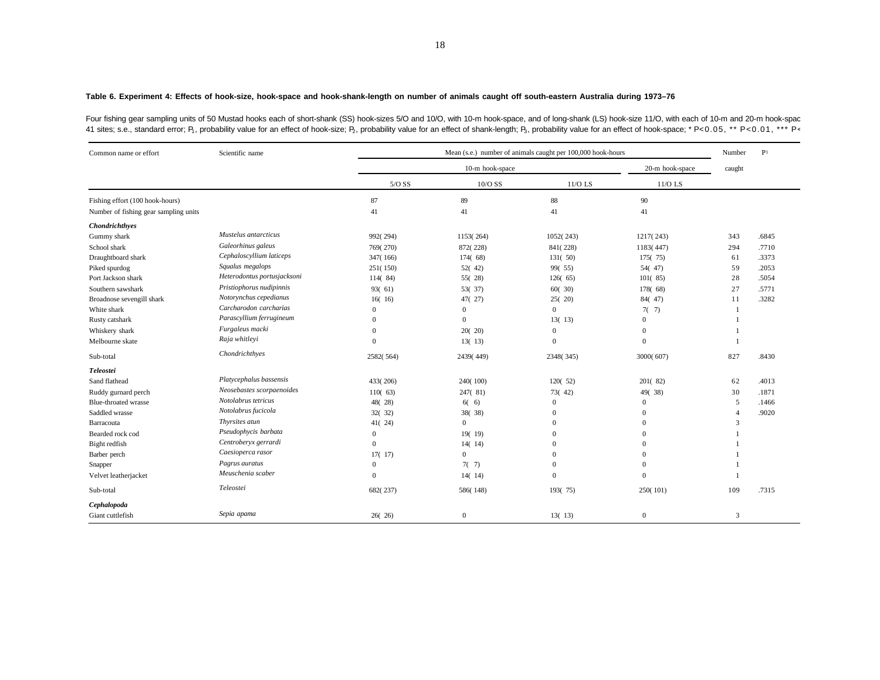#### **Table 6. Experiment 4: Effects of hook-size, hook-space and hook-shank-length on number of animals caught off south-eastern Australia during 1973–76**

Four fishing gear sampling units of 50 Mustad hooks each of short-shank (SS) hook-sizes 5/O and 10/O, with 10-m hook-space, and of long-shank (LS) hook-size 11/O, with each of 10-m and 20-m hook-spac 41 sites; s.e., standard error; P<sub>1</sub>, probability value for an effect of hook-size; P<sub>2</sub>, probability value for an effect of shank-length; P<sub>3</sub>, probability value for an effect of hook-space; \* P<0.05, \*\* P<0.01, \*\*\* P<

| Common name or effort                 | Scientific name             |              | Mean (s.e.) number of animals caught per 100,000 hook-hours |              |                  |                |       |  |  |
|---------------------------------------|-----------------------------|--------------|-------------------------------------------------------------|--------------|------------------|----------------|-------|--|--|
|                                       |                             |              | 10-m hook-space<br>20-m hook-space                          |              |                  |                |       |  |  |
|                                       |                             | $5/O$ SS     | 10/O SS                                                     | $11/O$ LS    | 11/O LS          |                |       |  |  |
| Fishing effort (100 hook-hours)       |                             | 87           | 89                                                          | 88           | 90               |                |       |  |  |
| Number of fishing gear sampling units |                             | 41           | 41                                                          | 41           | 41               |                |       |  |  |
| Chondrichthyes                        |                             |              |                                                             |              |                  |                |       |  |  |
| Gummy shark                           | Mustelus antarcticus        | 992(294)     | 1153(264)                                                   | 1052(243)    | 1217(243)        | 343            | .6845 |  |  |
| School shark                          | Galeorhinus galeus          | 769(270)     | 872(228)                                                    | 841(228)     | 1183(447)        | 294            | .7710 |  |  |
| Draughtboard shark                    | Cephaloscyllium laticeps    | 347(166)     | 174(68)                                                     | 131(50)      | 175(75)          | 61             | .3373 |  |  |
| Piked spurdog                         | Squalus megalops            | 251(150)     | 52(42)                                                      | 99(55)       | 54(47)           | 59             | .2053 |  |  |
| Port Jackson shark                    | Heterodontus portusjacksoni | 114(84)      | 55(28)                                                      | 126(65)      | 101(85)          | 28             | .5054 |  |  |
| Southern sawshark                     | Pristiophorus nudipinnis    | 93(61)       | 53(37)                                                      | 60(30)       | 178(68)          | 27             | .5771 |  |  |
| Broadnose sevengill shark             | Notorynchus cepedianus      | 16(16)       | 47(27)                                                      | 25(20)       | 84(47)           | 11             | .3282 |  |  |
| White shark                           | Carcharodon carcharias      | $\Omega$     | $\overline{0}$                                              | $\Omega$     | 7(7)             | -1             |       |  |  |
| Rusty catshark                        | Parascyllium ferrugineum    | $\mathbf{0}$ | $\Omega$                                                    | 13(13)       | $\overline{0}$   |                |       |  |  |
| Whiskery shark                        | Furgaleus macki             | $\mathbf{0}$ | 20(20)                                                      | $\mathbf{0}$ | $\overline{0}$   |                |       |  |  |
| Melbourne skate                       | Raja whitleyi               | $\Omega$     | 13(13)                                                      | $\mathbf{0}$ | $\boldsymbol{0}$ |                |       |  |  |
| Sub-total                             | Chondrichthyes              | 2582(564)    | 2439(449)                                                   | 2348(345)    | 3000(607)        | 827            | .8430 |  |  |
| Teleostei                             |                             |              |                                                             |              |                  |                |       |  |  |
| Sand flathead                         | Platycephalus bassensis     | 433(206)     | 240(100)                                                    | 120(52)      | 201(82)          | 62             | .4013 |  |  |
| Ruddy gurnard perch                   | Neosebastes scorpaenoides   | 110(63)      | 247(81)                                                     | 73(42)       | 49(38)           | 30             | .1871 |  |  |
| Blue-throated wrasse                  | Notolabrus tetricus         | 48(28)       | 6(6)                                                        | $\mathbf{0}$ | $\mathbf{0}$     | 5              | .1466 |  |  |
| Saddled wrasse                        | Notolabrus fucicola         | 32(32)       | 38(38)                                                      | $\Omega$     | $\overline{0}$   | $\overline{4}$ | .9020 |  |  |
| Barracouta                            | Thyrsites atun              | 41(24)       | $\overline{0}$                                              | $\Omega$     | $\boldsymbol{0}$ | 3              |       |  |  |
| Bearded rock cod                      | Pseudophycis barbata        | $\mathbf{0}$ | 19(19)                                                      | $\Omega$     | $\overline{0}$   | 1              |       |  |  |
| Bight redfish                         | Centroberyx gerrardi        | $\mathbf{0}$ | 14(14)                                                      | $\Omega$     | $\overline{0}$   |                |       |  |  |
| Barber perch                          | Caesioperca rasor           | 17(17)       | $\overline{0}$                                              | $\Omega$     | $\overline{0}$   |                |       |  |  |
| Snapper                               | Pagrus auratus              | $\mathbf{0}$ | 7(7)                                                        | $\Omega$     | $\overline{0}$   |                |       |  |  |
| Velvet leatherjacket                  | Meuschenia scaber           | $\Omega$     | 14(14)                                                      | $\Omega$     | $\overline{0}$   |                |       |  |  |
| Sub-total                             | Teleostei                   | 682(237)     | 586(148)                                                    | 193(75)      | 250(101)         | 109            | .7315 |  |  |
| Cephalopoda                           |                             |              |                                                             |              |                  |                |       |  |  |
| Giant cuttlefish                      | Sepia apama                 | 26(26)       | $\overline{0}$                                              | 13(13)       | $\mathbf{0}$     | 3              |       |  |  |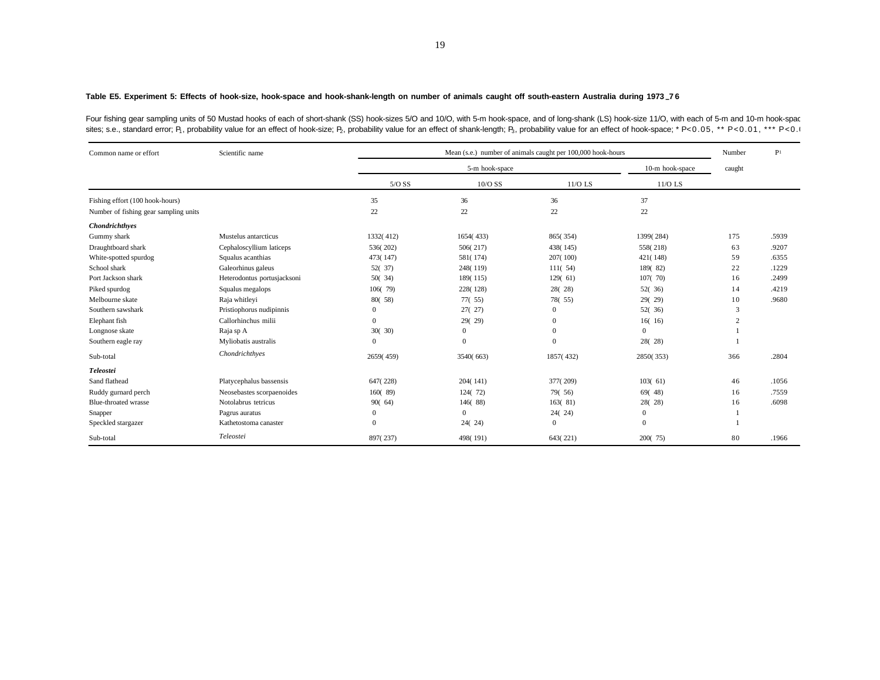### **Table E5. Experiment 5: Effects of hook-size, hook-space and hook-shank-length on number of animals caught off south-eastern Australia during 1973– 7 6**

Four fishing gear sampling units of 50 Mustad hooks of each of short-shank (SS) hook-sizes 5/O and 10/O, with 5-m hook-space, and of long-shank (LS) hook-size 11/O, with each of 5-m and 10-m hook-spac sites; s.e., standard error; P<sub>1</sub>, probability value for an effect of hook-size; P<sub>2</sub>, probability value for an effect of shank-length; P<sub>3</sub>, probability value for an effect of hook-space; \* P<0.05, \*\* P<0.01, \*\*\* P<0.0

| Common name or effort                 | Scientific name             |              |                | Mean (s.e.) number of animals caught per 100,000 hook-hours |                 | Number         | P <sub>1</sub> |
|---------------------------------------|-----------------------------|--------------|----------------|-------------------------------------------------------------|-----------------|----------------|----------------|
|                                       |                             |              | 5-m hook-space |                                                             | 10-m hook-space | caught         |                |
|                                       |                             | $5/O$ SS     | $10/O$ SS      | $11/O$ LS                                                   | 11/O LS         |                |                |
| Fishing effort (100 hook-hours)       |                             | 35           | 36             | 36                                                          | 37              |                |                |
| Number of fishing gear sampling units |                             | 22           | 22             | 22                                                          | 22              |                |                |
| Chondrichthyes                        |                             |              |                |                                                             |                 |                |                |
| Gummy shark                           | Mustelus antarcticus        | 1332(412)    | 1654(433)      | 865(354)                                                    | 1399(284)       | 175            | .5939          |
| Draughtboard shark                    | Cephaloscyllium laticeps    | 536(202)     | 506(217)       | 438(145)                                                    | 558(218)        | 63             | .9207          |
| White-spotted spurdog                 | Squalus acanthias           | 473(147)     | 581(174)       | 207(100)                                                    | 421(148)        | 59             | .6355          |
| School shark                          | Galeorhinus galeus          | 52(37)       | 248(119)       | 111(54)                                                     | 189(82)         | 22             | .1229          |
| Port Jackson shark                    | Heterodontus portusjacksoni | 50(34)       | 189(115)       | 129(61)                                                     | 107(70)         | 16             | .2499          |
| Piked spurdog                         | Squalus megalops            | 106(79)      | 228(128)       | 28(28)                                                      | 52(36)          | 14             | .4219          |
| Melbourne skate                       | Raja whitleyi               | 80(58)       | 77(.55)        | 78(55)                                                      | 29(29)          | 10             | .9680          |
| Southern sawshark                     | Pristiophorus nudipinnis    | $\mathbf{0}$ | 27(27)         | $\Omega$                                                    | 52(36)          | 3              |                |
| Elephant fish                         | Callorhinchus milii         | $\mathbf{0}$ | 29(29)         | $\Omega$                                                    | 16(16)          | $\overline{c}$ |                |
| Longnose skate                        | Raja sp A                   | 30(30)       | $\mathbf{0}$   | $\Omega$                                                    | $\Omega$        |                |                |
| Southern eagle ray                    | Myliobatis australis        | $\mathbf{0}$ | $\Omega$       | $\Omega$                                                    | 28(28)          |                |                |
| Sub-total                             | Chondrichthyes              | 2659(459)    | 3540(663)      | 1857(432)                                                   | 2850(353)       | 366            | .2804          |
| Teleostei                             |                             |              |                |                                                             |                 |                |                |
| Sand flathead                         | Platycephalus bassensis     | 647(228)     | 204(141)       | 377(209)                                                    | 103(61)         | 46             | .1056          |
| Ruddy gurnard perch                   | Neosebastes scorpaenoides   | 160(89)      | 124(72)        | 79(56)                                                      | 69(48)          | 16             | .7559          |
| Blue-throated wrasse                  | Notolabrus tetricus         | 90(64)       | 146(88)        | 163(81)                                                     | 28(28)          | 16             | .6098          |
| Snapper                               | Pagrus auratus              | $\mathbf{0}$ | $\mathbf{0}$   | 24(24)                                                      | $\mathbf{0}$    |                |                |
| Speckled stargazer                    | Kathetostoma canaster       | $\mathbf{0}$ | 24(24)         | $\mathbf{0}$                                                | $\mathbf{0}$    |                |                |
| Sub-total                             | Teleostei                   | 897(237)     | 498(191)       | 643(221)                                                    | 200(75)         | 80             | .1966          |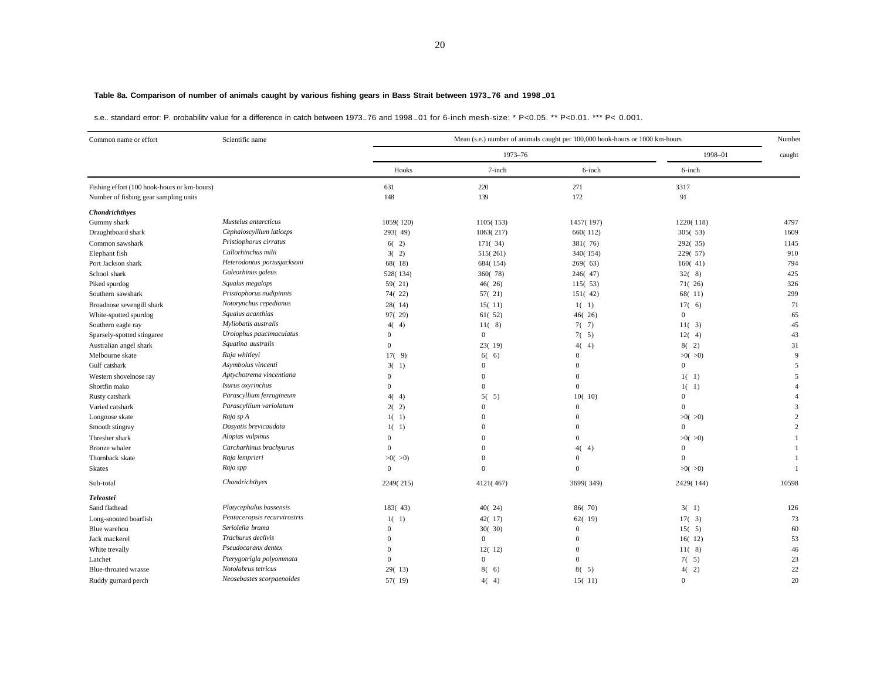## **Table 8a. Comparison of number of animals caught by various fishing gears in Bass Strait between 1973–76 and 1998–01**

s.e., standard error; P, probability value for a difference in catch between 1973–76 and 1998–01 for 6-inch mesh-size; \* P<0.05, \*\* P<0.01, \*\*\* P<0.001

| Common name or effort                                                                | Scientific name              |              |              | Mean (s.e.) number of animals caught per 100,000 hook-hours or 1000 km-hours |              | Number         |
|--------------------------------------------------------------------------------------|------------------------------|--------------|--------------|------------------------------------------------------------------------------|--------------|----------------|
|                                                                                      |                              |              | 1973-76      |                                                                              | 1998-01      | caught         |
|                                                                                      |                              | Hooks        | 7-inch       | 6-inch                                                                       | 6-inch       |                |
| Fishing effort (100 hook-hours or km-hours)<br>Number of fishing gear sampling units |                              | 631<br>148   | 220<br>139   | 271<br>172                                                                   | 3317<br>91   |                |
| <b>Chondrichthyes</b>                                                                |                              |              |              |                                                                              |              |                |
| Gummy shark                                                                          | Mustelus antarcticus         | 1059(120)    | 1105(153)    | 1457(197)                                                                    | 1220(118)    | 4797           |
| Draughtboard shark                                                                   | Cephaloscyllium laticeps     | 293(49)      | 1063(217)    | 660(112)                                                                     | 305(53)      | 1609           |
| Common sawshark                                                                      | Pristiophorus cirratus       | 6(2)         | 171(34)      | 381(76)                                                                      | 292(35)      | 1145           |
| Elephant fish                                                                        | Callorhinchus milii          | 3(2)         | 515(261)     | 340(154)                                                                     | 229(57)      | 910            |
| Port Jackson shark                                                                   | Heterodontus portusjacksoni  | 68(18)       | 684(154)     | 269(63)                                                                      | 160(41)      | 794            |
| School shark                                                                         | Galeorhinus galeus           | 528(134)     | 360(78)      | 246(47)                                                                      | 32(8)        | 425            |
| Piked spurdog                                                                        | Squalus megalops             | 59(21)       | 46(26)       | 115(53)                                                                      | 71(26)       | 326            |
| Southern sawshark                                                                    | Pristiophorus nudipinnis     | 74(22)       | 57(21)       | 151(42)                                                                      | 68(11)       | 299            |
| Broadnose sevengill shark                                                            | Notorynchus cepedianus       | 28(14)       | 15(11)       | $1(-1)$                                                                      | 17(6)        | 71             |
| White-spotted spurdog                                                                | Squalus acanthias            | 97(29)       | 61(52)       | 46(26)                                                                       | $\mathbf{0}$ | 65             |
| Southern eagle ray                                                                   | Myliobatis australis         | 4(4)         | 11(8)        | 7(7)                                                                         | 11(3)        | 45             |
| Sparsely-spotted stingaree                                                           | Urolophus paucimaculatus     | $\mathbf{0}$ | $\mathbf{0}$ | $7(-5)$                                                                      | 12(4)        | 43             |
| Australian angel shark                                                               | Squatina australis           | $\mathbf{0}$ | 23(19)       | 4(4)                                                                         | 8(2)         | 31             |
| Melbourne skate                                                                      | Raja whitleyi                | 17(9)        | 60<br>6)     | $\Omega$                                                                     | $>0($ $>0)$  | 9              |
| Gulf catshark                                                                        | Asymbolus vincenti           | 3(1)         | $\Omega$     | $\Omega$                                                                     | $\Omega$     | 5              |
| Western shovelnose ray                                                               | Aptychotrema vincentiana     | $\mathbf{0}$ | $\Omega$     | $\Omega$                                                                     | $1(-1)$      | 5              |
| Shortfin mako                                                                        | Isurus oxyrinchus            | $\Omega$     | $\Omega$     | $\Omega$                                                                     | $1(-1)$      | $\overline{A}$ |
| Rusty catshark                                                                       | Parascyllium ferrugineum     | 4(4)         | 5(<br>5)     | 10(10)                                                                       | $\Omega$     | $\overline{4}$ |
| Varied catshark                                                                      | Parascyllium variolatum      | 2(2)         | $\mathbf{0}$ | $\Omega$                                                                     | $\mathbf{0}$ | 3              |
| Longnose skate                                                                       | Raja sp A                    | $1(-1)$      | $\Omega$     | $\Omega$                                                                     | >0(>0)       | $\overline{c}$ |
| Smooth stingray                                                                      | Dasyatis brevicaudata        | $1(-1)$      | $\Omega$     | $\Omega$                                                                     | $\Omega$     | $\overline{2}$ |
| Thresher shark                                                                       | Alopias vulpinus             | $\theta$     | $\Omega$     | $\Omega$                                                                     | $>0($ $>0)$  | $\overline{1}$ |
| Bronze whaler                                                                        | Carcharhinus brachyurus      | $\theta$     | $\Omega$     | 4(4)                                                                         | $\Omega$     | $\overline{1}$ |
| Thornback skate                                                                      | Raja lemprieri               | >0(>0)       | $\mathbf{0}$ | $\Omega$                                                                     | $\Omega$     | $\overline{1}$ |
| <b>Skates</b>                                                                        | Raja spp                     | $\theta$     | $\Omega$     | $\Omega$                                                                     | >0(>0)       | $\overline{1}$ |
| Sub-total                                                                            | Chondrichthyes               | 2249(215)    | 4121(467)    | 3699(349)                                                                    | 2429(144)    | 10598          |
| <b>Teleostei</b>                                                                     |                              |              |              |                                                                              |              |                |
| Sand flathead                                                                        | Platycephalus bassensis      | 183(43)      | 40(24)       | 86(70)                                                                       | 3(1)         | 126            |
| Long-snouted boarfish                                                                | Pentaceropsis recurvirostris | $1(-1)$      | 42(17)       | 62(19)                                                                       | 17(3)        | 73             |
| Blue warehou                                                                         | Seriolella brama             | $\mathbf{0}$ | 30(30)       | $\Omega$                                                                     | 15(5)        | 60             |
| Jack mackerel                                                                        | Trachurus declivis           | $\theta$     | $\mathbf{0}$ | $\Omega$                                                                     | 16(12)       | 53             |
| White trevally                                                                       | Pseudocaranx dentex          | $\Omega$     | 12(12)       | $\Omega$                                                                     | 11(8)        | 46             |
| Latchet                                                                              | Pterygotrigla polyommata     | $\Omega$     | $\mathbf{0}$ | $\Omega$                                                                     | $7(-5)$      | 23             |
| Blue-throated wrasse                                                                 | Notolabrus tetricus          | 29(13)       | 8(6)         | 8(5)                                                                         | 4(2)         | 22             |
| Ruddy gurnard perch                                                                  | Neosebastes scorpaenoides    | 57(19)       | 4(4)         | 15(11)                                                                       | $\mathbf{0}$ | 20             |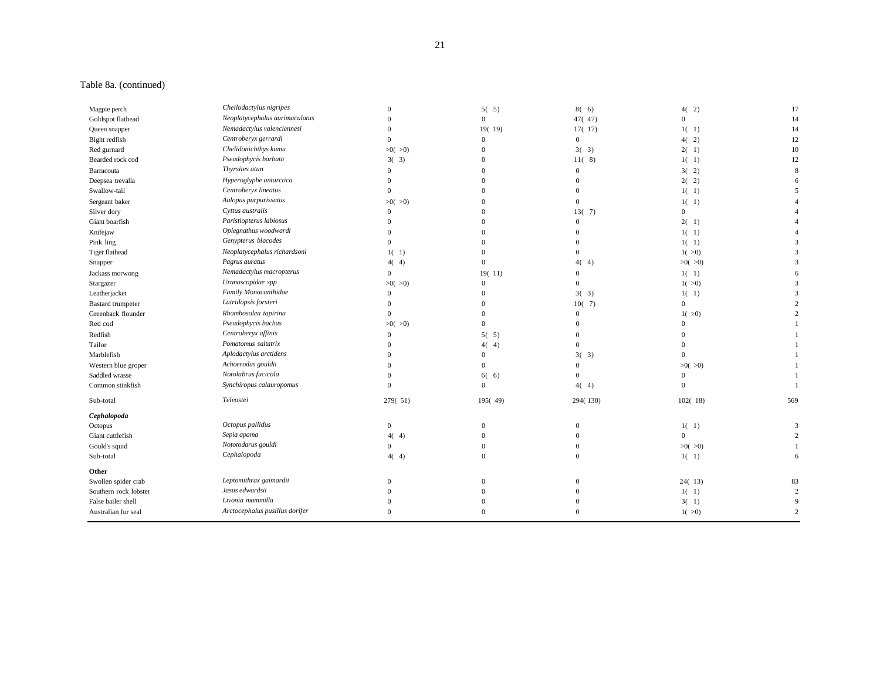## Table 8a. (continued)

| Magpie perch             | Cheilodactylus nigripes        | $\theta$       | 5(5)           | 8(6)           | 4(2)         | 17             |
|--------------------------|--------------------------------|----------------|----------------|----------------|--------------|----------------|
| Goldspot flathead        | Neoplatycephalus aurimaculatus | $\Omega$       | $\overline{0}$ | 47(47)         | $\mathbf{0}$ | 14             |
| Queen snapper            | Nemadactylus valenciennesi     | $\Omega$       | 19(19)         | 17(17)         | $1(-1)$      | 14             |
| Bight redfish            | Centroberyx gerrardi           | $\Omega$       | $\overline{0}$ | $\mathbf{0}$   | 4(2)         | 12             |
| Red gurnard              | Chelidonichthys kumu           | >0(>0)         | $\theta$       | 3(3)           | 2(1)         | 10             |
| Bearded rock cod         | Pseudophycis barbata           | 3(3)           | $\theta$       | 11(8)          | $1(-1)$      | 12             |
| Barracouta               | Thyrsites atun                 | $\theta$       | 0              | $\mathbf{0}$   | 3(2)         | 8              |
| Deepsea trevalla         | Hyperoglyphe antarctica        | $\Omega$       | $\Omega$       | $\Omega$       | 2(2)         | 6              |
| Swallow-tail             | Centroberyx lineatus           | $\Omega$       | $\Omega$       | $\Omega$       | $1(-1)$      | $\overline{5}$ |
| Sergeant baker           | Aulopus purpurissatus          | >0(>0)         | $\Omega$       | $\Omega$       | $1(-1)$      |                |
| Silver dory              | Cyttus australis               | $\Omega$       | 0              | 13(7)          | $\mathbf{0}$ |                |
| Giant boarfish           | Paristiopterus labiosus        | $\Omega$       | 0              | $\overline{0}$ | 2(1)         |                |
| Knifejaw                 | Oplegnathus woodwardi          | $\Omega$       | $\Omega$       | $\Omega$       | $1(-1)$      |                |
| Pink ling                | Genypterus blacodes            | $\Omega$       |                |                | $1(-1)$      | $\mathcal{R}$  |
| Tiger flathead           | Neoplatycephalus richardsoni   | $1(-1)$        | $\Omega$       | $\Omega$       | 1( >0)       | 3              |
| Snapper                  | Pagrus auratus                 | 4(4)           | $\theta$       | 4(4)           | $>0($ $>0)$  | 3              |
| Jackass morwong          | Nemadactylus macropterus       | $\Omega$       | 19(11)         | $\Omega$       | $1(-1)$      | -6             |
| Stargazer                | Uranoscopidae spp              | $>0($ $>0)$    | $\mathbf{0}$   | $\Omega$       | 1( >0)       | 3              |
| Leatherjacket            | Family Monacanthidae           | $\overline{0}$ | $\Omega$       | 3(3)           | $1(-1)$      | 3              |
| <b>Bastard</b> trumpeter | Latridopsis forsteri           | $\overline{0}$ | $\Omega$       | 10(7)          | $\mathbf{0}$ |                |
| Greenback flounder       | Rhombosolea tapirina           | $\Omega$       | $\Omega$       | $\theta$       | 1( >0)       | $\mathcal{D}$  |
| Red cod                  | Pseudophycis bachus            | >0(>0)         | $\overline{0}$ | $\Omega$       | $\Omega$     |                |
| Redfish                  | Centroberyx affinis            | $\overline{0}$ | 5(5)           | $\Omega$       | $\Omega$     |                |
| Tailor                   | Pomatomus saltatrix            | $\overline{0}$ | 4(<br>4)       | $\Omega$       | $\Omega$     |                |
| Marblefish               | Aplodactylus arctidens         | $\Omega$       | $\Omega$       | 3(3)           | $\Omega$     |                |
| Western blue groper      | Achoerodus gouldii             | $\Omega$       | $\Omega$       | $\Omega$       | >0(>0)       |                |
| Saddled wrasse           | Notolabrus fucicola            | $\theta$       | 6(6)           | $\Omega$       | $\mathbf{0}$ |                |
| Common stinkfish         | Synchiropus calauropomus       | $\Omega$       | $\overline{0}$ | 4(4)           | $\mathbf{0}$ |                |
| Sub-total                | Teleostei                      | 279(51)        | 195(49)        | 294(130)       | 102(18)      | 569            |
| Cephalopoda              |                                |                |                |                |              |                |
| Octopus                  | Octopus pallidus               | $\overline{0}$ | $\overline{0}$ | $\Omega$       | $1(-1)$      | 3              |
| Giant cuttlefish         | Sepia apama                    | 4(4)           | $\Omega$       | $\Omega$       | $\Omega$     | $\overline{2}$ |
| Gould's squid            | Nototodarus gouldi             | $\overline{0}$ | $\Omega$       | $\Omega$       | >0(>0)       | -1             |
| Sub-total                | Cephalopoda                    | 4(4)           | $\overline{0}$ | $\Omega$       | $1(-1)$      | 6              |
| Other                    |                                |                |                |                |              |                |
| Swollen spider crab      | Leptomithrax gaimardii         | $\Omega$       | $\overline{0}$ | $\Omega$       | 24(13)       | 83             |
| Southern rock lobster    | Jasus edwardsii                |                | 0              | $\Omega$       | $1(-1)$      | $\overline{2}$ |
| False bailer shell       | Livonia mammilla               |                | $\Omega$       | $\Omega$       | 3(1)         | 9              |
| Australian fur seal      | Arctocephalus pusillus dorifer | $\Omega$       | $\Omega$       | $\Omega$       | 1(>0)        | $\overline{2}$ |
|                          |                                |                |                |                |              |                |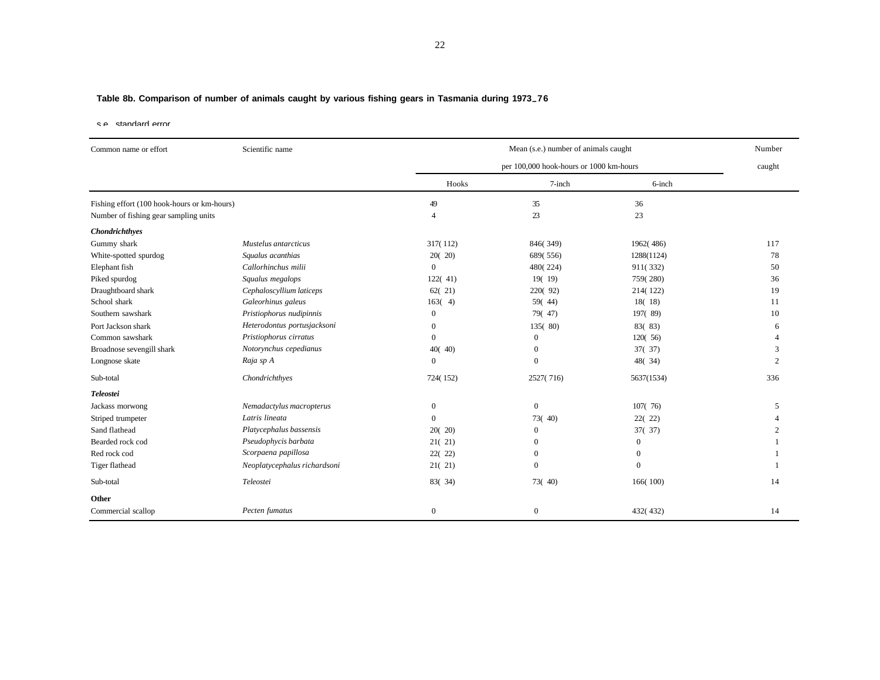# **Table 8b. Comparison of number of animals caught by various fishing gears in Tasmania during 1973–76**

s.e., standard error.

| Common name or effort                       | Scientific name              |                  | Mean (s.e.) number of animals caught    |                  |                |  |  |  |
|---------------------------------------------|------------------------------|------------------|-----------------------------------------|------------------|----------------|--|--|--|
|                                             |                              |                  | per 100,000 hook-hours or 1000 km-hours |                  |                |  |  |  |
|                                             |                              | Hooks            | 7-inch                                  | 6-inch           |                |  |  |  |
| Fishing effort (100 hook-hours or km-hours) |                              | 49               | 35                                      | 36               |                |  |  |  |
| Number of fishing gear sampling units       |                              | $\overline{4}$   | 23                                      | 23               |                |  |  |  |
| <b>Chondrichthyes</b>                       |                              |                  |                                         |                  |                |  |  |  |
| Gummy shark                                 | Mustelus antarcticus         | 317(112)         | 846(349)                                | 1962(486)        | 117            |  |  |  |
| White-spotted spurdog                       | Squalus acanthias            | 20(20)           | 689(556)                                | 1288(1124)       | 78             |  |  |  |
| Elephant fish                               | Callorhinchus milii          | $\overline{0}$   | 480(224)                                | 911(332)         | 50             |  |  |  |
| Piked spurdog                               | Squalus megalops             | 122(41)          | 19(19)                                  | 759(280)         | 36             |  |  |  |
| Draughtboard shark                          | Cephaloscyllium laticeps     | 62(21)           | 220(92)                                 | 214(122)         | 19             |  |  |  |
| School shark                                | Galeorhinus galeus           | 163(4)           | 59(44)                                  | 18(18)           | 11             |  |  |  |
| Southern sawshark                           | Pristiophorus nudipinnis     | $\overline{0}$   | 79(47)                                  | 197(89)          | 10             |  |  |  |
| Port Jackson shark                          | Heterodontus portusjacksoni  | $\boldsymbol{0}$ | 135(80)                                 | 83(83)           | 6              |  |  |  |
| Common sawshark                             | Pristiophorus cirratus       | $\boldsymbol{0}$ | $\mathbf{0}$                            | 120(56)          |                |  |  |  |
| Broadnose sevengill shark                   | Notorynchus cepedianus       | 40(40)           | $\Omega$                                | 37(37)           | 3              |  |  |  |
| Longnose skate                              | Raja sp A                    | $\overline{0}$   | $\mathbf{0}$                            | 48(34)           | $\overline{2}$ |  |  |  |
| Sub-total                                   | Chondrichthyes               | 724(152)         | 2527(716)                               | 5637(1534)       | 336            |  |  |  |
| <b>Teleostei</b>                            |                              |                  |                                         |                  |                |  |  |  |
| Jackass morwong                             | Nemadactylus macropterus     | $\boldsymbol{0}$ | $\overline{0}$                          | 107(76)          | 5              |  |  |  |
| Striped trumpeter                           | Latris lineata               | $\overline{0}$   | 73(40)                                  | 22(22)           |                |  |  |  |
| Sand flathead                               | Platycephalus bassensis      | 20(20)           | $\mathbf{0}$                            | 37(37)           |                |  |  |  |
| Bearded rock cod                            | Pseudophycis barbata         | 21(21)           | $\Omega$                                | $\mathbf{0}$     |                |  |  |  |
| Red rock cod                                | Scorpaena papillosa          | 22(22)           | $\Omega$                                | $\mathbf{0}$     |                |  |  |  |
| Tiger flathead                              | Neoplatycephalus richardsoni | 21(21)           | $\mathbf{0}$                            | $\boldsymbol{0}$ |                |  |  |  |
| Sub-total                                   | Teleostei                    | 83(34)           | 73(40)                                  | 166(100)         | 14             |  |  |  |
| Other                                       |                              |                  |                                         |                  |                |  |  |  |
| Commercial scallop                          | Pecten fumatus               | $\mathbf{0}$     | $\overline{0}$                          | 432(432)         | 14             |  |  |  |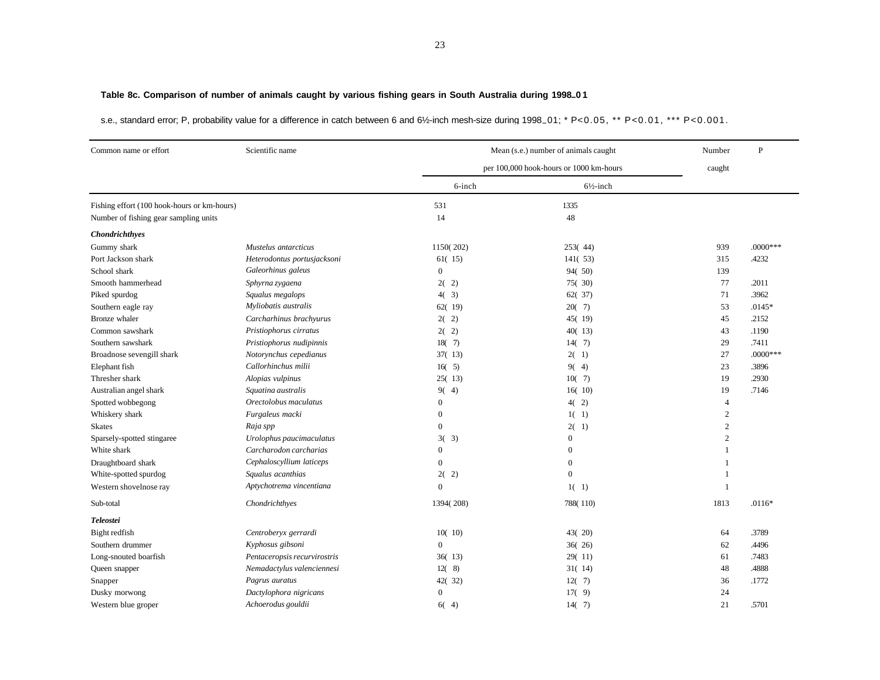# **Table 8c. Comparison of number of animals caught by various fishing gears in South Australia during 1998–0 1**

s.e., standard error; P, probability value for a difference in catch between 6 and 6½-inch mesh-size during 1998–01; \* P<0.05, \*\* P<0.01, \*\*\* P<0.001.

| Common name or effort                       | Scientific name              |                  | Mean (s.e.) number of animals caught<br>per 100,000 hook-hours or 1000 km-hours |                |            |  |  |
|---------------------------------------------|------------------------------|------------------|---------------------------------------------------------------------------------|----------------|------------|--|--|
|                                             |                              |                  |                                                                                 |                |            |  |  |
|                                             |                              | 6-inch           | $6\frac{1}{2}$ -inch                                                            |                |            |  |  |
| Fishing effort (100 hook-hours or km-hours) |                              | 531              | 1335                                                                            |                |            |  |  |
| Number of fishing gear sampling units       |                              | 14               | 48                                                                              |                |            |  |  |
| Chondrichthyes                              |                              |                  |                                                                                 |                |            |  |  |
| Gummy shark                                 | Mustelus antarcticus         | 1150(202)        | 253(44)                                                                         | 939            | $.0000***$ |  |  |
| Port Jackson shark                          | Heterodontus portusjacksoni  | 61(15)           | 141(53)                                                                         | 315            | .4232      |  |  |
| School shark                                | Galeorhinus galeus           | $\overline{0}$   | 94(50)                                                                          | 139            |            |  |  |
| Smooth hammerhead                           | Sphyrna zygaena              | 2(2)             | 75(30)                                                                          | 77             | .2011      |  |  |
| Piked spurdog                               | Squalus megalops             | 4(3)             | 62(37)                                                                          | 71             | .3962      |  |  |
| Southern eagle ray                          | Myliobatis australis         | 62(19)           | 20(7)                                                                           | 53             | $.0145*$   |  |  |
| Bronze whaler                               | Carcharhinus brachyurus      | 2(2)             | 45(19)                                                                          | 45             | .2152      |  |  |
| Common sawshark                             | Pristiophorus cirratus       | 2(2)             | 40(13)                                                                          | 43             | .1190      |  |  |
| Southern sawshark                           | Pristiophorus nudipinnis     | 18(7)            | 14(7)                                                                           | 29             | .7411      |  |  |
| Broadnose sevengill shark                   | Notorynchus cepedianus       | 37(13)           | 2(1)                                                                            | 27             | $.0000***$ |  |  |
| Elephant fish                               | Callorhinchus milii          | 16(5)            | 9(4)                                                                            | 23             | .3896      |  |  |
| Thresher shark                              | Alopias vulpinus             | 25(13)           | 10(7)                                                                           | 19             | .2930      |  |  |
| Australian angel shark                      | Squatina australis           | 9(4)             | 16(10)                                                                          | 19             | .7146      |  |  |
| Spotted wobbegong                           | Orectolobus maculatus        | $\boldsymbol{0}$ | 4(2)                                                                            | $\overline{4}$ |            |  |  |
| Whiskery shark                              | Furgaleus macki              | $\boldsymbol{0}$ | $1(-1)$                                                                         | $\overline{c}$ |            |  |  |
| <b>Skates</b>                               | Raja spp                     | $\mathbf{0}$     | $2(-1)$                                                                         | $\overline{c}$ |            |  |  |
| Sparsely-spotted stingaree                  | Urolophus paucimaculatus     | 3(3)             | $\mathbf{0}$                                                                    | $\overline{2}$ |            |  |  |
| White shark                                 | Carcharodon carcharias       | $\boldsymbol{0}$ | $\mathbf{0}$                                                                    | -1             |            |  |  |
| Draughtboard shark                          | Cephaloscyllium laticeps     | $\mathbf{0}$     | $\overline{0}$                                                                  | -1             |            |  |  |
| White-spotted spurdog                       | Squalus acanthias            | 2(2)             | $\theta$                                                                        | 1              |            |  |  |
| Western shovelnose ray                      | Aptychotrema vincentiana     | $\mathbf{0}$     | $1(-1)$                                                                         | 1              |            |  |  |
| Sub-total                                   | Chondrichthyes               | 1394(208)        | 788(110)                                                                        | 1813           | $.0116*$   |  |  |
| <b>Teleostei</b>                            |                              |                  |                                                                                 |                |            |  |  |
| Bight redfish                               | Centroberyx gerrardi         | 10(10)           | 43(20)                                                                          | 64             | .3789      |  |  |
| Southern drummer                            | Kyphosus gibsoni             | $\Omega$         | 36(26)                                                                          | 62             | .4496      |  |  |
| Long-snouted boarfish                       | Pentaceropsis recurvirostris | 36(13)           | 29(11)                                                                          | 61             | .7483      |  |  |
| Queen snapper                               | Nemadactylus valenciennesi   | 12(8)            | 31(14)                                                                          | 48             | .4888      |  |  |
| Snapper                                     | Pagrus auratus               | 42(32)           | 12(7)                                                                           | 36             | .1772      |  |  |
| Dusky morwong                               | Dactylophora nigricans       | $\boldsymbol{0}$ | 17(9)                                                                           | 24             |            |  |  |
| Western blue groper                         | Achoerodus gouldii           | 6(4)             | 14(7)                                                                           | 21             | .5701      |  |  |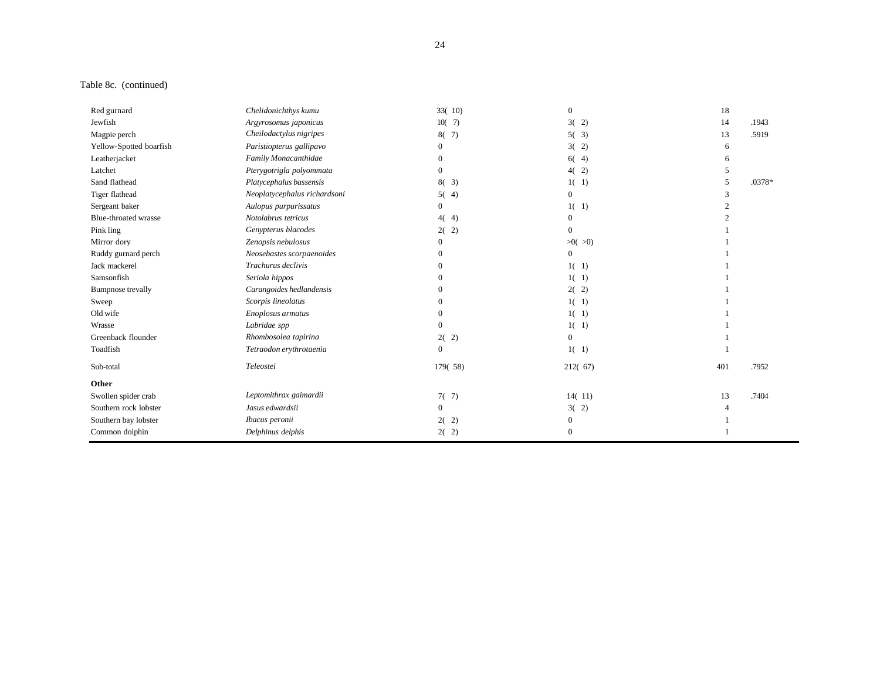## Table 8c. (continued)

| Red gurnard              | Chelidonichthys kumu         | 33(10)       | $\boldsymbol{0}$ | 18  |        |
|--------------------------|------------------------------|--------------|------------------|-----|--------|
| Jewfish                  | Argyrosomus japonicus        | 10(7)        | 3(2)             | 14  | .1943  |
| Magpie perch             | Cheilodactylus nigripes      | 8(7)         | 5(3)             | 13  | .5919  |
| Yellow-Spotted boarfish  | Paristiopterus gallipavo     | $\Omega$     | 3(2)             | 6   |        |
| Leatherjacket            | Family Monacanthidae         | $\theta$     | 6(4)             | 6   |        |
| Latchet                  | Pterygotrigla polyommata     | $\Omega$     | 4(2)             |     |        |
| Sand flathead            | Platycephalus bassensis      | 8(3)         | $1(-1)$          |     | .0378* |
| Tiger flathead           | Neoplatycephalus richardsoni | 5(4)         | $\overline{0}$   |     |        |
| Sergeant baker           | Aulopus purpurissatus        | $\Omega$     | $1(-1)$          |     |        |
| Blue-throated wrasse     | Notolabrus tetricus          | 4(4)         | $\Omega$         |     |        |
| Pink ling                | Genypterus blacodes          | 2)<br>2(     | $\mathbf{0}$     |     |        |
| Mirror dory              | Zenopsis nebulosus           | $\Omega$     | $>0($ $>0)$      |     |        |
| Ruddy gurnard perch      | Neosebastes scorpaenoides    |              | $\overline{0}$   |     |        |
| Jack mackerel            | Trachurus declivis           | $\Omega$     | $1(-1)$          |     |        |
| Samsonfish               | Seriola hippos               |              | $1(-1)$          |     |        |
| <b>Bumpnose</b> trevally | Carangoides hedlandensis     |              | 2(2)             |     |        |
| Sweep                    | Scorpis lineolatus           | $\Omega$     | $1(-1)$          |     |        |
| Old wife                 | Enoplosus armatus            |              | $1(-1)$          |     |        |
| Wrasse                   | Labridae spp                 | $\Omega$     | $1(-1)$          |     |        |
| Greenback flounder       | Rhombosolea tapirina         | 2)<br>2(     | $\mathbf{0}$     |     |        |
| Toadfish                 | Tetraodon erythrotaenia      | $\mathbf{0}$ | $1(-1)$          |     |        |
| Sub-total                | Teleostei                    | 179(58)      | 212(67)          | 401 | .7952  |
| Other                    |                              |              |                  |     |        |
| Swollen spider crab      | Leptomithrax gaimardii       | 7(7)         | 14(11)           | 13  | .7404  |
| Southern rock lobster    | Jasus edwardsii              | $\Omega$     | 3(2)             |     |        |
| Southern bay lobster     | Ibacus peronii               | 2(2)         | $\mathbf{0}$     |     |        |
| Common dolphin           | Delphinus delphis            | 2(2)         | $\mathbf{0}$     |     |        |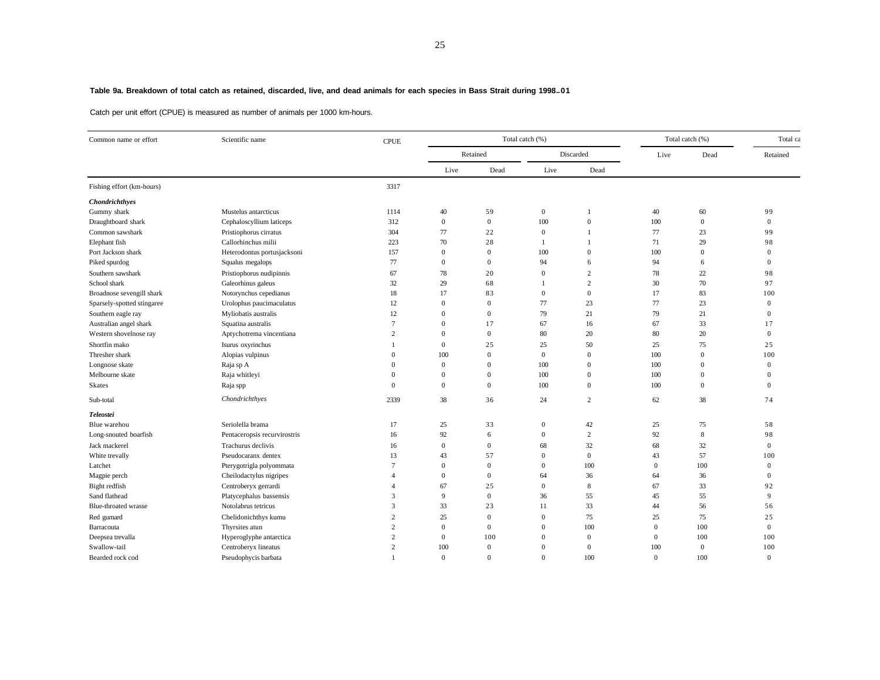#### **Table 9a. Breakdown of total catch as retained, discarded, live, and dead animals for each species in Bass Strait during 1998–01**

Catch per unit effort (CPUE) is measured as number of animals per 1000 km-hours.

| Common name or effort      | Scientific name              | <b>CPUE</b>    |              |                  | Total catch (%)  | Total catch (%) |                | Total ca       |                |
|----------------------------|------------------------------|----------------|--------------|------------------|------------------|-----------------|----------------|----------------|----------------|
|                            |                              |                | Retained     |                  | Discarded        |                 | Live           | Dead           | Retained       |
|                            |                              |                | Live         | Dead             | Live             | Dead            |                |                |                |
| Fishing effort (km-hours)  |                              | 3317           |              |                  |                  |                 |                |                |                |
| Chondrichthyes             |                              |                |              |                  |                  |                 |                |                |                |
| Gummy shark                | Mustelus antarcticus         | 1114           | 40           | 59               | $\boldsymbol{0}$ |                 | 40             | 60             | 99             |
| Draughtboard shark         | Cephaloscyllium laticeps     | 312            | $\mathbf{0}$ | $\overline{0}$   | 100              | $\mathbf{0}$    | 100            | $\mathbf{0}$   | $\overline{0}$ |
| Common sawshark            | Pristiophorus cirratus       | 304            | 77           | 22               | $\mathbf{0}$     | 1               | 77             | 23             | 99             |
| Elephant fish              | Callorhinchus milii          | 223            | 70           | 28               | $\mathbf{1}$     |                 | 71             | 29             | 98             |
| Port Jackson shark         | Heterodontus portusjacksoni  | 157            | $\mathbf{0}$ | $\mathbf{0}$     | 100              | $\overline{0}$  | 100            | $\mathbf{0}$   | $\overline{0}$ |
| Piked spurdog              | Squalus megalops             | 77             | $\mathbf{0}$ | $\mathbf{0}$     | 94               | 6               | 94             | 6              | $\overline{0}$ |
| Southern sawshark          | Pristiophorus nudipinnis     | 67             | 78           | 20               | $\mathbf{0}$     | $\overline{c}$  | 78             | 22             | 98             |
| School shark               | Galeorhinus galeus           | 32             | 29           | 68               | -1               | $\overline{2}$  | 30             | 70             | 97             |
| Broadnose sevengill shark  | Notorynchus cepedianus       | 18             | 17           | 83               | $\mathbf{0}$     | $\overline{0}$  | 17             | 83             | 100            |
| Sparsely-spotted stingaree | Urolophus paucimaculatus     | 12             | $\mathbf{0}$ | $\mathbf{0}$     | 77               | 23              | 77             | 23             | $\overline{0}$ |
| Southern eagle ray         | Myliobatis australis         | 12             | $\mathbf{0}$ | $\mathbf{0}$     | 79               | 21              | 79             | 21             | $\overline{0}$ |
| Australian angel shark     | Squatina australis           | $\tau$         | $\mathbf{0}$ | 17               | 67               | 16              | 67             | 33             | 17             |
| Western shovelnose ray     | Aptychotrema vincentiana     | $\overline{c}$ | $\mathbf{0}$ | $\mathbf{0}$     | 80               | 20              | 80             | 20             | $\overline{0}$ |
| Shortfin mako              | Isurus oxyrinchus            | $\mathbf{1}$   | $\mathbf{0}$ | 25               | 25               | 50              | 25             | 75             | 25             |
| Thresher shark             | Alopias vulpinus             | $\theta$       | 100          | $\boldsymbol{0}$ | $\boldsymbol{0}$ | $\overline{0}$  | 100            | $\theta$       | 100            |
| Longnose skate             | Raja sp A                    | $\Omega$       | $\mathbf{0}$ | $\mathbf{0}$     | 100              | $\overline{0}$  | 100            | $\overline{0}$ | $\overline{0}$ |
| Melbourne skate            | Raja whitleyi                | $\Omega$       | $\mathbf{0}$ | $\mathbf{0}$     | 100              | $\theta$        | 100            | $\overline{0}$ | $\overline{0}$ |
| <b>Skates</b>              | Raja spp                     | $\mathbf{0}$   | $\mathbf{0}$ | $\mathbf{0}$     | 100              | $\mathbf{0}$    | 100            | $\mathbf{0}$   | $\overline{0}$ |
| Sub-total                  | Chondrichthyes               | 2339           | 38           | 36               | 24               | $\overline{2}$  | 62             | 38             | 74             |
| <b>Teleostei</b>           |                              |                |              |                  |                  |                 |                |                |                |
| Blue warehou               | Seriolella brama             | 17             | 25           | 33               | $\mathbf{0}$     | 42              | 25             | 75             | 58             |
| Long-snouted boarfish      | Pentaceropsis recurvirostris | 16             | 92           | 6                | $\mathbf{0}$     | $\overline{2}$  | 92             | 8              | 98             |
| Jack mackerel              | Trachurus declivis           | 16             | $\mathbf{0}$ | $\mathbf{0}$     | 68               | 32              | 68             | 32             | $\mathbf{0}$   |
| White trevally             | Pseudocaranx dentex          | 13             | 43           | 57               | $\mathbf{0}$     | $\theta$        | 43             | 57             | 100            |
| Latchet                    | Pterygotrigla polyommata     | 7              | $\mathbf{0}$ | $\mathbf{0}$     | $\mathbf{0}$     | 100             | $\overline{0}$ | 100            | $\mathbf{0}$   |
| Magpie perch               | Cheilodactylus nigripes      | 4              | $\mathbf{0}$ | $\mathbf{0}$     | 64               | 36              | 64             | 36             | $\Omega$       |
| Bight redfish              | Centroberyx gerrardi         | $\overline{4}$ | 67           | 25               | $\mathbf{0}$     | 8               | 67             | 33             | 92             |
| Sand flathead              | Platycephalus bassensis      | 3              | 9            | $\boldsymbol{0}$ | 36               | 55              | 45             | 55             | 9              |
| Blue-throated wrasse       | Notolabrus tetricus          | 3              | 33           | 23               | 11               | 33              | 44             | 56             | 56             |
| Red gurnard                | Chelidonichthys kumu         | $\mathcal{D}$  | 25           | $\mathbf{0}$     | $\mathbf{0}$     | 75              | 25             | 75             | 25             |
| Barracouta                 | Thyrsites atun               | $\overline{c}$ | $\mathbf{0}$ | $\mathbf{0}$     | $\mathbf{0}$     | 100             | $\mathbf{0}$   | 100            | $\mathbf{0}$   |
| Deepsea trevalla           | Hyperoglyphe antarctica      | 2              | $\mathbf{0}$ | 100              | $\boldsymbol{0}$ | $\mathbf{0}$    | $\overline{0}$ | 100            | 100            |
| Swallow-tail               | Centroberyx lineatus         | 2              | 100          | $\mathbf{0}$     | $\mathbf{0}$     | $\Omega$        | 100            | $\mathbf{0}$   | 100            |
|                            |                              | $\overline{1}$ | $\mathbf{0}$ | $\mathbf{0}$     | $\mathbf{0}$     |                 |                |                | $\overline{0}$ |
| Bearded rock cod           | Pseudophycis barbata         |                |              |                  |                  | 100             | $\mathbf{0}$   | 100            |                |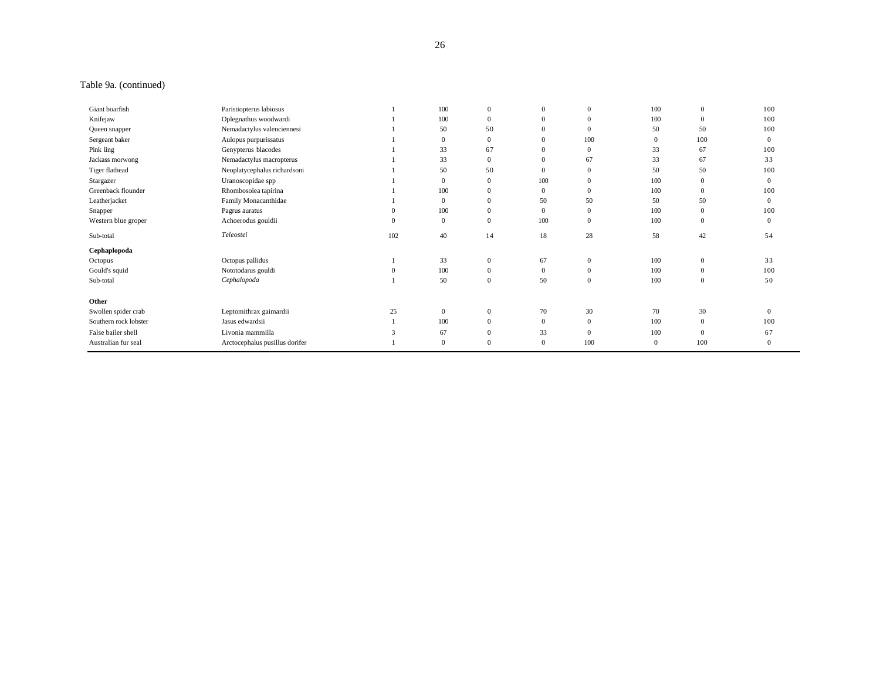## Table 9a. (continued)

| Giant boarfish        | Paristiopterus labiosus        |          | 100            | 0            | $\mathbf{0}$ | $\mathbf{0}$ | 100          | $\theta$       | 100          |
|-----------------------|--------------------------------|----------|----------------|--------------|--------------|--------------|--------------|----------------|--------------|
| Knifejaw              | Oplegnathus woodwardi          |          | 100            | $\mathbf{0}$ | $\Omega$     | $\mathbf{0}$ | 100          | $\overline{0}$ | 100          |
| Queen snapper         | Nemadactylus valenciennesi     |          | 50             | 50           | $\Omega$     | $\mathbf{0}$ | 50           | 50             | 100          |
| Sergeant baker        | Aulopus purpurissatus          |          | $\overline{0}$ | 0            | $\Omega$     | 100          | $\mathbf{0}$ | 100            | $\Omega$     |
| Pink ling             | Genypterus blacodes            |          | 33             | 67           |              | $\mathbf{0}$ | 33           | 67             | 100          |
| Jackass morwong       | Nemadactylus macropterus       |          | 33             | $\mathbf{0}$ | $\Omega$     | 67           | 33           | 67             | 33           |
| Tiger flathead        | Neoplatycephalus richardsoni   |          | 50             | 50           | $\Omega$     | $\mathbf{0}$ | 50           | 50             | 100          |
| Stargazer             | Uranoscopidae spp              |          | $\overline{0}$ | 0            | 100          | $\mathbf{0}$ | 100          | $\mathbf{0}$   | $\mathbf{0}$ |
| Greenback flounder    | Rhombosolea tapirina           |          | 100            | $\Omega$     |              | $\mathbf{0}$ | 100          | $\overline{0}$ | 100          |
| Leatherjacket         | Family Monacanthidae           |          | $\overline{0}$ | $\Omega$     | 50           | 50           | 50           | 50             | $\Omega$     |
| Snapper               | Pagrus auratus                 | $\Omega$ | 100            | 0            | $\Omega$     | $\mathbf{0}$ | 100          | $\mathbf{0}$   | 100          |
| Western blue groper   | Achoerodus gouldii             | $\Omega$ | $\mathbf{0}$   | $\Omega$     | 100          | $\mathbf{0}$ | 100          | $\overline{0}$ | $\Omega$     |
| Sub-total             | Teleostei                      | 102      | 40             | 14           | 18           | 28           | 58           | 42             | 54           |
| Cephaplopoda          |                                |          |                |              |              |              |              |                |              |
| Octopus               | Octopus pallidus               |          | 33             | 0            | 67           | $\mathbf{0}$ | 100          | $\mathbf{0}$   | 33           |
| Gould's squid         | Nototodarus gouldi             |          | 100            | $\mathbf{0}$ | $\mathbf{0}$ | $\mathbf{0}$ | 100          | $\overline{0}$ | 100          |
| Sub-total             | Cephalopoda                    |          | 50             | $\mathbf{0}$ | 50           | $\mathbf{0}$ | 100          | $\overline{0}$ | 50           |
| Other                 |                                |          |                |              |              |              |              |                |              |
| Swollen spider crab   | Leptomithrax gaimardii         | 25       | $\mathbf{0}$   | $\mathbf{0}$ | 70           | 30           | 70           | 30             | $\Omega$     |
| Southern rock lobster | Jasus edwardsii                |          | 100            | $\mathbf{0}$ | $\mathbf{0}$ | $\mathbf{0}$ | 100          | $\mathbf{0}$   | 100          |
| False bailer shell    | Livonia mammilla               |          | 67             | 0            | 33           | $\mathbf{0}$ | 100          | $\theta$       | 67           |
| Australian fur seal   | Arctocephalus pusillus dorifer |          | $\mathbf{0}$   | 0            | $\mathbf{0}$ | 100          | $\mathbf{0}$ | 100            | $\Omega$     |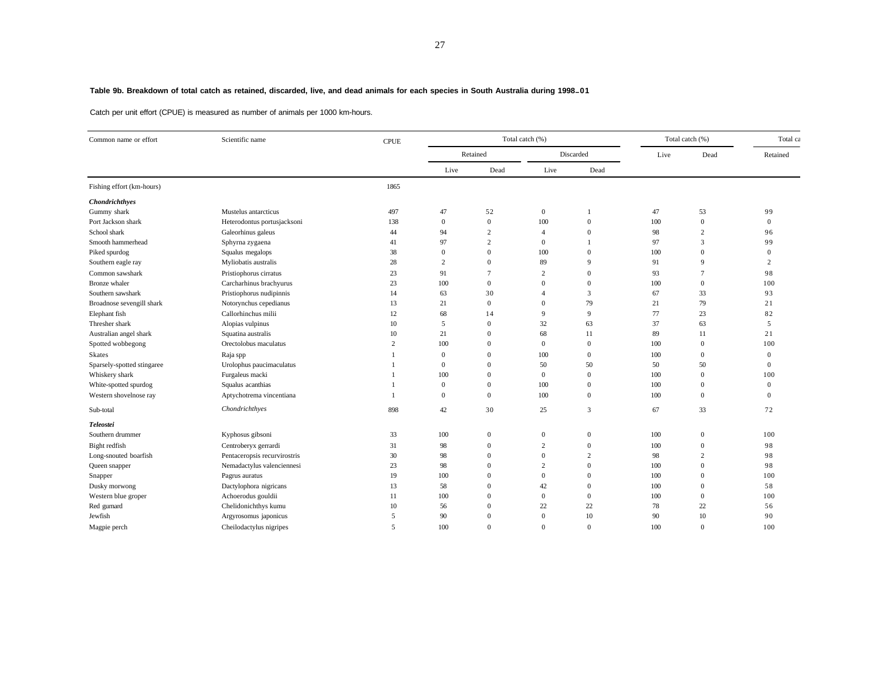## **Table 9b. Breakdown of total catch as retained, discarded, live, and dead animals for each species in South Australia during 1998–01**

Catch per unit effort (CPUE) is measured as number of animals per 1000 km-hours.

| Common name or effort      | Scientific name              | CPUE           |              |                | Total catch (%)          | Total catch (%) |      | Total ca       |                  |
|----------------------------|------------------------------|----------------|--------------|----------------|--------------------------|-----------------|------|----------------|------------------|
|                            |                              |                | Retained     |                |                          | Discarded       | Live | Dead           | Retained         |
|                            |                              |                | Live         | Dead           | Live                     | Dead            |      |                |                  |
| Fishing effort (km-hours)  |                              | 1865           |              |                |                          |                 |      |                |                  |
| Chondrichthyes             |                              |                |              |                |                          |                 |      |                |                  |
| Gummy shark                | Mustelus antarcticus         | 497            | 47           | 52             | $\mathbf{0}$             |                 | 47   | 53             | 99               |
| Port Jackson shark         | Heterodontus portusjacksoni  | 138            | $\mathbf{0}$ | $\overline{0}$ | 100                      | $\overline{0}$  | 100  | $\overline{0}$ | $\overline{0}$   |
| School shark               | Galeorhinus galeus           | 44             | 94           | 2              | $\overline{4}$           | $\overline{0}$  | 98   | $\overline{2}$ | 96               |
| Smooth hammerhead          | Sphyrna zygaena              | 41             | 97           | $\overline{c}$ | $\bf{0}$                 |                 | 97   | 3              | 99               |
| Piked spurdog              | Squalus megalops             | 38             | $\mathbf{0}$ | $\overline{0}$ | 100                      | $\Omega$        | 100  | $\theta$       | $\overline{0}$   |
| Southern eagle ray         | Myliobatis australis         | 28             | 2            | $\overline{0}$ | 89                       | $\mathbf{Q}$    | 91   | 9              | 2                |
| Common sawshark            | Pristiophorus cirratus       | 23             | 91           | $\tau$         | $\overline{c}$           | $\Omega$        | 93   | $\overline{7}$ | 98               |
| Bronze whaler              | Carcharhinus brachyurus      | 23             | 100          | $\overline{0}$ | $\overline{0}$           | $\Omega$        | 100  | $\mathbf{0}$   | 100              |
| Southern sawshark          | Pristiophorus nudipinnis     | 14             | 63           | 30             | $\overline{\mathcal{A}}$ | 3               | 67   | 33             | 93               |
| Broadnose sevengill shark  | Notorynchus cepedianus       | 13             | 21           | $\overline{0}$ | $\overline{0}$           | 79              | 21   | 79             | 21               |
| Elephant fish              | Callorhinchus milii          | 12             | 68           | 14             | 9                        | 9               | 77   | 23             | 82               |
| Thresher shark             | Alopias vulpinus             | 10             | 5            | $\overline{0}$ | 32                       | 63              | 37   | 63             | 5                |
| Australian angel shark     | Squatina australis           | 10             | 21           | $\overline{0}$ | 68                       | 11              | 89   | 11             | 21               |
| Spotted wobbegong          | Orectolobus maculatus        | $\overline{c}$ | 100          | $\Omega$       | $\mathbf{0}$             | $\overline{0}$  | 100  | $\mathbf{0}$   | 100              |
| Skates                     | Raja spp                     |                | $\mathbf{0}$ | $\overline{0}$ | 100                      | $\overline{0}$  | 100  | $\mathbf{0}$   | $\boldsymbol{0}$ |
| Sparsely-spotted stingaree | Urolophus paucimaculatus     |                | $\mathbf{0}$ | $\overline{0}$ | 50                       | 50              | 50   | 50             | $\Omega$         |
| Whiskery shark             | Furgaleus macki              |                | 100          | $\overline{0}$ | $\mathbf{0}$             | $\overline{0}$  | 100  | $\theta$       | 100              |
| White-spotted spurdog      | Squalus acanthias            |                | $\mathbf{0}$ | $\Omega$       | 100                      | $\overline{0}$  | 100  | $\mathbf{0}$   | $\theta$         |
| Western shovelnose ray     | Aptychotrema vincentiana     |                | $\mathbf{0}$ | $\overline{0}$ | 100                      | $\overline{0}$  | 100  | $\overline{0}$ | $\overline{0}$   |
| Sub-total                  | Chondrichthyes               | 898            | 42           | 30             | 25                       | 3               | 67   | 33             | 72               |
| Teleostei                  |                              |                |              |                |                          |                 |      |                |                  |
| Southern drummer           | Kyphosus gibsoni             | 33             | 100          | $\mathbf{0}$   | $\mathbf{0}$             | $\overline{0}$  | 100  | $\overline{0}$ | 100              |
| Bight redfish              | Centroberyx gerrardi         | 31             | 98           | $\mathbf{0}$   | 2                        | $\Omega$        | 100  | $\theta$       | 98               |
| Long-snouted boarfish      | Pentaceropsis recurvirostris | 30             | 98           | $\overline{0}$ | $\overline{0}$           | $\overline{2}$  | 98   | $\overline{2}$ | 98               |
| Queen snapper              | Nemadactylus valenciennesi   | 23             | 98           | $\overline{0}$ | $\overline{c}$           | $\Omega$        | 100  | $\theta$       | 98               |
| Snapper                    | Pagrus auratus               | 19             | 100          | $\overline{0}$ | $\overline{0}$           | $\overline{0}$  | 100  | $\overline{0}$ | 100              |
| Dusky morwong              | Dactylophora nigricans       | 13             | 58           | $\overline{0}$ | 42                       | $\overline{0}$  | 100  | $\overline{0}$ | 58               |
| Western blue groper        | Achoerodus gouldii           | 11             | 100          | $\mathbf{0}$   | $\overline{0}$           | $\overline{0}$  | 100  | $\overline{0}$ | 100              |
| Red gurnard                | Chelidonichthys kumu         | 10             | 56           | $\Omega$       | 22                       | $22\,$          | 78   | 22             | 56               |
| Jewfish                    | Argyrosomus japonicus        | 5              | 90           | $\Omega$       | $\mathbf{0}$             | 10              | 90   | 10             | 90               |
| Magpie perch               | Cheilodactylus nigripes      | 5              | 100          | $\Omega$       | $\Omega$                 | $\Omega$        | 100  | $\theta$       | 100              |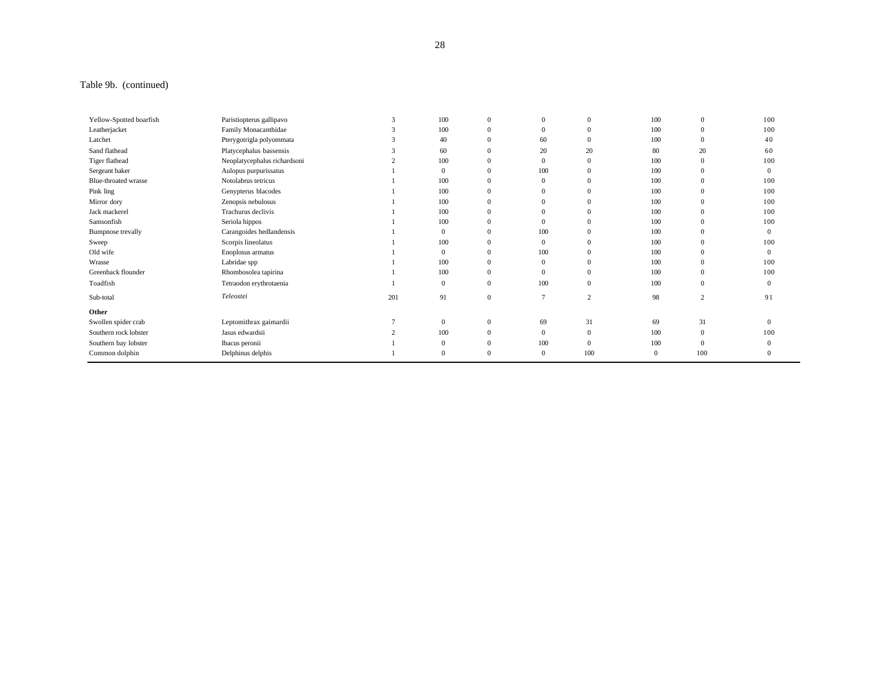## Table 9b. (continued)

| Yellow-Spotted boarfish | Paristiopterus gallipavo     | 3   | 100          | $\bf{0}$         | $\theta$     | $\mathbf{0}$   | 100      | $\mathbf{0}$   | 100      |
|-------------------------|------------------------------|-----|--------------|------------------|--------------|----------------|----------|----------------|----------|
| Leatherjacket           | Family Monacanthidae         |     | 100          | $\mathbf{0}$     |              | $\mathbf{0}$   | 100      | $\overline{0}$ | 100      |
| Latchet                 | Pterygotrigla polyommata     |     | 40           | $\mathbf{0}$     | 60           | $\mathbf{0}$   | 100      | $\theta$       | 40       |
| Sand flathead           | Platycephalus bassensis      |     | 60           | $\mathbf{0}$     | 20           | 20             | 80       | 20             | 60       |
| Tiger flathead          | Neoplatycephalus richardsoni |     | 100          | $\mathbf{0}$     | $\Omega$     | $\mathbf{0}$   | 100      | $\overline{0}$ | 100      |
| Sergeant baker          | Aulopus purpurissatus        |     |              | $\mathbf{0}$     | 100          | $\mathbf{0}$   | 100      | $\overline{0}$ | $\Omega$ |
| Blue-throated wrasse    | Notolabrus tetricus          |     | 100          | $\mathbf{0}$     | $\theta$     | $\mathbf{0}$   | 100      | $\theta$       | 100      |
| Pink ling               | Genypterus blacodes          |     | 100          | $\mathbf{0}$     |              | $\Omega$       | 100      | $\overline{0}$ | 100      |
| Mirror dory             | Zenopsis nebulosus           |     | 100          | $\mathbf{0}$     |              | $\Omega$       | 100      | $\overline{0}$ | 100      |
| Jack mackerel           | Trachurus declivis           |     | 100          | $\mathbf{0}$     |              | $\Omega$       | 100      | $\theta$       | 100      |
| Samsonfish              | Seriola hippos               |     | 100          | $\Omega$         |              | $\Omega$       | 100      | $\overline{0}$ | 100      |
| Bumpnose trevally       | Carangoides hedlandensis     |     | $\Omega$     | $\Omega$         | 100          | $\Omega$       | 100      | $\Omega$       | $\theta$ |
| Sweep                   | Scorpis lineolatus           |     | 100          | $\mathbf{0}$     | $\mathbf{0}$ | $\mathbf{0}$   | 100      | $\theta$       | 100      |
| Old wife                | Enoplosus armatus            |     |              | $\mathbf{0}$     | 100          | $\mathbf{0}$   | 100      | $\theta$       | $\theta$ |
| Wrasse                  | Labridae spp                 |     | 100          | $\mathbf{0}$     | $\Omega$     | $\mathbf{0}$   | 100      | $\overline{0}$ | 100      |
| Greenback flounder      | Rhombosolea tapirina         |     | 100          | $\mathbf{0}$     | $\Omega$     | $\mathbf{0}$   | 100      | $\theta$       | 100      |
| Toadfish                | Tetraodon erythrotaenia      |     | $\mathbf{0}$ | $\mathbf{0}$     | 100          | $\mathbf{0}$   | 100      | $\overline{0}$ | $\theta$ |
| Sub-total               | Teleostei                    | 201 | 91           | $\boldsymbol{0}$ | 7            | $\overline{2}$ | 98       | $\overline{2}$ | 91       |
| Other                   |                              |     |              |                  |              |                |          |                |          |
| Swollen spider crab     | Leptomithrax gaimardii       |     | $\mathbf{0}$ | $\overline{0}$   | 69           | 31             | 69       | 31             | $\Omega$ |
| Southern rock lobster   | Jasus edwardsii              |     | 100          | $\mathbf{0}$     | $\Omega$     | $\mathbf{0}$   | 100      | $\overline{0}$ | 100      |
| Southern bay lobster    | Ibacus peronii               |     |              | $\mathbf{0}$     | 100          | $\mathbf{0}$   | 100      | $\theta$       |          |
| Common dolphin          | Delphinus delphis            |     |              | $\Omega$         |              | 100            | $\Omega$ | 100            |          |
|                         |                              |     |              |                  |              |                |          |                |          |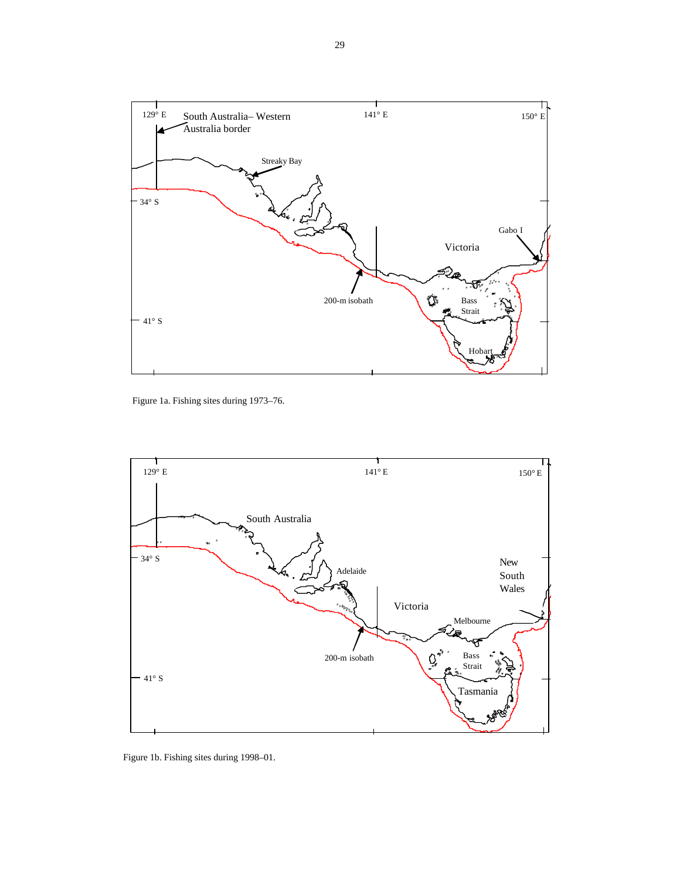

Figure 1a. Fishing sites during 1973–76.



Figure 1b. Fishing sites during 1998–01.